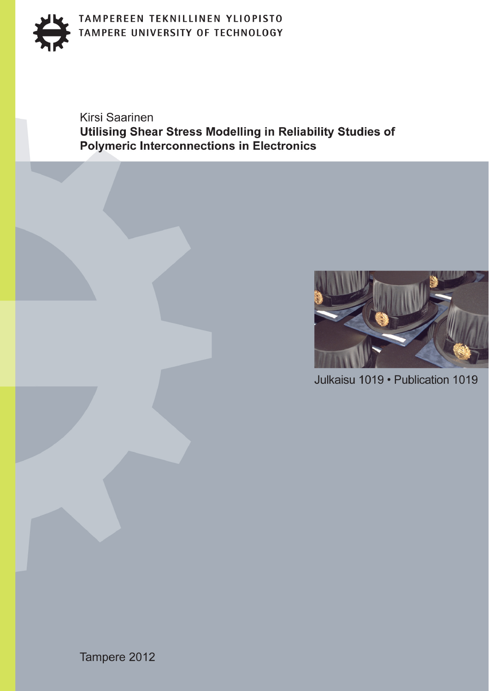

# TAMPEREEN TEKNILLINEN YLIOPISTO TAMPERE UNIVERSITY OF TECHNOLOGY

**Kirsi Saarinen** Utilising Shear Stress Modelling in Reliability Studies of **Polymeric Interconnections in Electronics** 



Julkaisu 1019 · Publication 1019

Tampere 2012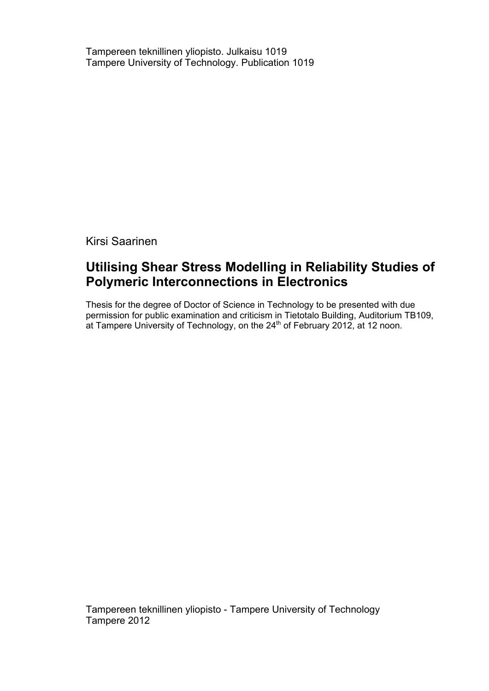Tampereen teknillinen yliopisto. Julkaisu 1019 Tampere University of Technology. Publication 1019

Kirsi Saarinen

# **Utilising Shear Stress Modelling in Reliability Studies of Polymeric Interconnections in Electronics**

Thesis for the degree of Doctor of Science in Technology to be presented with due permission for public examination and criticism in Tietotalo Building, Auditorium TB109, at Tampere University of Technology, on the 24<sup>th</sup> of February 2012, at 12 noon.

Tampereen teknillinen yliopisto - Tampere University of Technology Tampere 2012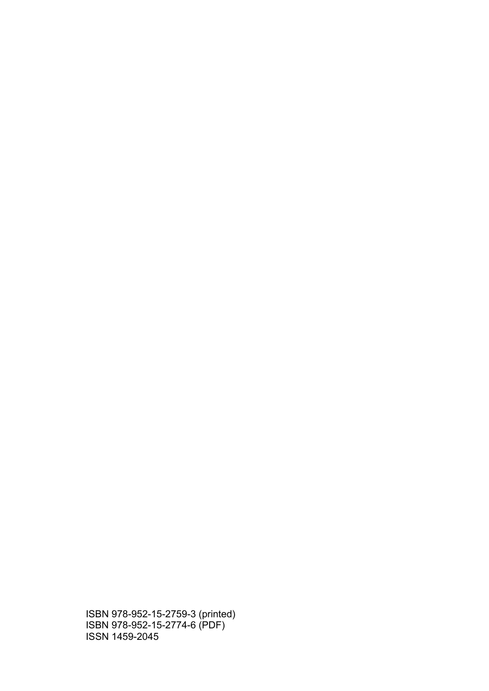ISBN 978-952-15-2759-3 (printed) ISBN 978-952-15-2774-6 (PDF) ISSN 1459-2045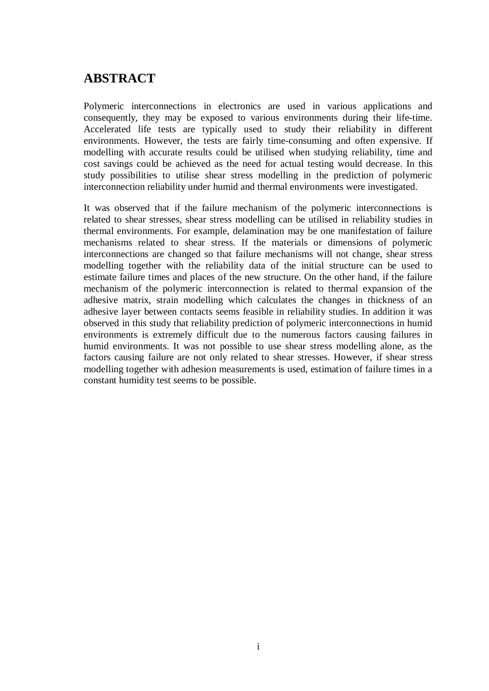# **ABSTRACT**

Polymeric interconnections in electronics are used in various applications and consequently, they may be exposed to various environments during their life-time. Accelerated life tests are typically used to study their reliability in different environments. However, the tests are fairly time-consuming and often expensive. If modelling with accurate results could be utilised when studying reliability, time and cost savings could be achieved as the need for actual testing would decrease. In this study possibilities to utilise shear stress modelling in the prediction of polymeric interconnection reliability under humid and thermal environments were investigated.

It was observed that if the failure mechanism of the polymeric interconnections is related to shear stresses, shear stress modelling can be utilised in reliability studies in thermal environments. For example, delamination may be one manifestation of failure mechanisms related to shear stress. If the materials or dimensions of polymeric interconnections are changed so that failure mechanisms will not change, shear stress modelling together with the reliability data of the initial structure can be used to estimate failure times and places of the new structure. On the other hand, if the failure mechanism of the polymeric interconnection is related to thermal expansion of the adhesive matrix, strain modelling which calculates the changes in thickness of an adhesive layer between contacts seems feasible in reliability studies. In addition it was observed in this study that reliability prediction of polymeric interconnections in humid environments is extremely difficult due to the numerous factors causing failures in humid environments. It was not possible to use shear stress modelling alone, as the factors causing failure are not only related to shear stresses. However, if shear stress modelling together with adhesion measurements is used, estimation of failure times in a constant humidity test seems to be possible.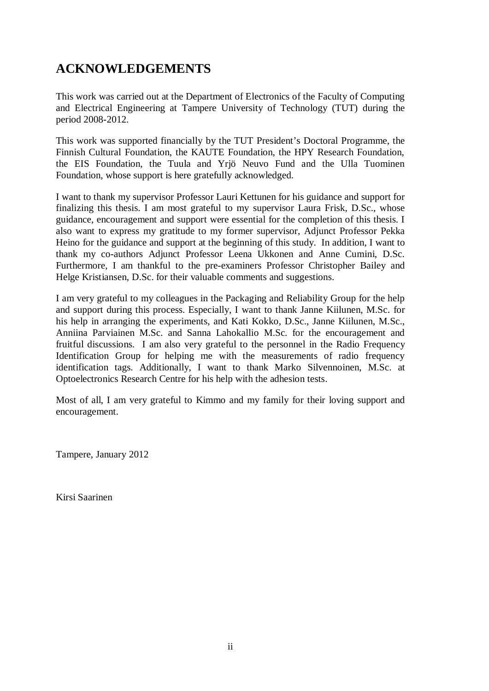# **ACKNOWLEDGEMENTS**

This work was carried out at the Department of Electronics of the Faculty of Computing and Electrical Engineering at Tampere University of Technology (TUT) during the period 2008-2012.

This work was supported financially by the TUT President's Doctoral Programme, the Finnish Cultural Foundation, the KAUTE Foundation, the HPY Research Foundation, the EIS Foundation, the Tuula and Yrjö Neuvo Fund and the Ulla Tuominen Foundation, whose support is here gratefully acknowledged.

I want to thank my supervisor Professor Lauri Kettunen for his guidance and support for finalizing this thesis. I am most grateful to my supervisor Laura Frisk, D.Sc., whose guidance, encouragement and support were essential for the completion of this thesis. I also want to express my gratitude to my former supervisor, Adjunct Professor Pekka Heino for the guidance and support at the beginning of this study. In addition, I want to thank my co-authors Adjunct Professor Leena Ukkonen and Anne Cumini, D.Sc. Furthermore, I am thankful to the pre-examiners Professor Christopher Bailey and Helge Kristiansen, D.Sc. for their valuable comments and suggestions.

I am very grateful to my colleagues in the Packaging and Reliability Group for the help and support during this process. Especially, I want to thank Janne Kiilunen, M.Sc. for his help in arranging the experiments, and Kati Kokko, D.Sc., Janne Kiilunen, M.Sc., Anniina Parviainen M.Sc. and Sanna Lahokallio M.Sc. for the encouragement and fruitful discussions. I am also very grateful to the personnel in the Radio Frequency Identification Group for helping me with the measurements of radio frequency identification tags. Additionally, I want to thank Marko Silvennoinen, M.Sc. at Optoelectronics Research Centre for his help with the adhesion tests.

Most of all, I am very grateful to Kimmo and my family for their loving support and encouragement.

Tampere, January 2012

Kirsi Saarinen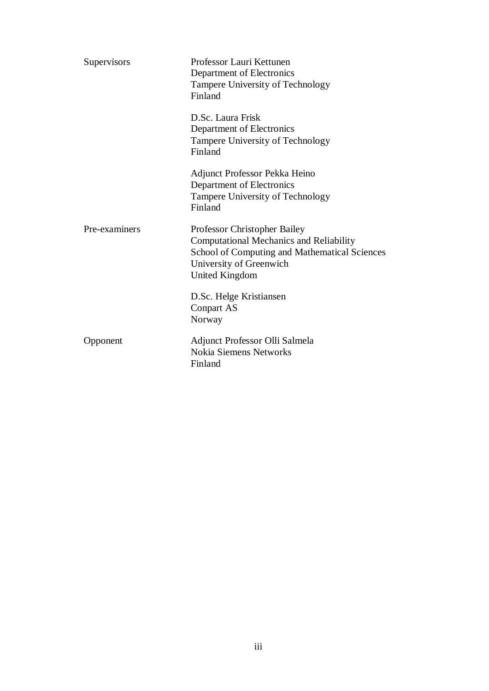| Supervisors   | Professor Lauri Kettunen<br>Department of Electronics<br>Tampere University of Technology<br>Finland                                                                         |  |  |
|---------------|------------------------------------------------------------------------------------------------------------------------------------------------------------------------------|--|--|
|               | D.Sc. Laura Frisk<br>Department of Electronics<br>Tampere University of Technology<br>Finland                                                                                |  |  |
|               | Adjunct Professor Pekka Heino<br>Department of Electronics<br>Tampere University of Technology<br>Finland                                                                    |  |  |
| Pre-examiners | Professor Christopher Bailey<br><b>Computational Mechanics and Reliability</b><br>School of Computing and Mathematical Sciences<br>University of Greenwich<br>United Kingdom |  |  |
|               | D.Sc. Helge Kristiansen<br><b>Conpart AS</b><br>Norway                                                                                                                       |  |  |
| Opponent      | Adjunct Professor Olli Salmela<br>Nokia Siemens Networks<br>Finland                                                                                                          |  |  |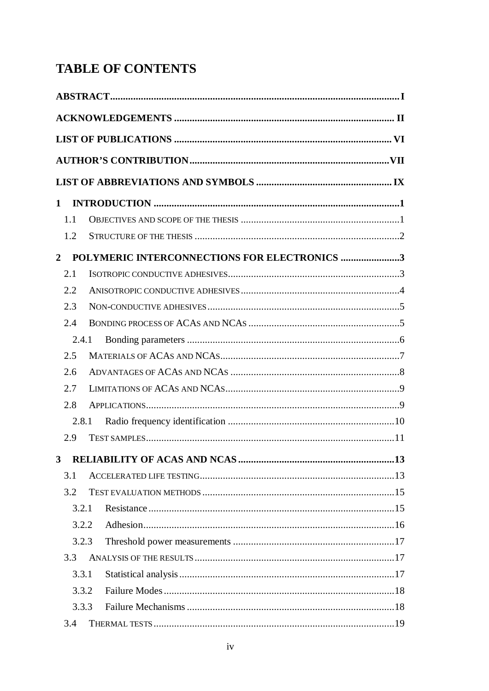# **TABLE OF CONTENTS**

| $\mathbf 1$    |     |       |                                              |
|----------------|-----|-------|----------------------------------------------|
|                | 1.1 |       |                                              |
|                | 1.2 |       |                                              |
| $\overline{2}$ |     |       | POLYMERIC INTERCONNECTIONS FOR ELECTRONICS 3 |
|                | 2.1 |       |                                              |
|                | 2.2 |       |                                              |
|                | 2.3 |       |                                              |
|                | 2.4 |       |                                              |
|                |     | 2.4.1 |                                              |
|                | 2.5 |       |                                              |
|                | 2.6 |       |                                              |
|                | 2.7 |       |                                              |
|                | 2.8 |       |                                              |
|                |     | 2.8.1 |                                              |
|                | 2.9 |       |                                              |
| 3              |     |       |                                              |
|                | 3.1 |       |                                              |
|                | 3.2 |       |                                              |
|                |     | 3.2.1 |                                              |
|                |     | 3.2.2 |                                              |
|                |     | 3.2.3 |                                              |
|                | 3.3 |       |                                              |
|                |     | 3.3.1 |                                              |
|                |     | 3.3.2 |                                              |
|                |     | 3.3.3 |                                              |
|                | 3.4 |       |                                              |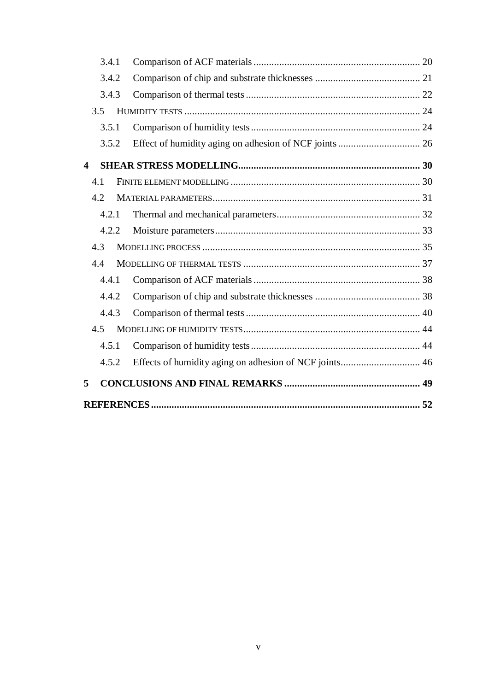|   | 3.4.1 |                                                        |  |
|---|-------|--------------------------------------------------------|--|
|   | 3.4.2 |                                                        |  |
|   | 3.4.3 |                                                        |  |
|   | 3.5   |                                                        |  |
|   | 3.5.1 |                                                        |  |
|   | 3.5.2 |                                                        |  |
| 4 |       |                                                        |  |
|   | 4.1   |                                                        |  |
|   | 4.2   |                                                        |  |
|   | 4.2.1 |                                                        |  |
|   | 4.2.2 |                                                        |  |
|   | 4.3   |                                                        |  |
|   | 4.4   |                                                        |  |
|   | 4.4.1 |                                                        |  |
|   | 4.4.2 |                                                        |  |
|   | 4.4.3 |                                                        |  |
|   | 4.5   |                                                        |  |
|   | 4.5.1 |                                                        |  |
|   | 4.5.2 | Effects of humidity aging on adhesion of NCF joints 46 |  |
| 5 |       |                                                        |  |
|   |       |                                                        |  |
|   |       |                                                        |  |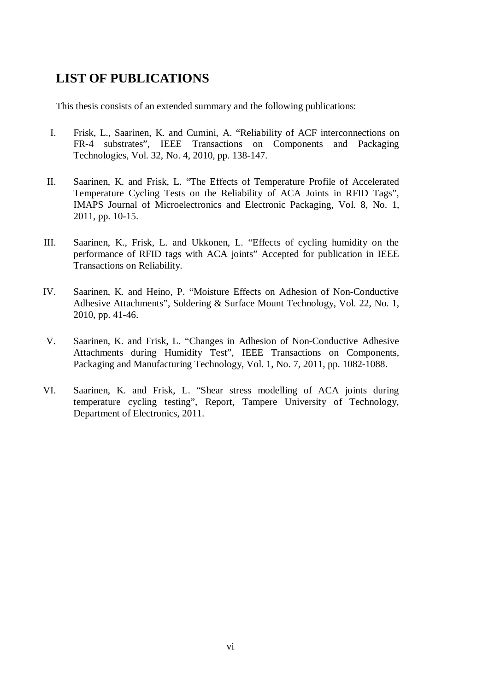# **LIST OF PUBLICATIONS**

This thesis consists of an extended summary and the following publications:

- I. Frisk, L., Saarinen, K. and Cumini, A. "Reliability of ACF interconnections on FR-4 substrates", IEEE Transactions on Components and Packaging Technologies, Vol. 32, No. 4, 2010, pp. 138-147.
- II. Saarinen, K. and Frisk, L. "The Effects of Temperature Profile of Accelerated Temperature Cycling Tests on the Reliability of ACA Joints in RFID Tags", IMAPS Journal of Microelectronics and Electronic Packaging, Vol. 8, No. 1, 2011, pp. 10-15.
- III. Saarinen, K., Frisk, L. and Ukkonen, L. "Effects of cycling humidity on the performance of RFID tags with ACA joints" Accepted for publication in IEEE Transactions on Reliability.
- IV. Saarinen, K. and Heino, P. "Moisture Effects on Adhesion of Non-Conductive Adhesive Attachments", Soldering & Surface Mount Technology, Vol. 22, No. 1, 2010, pp. 41-46.
- V. Saarinen, K. and Frisk, L. "Changes in Adhesion of Non-Conductive Adhesive Attachments during Humidity Test", IEEE Transactions on Components, Packaging and Manufacturing Technology, Vol. 1, No. 7, 2011, pp. 1082-1088.
- VI. Saarinen, K. and Frisk, L. "Shear stress modelling of ACA joints during temperature cycling testing", Report, Tampere University of Technology, Department of Electronics, 2011.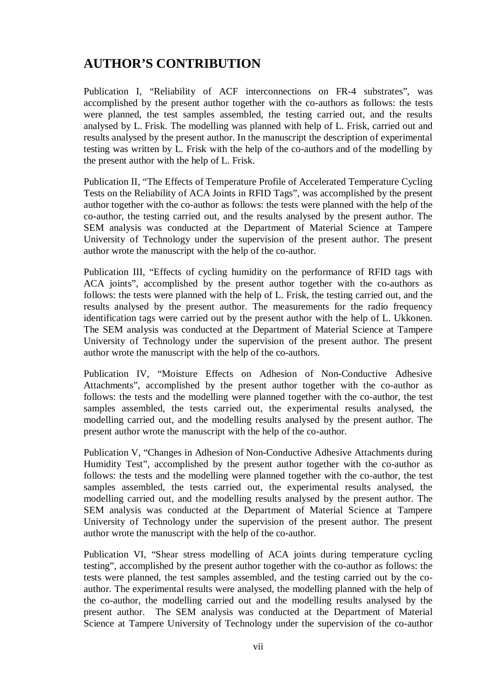# **AUTHOR'S CONTRIBUTION**

Publication I, "Reliability of ACF interconnections on FR-4 substrates", was accomplished by the present author together with the co-authors as follows: the tests were planned, the test samples assembled, the testing carried out, and the results analysed by L. Frisk. The modelling was planned with help of L. Frisk, carried out and results analysed by the present author. In the manuscript the description of experimental testing was written by L. Frisk with the help of the co-authors and of the modelling by the present author with the help of L. Frisk.

Publication II, "The Effects of Temperature Profile of Accelerated Temperature Cycling Tests on the Reliability of ACA Joints in RFID Tags", was accomplished by the present author together with the co-author as follows: the tests were planned with the help of the co-author, the testing carried out, and the results analysed by the present author. The SEM analysis was conducted at the Department of Material Science at Tampere University of Technology under the supervision of the present author. The present author wrote the manuscript with the help of the co-author.

Publication III, "Effects of cycling humidity on the performance of RFID tags with ACA joints", accomplished by the present author together with the co-authors as follows: the tests were planned with the help of L. Frisk, the testing carried out, and the results analysed by the present author. The measurements for the radio frequency identification tags were carried out by the present author with the help of L. Ukkonen. The SEM analysis was conducted at the Department of Material Science at Tampere University of Technology under the supervision of the present author. The present author wrote the manuscript with the help of the co-authors.

Publication IV, "Moisture Effects on Adhesion of Non-Conductive Adhesive Attachments", accomplished by the present author together with the co-author as follows: the tests and the modelling were planned together with the co-author, the test samples assembled, the tests carried out, the experimental results analysed, the modelling carried out, and the modelling results analysed by the present author. The present author wrote the manuscript with the help of the co-author.

Publication V, "Changes in Adhesion of Non-Conductive Adhesive Attachments during Humidity Test", accomplished by the present author together with the co-author as follows: the tests and the modelling were planned together with the co-author, the test samples assembled, the tests carried out, the experimental results analysed, the modelling carried out, and the modelling results analysed by the present author. The SEM analysis was conducted at the Department of Material Science at Tampere University of Technology under the supervision of the present author. The present author wrote the manuscript with the help of the co-author.

Publication VI, "Shear stress modelling of ACA joints during temperature cycling testing", accomplished by the present author together with the co-author as follows: the tests were planned, the test samples assembled, and the testing carried out by the coauthor. The experimental results were analysed, the modelling planned with the help of the co-author, the modelling carried out and the modelling results analysed by the present author. The SEM analysis was conducted at the Department of Material Science at Tampere University of Technology under the supervision of the co-author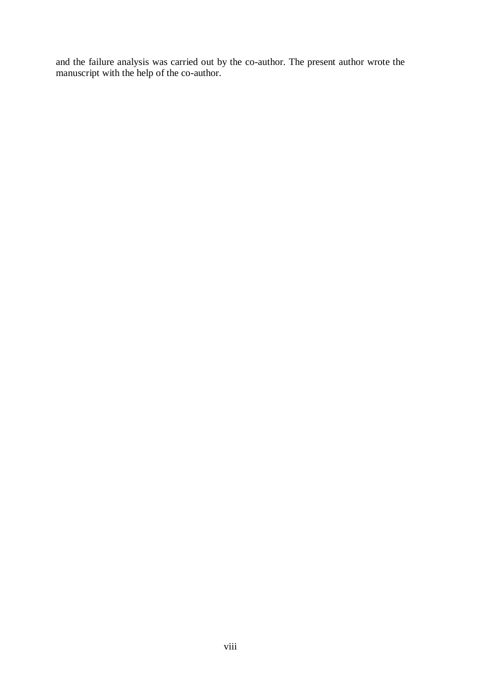and the failure analysis was carried out by the co-author. The present author wrote the manuscript with the help of the co-author.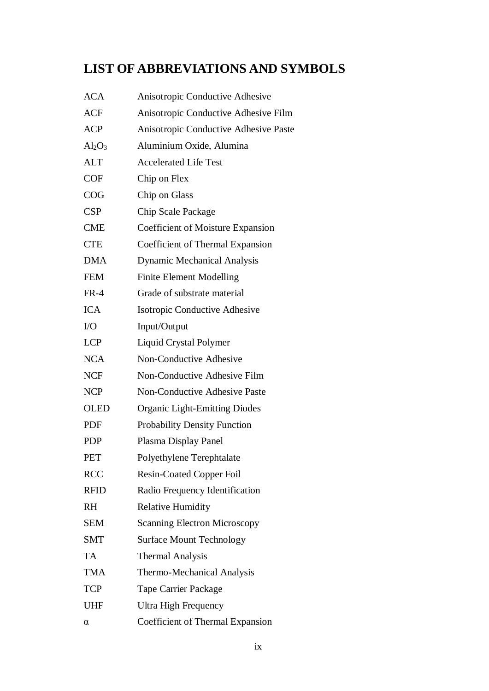# **LIST OF ABBREVIATIONS AND SYMBOLS**

| <b>ACA</b>  | Anisotropic Conductive Adhesive       |
|-------------|---------------------------------------|
| <b>ACF</b>  | Anisotropic Conductive Adhesive Film  |
| <b>ACP</b>  | Anisotropic Conductive Adhesive Paste |
| $Al_2O_3$   | Aluminium Oxide, Alumina              |
| <b>ALT</b>  | <b>Accelerated Life Test</b>          |
| <b>COF</b>  | Chip on Flex                          |
| COG         | Chip on Glass                         |
| <b>CSP</b>  | Chip Scale Package                    |
| <b>CME</b>  | Coefficient of Moisture Expansion     |
| <b>CTE</b>  | Coefficient of Thermal Expansion      |
| <b>DMA</b>  | <b>Dynamic Mechanical Analysis</b>    |
| <b>FEM</b>  | <b>Finite Element Modelling</b>       |
| $FR-4$      | Grade of substrate material           |
| <b>ICA</b>  | Isotropic Conductive Adhesive         |
| I/O         | Input/Output                          |
| <b>LCP</b>  | Liquid Crystal Polymer                |
| <b>NCA</b>  | Non-Conductive Adhesive               |
| <b>NCF</b>  | Non-Conductive Adhesive Film          |
| <b>NCP</b>  | Non-Conductive Adhesive Paste         |
| <b>OLED</b> | <b>Organic Light-Emitting Diodes</b>  |
| PDF         | Probability Density Function          |
| <b>PDP</b>  | Plasma Display Panel                  |
| <b>PET</b>  | Polyethylene Terephtalate             |
| <b>RCC</b>  | <b>Resin-Coated Copper Foil</b>       |
| <b>RFID</b> | Radio Frequency Identification        |
| <b>RH</b>   | <b>Relative Humidity</b>              |
| <b>SEM</b>  | <b>Scanning Electron Microscopy</b>   |
| <b>SMT</b>  | <b>Surface Mount Technology</b>       |
| <b>TA</b>   | <b>Thermal Analysis</b>               |
| <b>TMA</b>  | Thermo-Mechanical Analysis            |
| <b>TCP</b>  | <b>Tape Carrier Package</b>           |
| <b>UHF</b>  | <b>Ultra High Frequency</b>           |
| α           | Coefficient of Thermal Expansion      |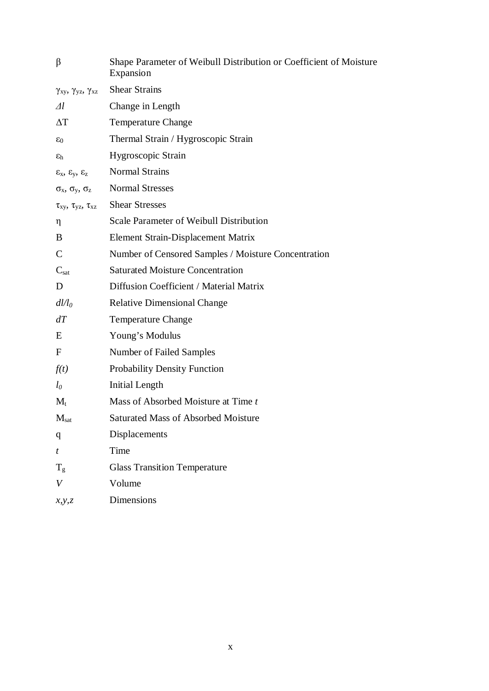| β                                          | Shape Parameter of Weibull Distribution or Coefficient of Moisture<br>Expansion |
|--------------------------------------------|---------------------------------------------------------------------------------|
| $\gamma_{xy}, \gamma_{yz}, \gamma_{xz}$    | <b>Shear Strains</b>                                                            |
| $\varDelta l$                              | Change in Length                                                                |
| $\Delta T$                                 | <b>Temperature Change</b>                                                       |
| $\varepsilon_0$                            | Thermal Strain / Hygroscopic Strain                                             |
| $\varepsilon_h$                            | Hygroscopic Strain                                                              |
| $\epsilon_x$ , $\epsilon_y$ , $\epsilon_z$ | <b>Normal Strains</b>                                                           |
| $\sigma_x$ , $\sigma_y$ , $\sigma_z$       | <b>Normal Stresses</b>                                                          |
| $\tau_{xy}, \tau_{yz}, \tau_{xz}$          | <b>Shear Stresses</b>                                                           |
| η                                          | Scale Parameter of Weibull Distribution                                         |
| B                                          | Element Strain-Displacement Matrix                                              |
| $\mathsf{C}$                               | Number of Censored Samples / Moisture Concentration                             |
| $C_{\text{sat}}$                           | <b>Saturated Moisture Concentration</b>                                         |
| D                                          | Diffusion Coefficient / Material Matrix                                         |
| $dl/l_0$                                   | <b>Relative Dimensional Change</b>                                              |
| dT                                         | <b>Temperature Change</b>                                                       |
| E                                          | Young's Modulus                                                                 |
| F                                          | Number of Failed Samples                                                        |
| f(t)                                       | <b>Probability Density Function</b>                                             |
| $l_0$                                      | Initial Length                                                                  |
| $M_t$                                      | Mass of Absorbed Moisture at Time t                                             |
| $M_{sat}$                                  | <b>Saturated Mass of Absorbed Moisture</b>                                      |
| q                                          | Displacements                                                                   |
| t                                          | Time                                                                            |
| $T_g$                                      | <b>Glass Transition Temperature</b>                                             |
| V                                          | Volume                                                                          |
| x, y, z                                    | <b>Dimensions</b>                                                               |
|                                            |                                                                                 |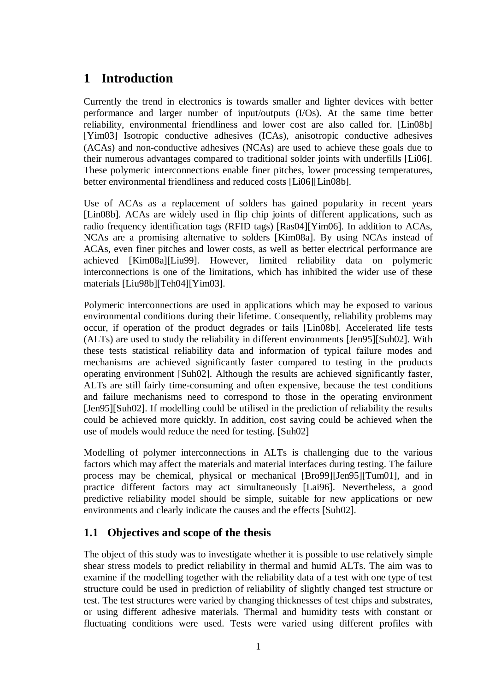# **1 Introduction**

Currently the trend in electronics is towards smaller and lighter devices with better performance and larger number of input/outputs (I/Os). At the same time better reliability, environmental friendliness and lower cost are also called for. [Lin08b] [Yim03] Isotropic conductive adhesives (ICAs), anisotropic conductive adhesives (ACAs) and non-conductive adhesives (NCAs) are used to achieve these goals due to their numerous advantages compared to traditional solder joints with underfills [Li06]. These polymeric interconnections enable finer pitches, lower processing temperatures, better environmental friendliness and reduced costs [Li06][Lin08b].

Use of ACAs as a replacement of solders has gained popularity in recent years [Lin08b]. ACAs are widely used in flip chip joints of different applications, such as radio frequency identification tags (RFID tags) [Ras04][Yim06]. In addition to ACAs, NCAs are a promising alternative to solders [Kim08a]. By using NCAs instead of ACAs, even finer pitches and lower costs, as well as better electrical performance are achieved [Kim08a][Liu99]. However, limited reliability data on polymeric interconnections is one of the limitations, which has inhibited the wider use of these materials [Liu98b][Teh04][Yim03].

Polymeric interconnections are used in applications which may be exposed to various environmental conditions during their lifetime. Consequently, reliability problems may occur, if operation of the product degrades or fails [Lin08b]. Accelerated life tests (ALTs) are used to study the reliability in different environments [Jen95][Suh02]. With these tests statistical reliability data and information of typical failure modes and mechanisms are achieved significantly faster compared to testing in the products operating environment [Suh02]. Although the results are achieved significantly faster, ALTs are still fairly time-consuming and often expensive, because the test conditions and failure mechanisms need to correspond to those in the operating environment [Jen95][Suh02]. If modelling could be utilised in the prediction of reliability the results could be achieved more quickly. In addition, cost saving could be achieved when the use of models would reduce the need for testing. [Suh02]

Modelling of polymer interconnections in ALTs is challenging due to the various factors which may affect the materials and material interfaces during testing. The failure process may be chemical, physical or mechanical [Bro99][Jen95][Tum01], and in practice different factors may act simultaneously [Lai96]. Nevertheless, a good predictive reliability model should be simple, suitable for new applications or new environments and clearly indicate the causes and the effects [Suh02].

# **1.1 Objectives and scope of the thesis**

The object of this study was to investigate whether it is possible to use relatively simple shear stress models to predict reliability in thermal and humid ALTs. The aim was to examine if the modelling together with the reliability data of a test with one type of test structure could be used in prediction of reliability of slightly changed test structure or test. The test structures were varied by changing thicknesses of test chips and substrates, or using different adhesive materials. Thermal and humidity tests with constant or fluctuating conditions were used. Tests were varied using different profiles with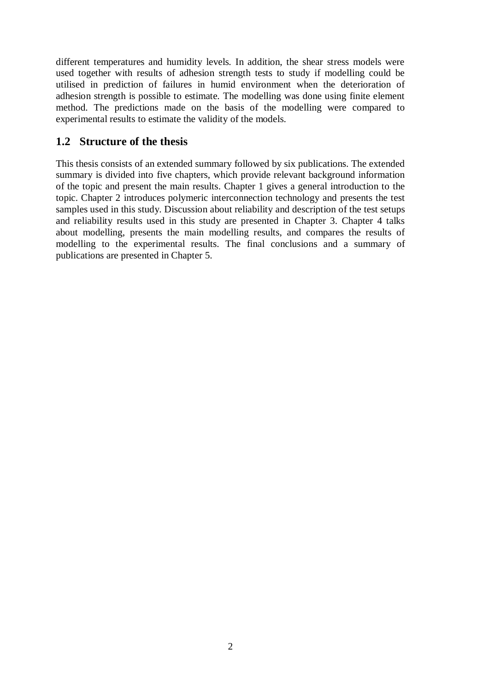different temperatures and humidity levels. In addition, the shear stress models were used together with results of adhesion strength tests to study if modelling could be utilised in prediction of failures in humid environment when the deterioration of adhesion strength is possible to estimate. The modelling was done using finite element method. The predictions made on the basis of the modelling were compared to experimental results to estimate the validity of the models.

## **1.2 Structure of the thesis**

This thesis consists of an extended summary followed by six publications. The extended summary is divided into five chapters, which provide relevant background information of the topic and present the main results. Chapter 1 gives a general introduction to the topic. Chapter 2 introduces polymeric interconnection technology and presents the test samples used in this study. Discussion about reliability and description of the test setups and reliability results used in this study are presented in Chapter 3. Chapter 4 talks about modelling, presents the main modelling results, and compares the results of modelling to the experimental results. The final conclusions and a summary of publications are presented in Chapter 5.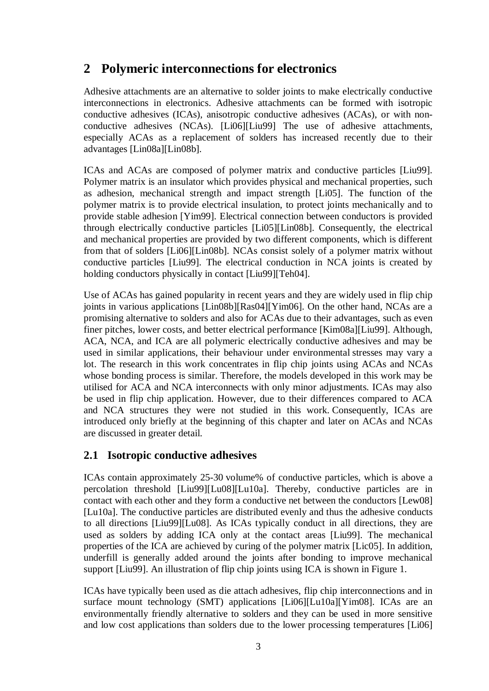# **2 Polymeric interconnections for electronics**

Adhesive attachments are an alternative to solder joints to make electrically conductive interconnections in electronics. Adhesive attachments can be formed with isotropic conductive adhesives (ICAs), anisotropic conductive adhesives (ACAs), or with nonconductive adhesives (NCAs). [Li06][Liu99] The use of adhesive attachments, especially ACAs as a replacement of solders has increased recently due to their advantages [Lin08a][Lin08b].

ICAs and ACAs are composed of polymer matrix and conductive particles [Liu99]. Polymer matrix is an insulator which provides physical and mechanical properties, such as adhesion, mechanical strength and impact strength [Li05]. The function of the polymer matrix is to provide electrical insulation, to protect joints mechanically and to provide stable adhesion [Yim99]. Electrical connection between conductors is provided through electrically conductive particles [Li05][Lin08b]. Consequently, the electrical and mechanical properties are provided by two different components, which is different from that of solders [Li06][Lin08b]. NCAs consist solely of a polymer matrix without conductive particles [Liu99]. The electrical conduction in NCA joints is created by holding conductors physically in contact [Liu99][Teh04].

Use of ACAs has gained popularity in recent years and they are widely used in flip chip joints in various applications [Lin08b][Ras04][Yim06]. On the other hand, NCAs are a promising alternative to solders and also for ACAs due to their advantages, such as even finer pitches, lower costs, and better electrical performance [Kim08a][Liu99]. Although, ACA, NCA, and ICA are all polymeric electrically conductive adhesives and may be used in similar applications, their behaviour under environmental stresses may vary a lot. The research in this work concentrates in flip chip joints using ACAs and NCAs whose bonding process is similar. Therefore, the models developed in this work may be utilised for ACA and NCA interconnects with only minor adjustments. ICAs may also be used in flip chip application. However, due to their differences compared to ACA and NCA structures they were not studied in this work. Consequently, ICAs are introduced only briefly at the beginning of this chapter and later on ACAs and NCAs are discussed in greater detail.

# **2.1 Isotropic conductive adhesives**

ICAs contain approximately 25-30 volume% of conductive particles, which is above a percolation threshold [Liu99][Lu08][Lu10a]. Thereby, conductive particles are in contact with each other and they form a conductive net between the conductors [Lew08] [Lu10a]. The conductive particles are distributed evenly and thus the adhesive conducts to all directions [Liu99][Lu08]. As ICAs typically conduct in all directions, they are used as solders by adding ICA only at the contact areas [Liu99]. The mechanical properties of the ICA are achieved by curing of the polymer matrix [Lic05]. In addition, underfill is generally added around the joints after bonding to improve mechanical support [Liu99]. An illustration of flip chip joints using ICA is shown in Figure 1.

ICAs have typically been used as die attach adhesives, flip chip interconnections and in surface mount technology (SMT) applications [Li06][Lu10a][Yim08]. ICAs are an environmentally friendly alternative to solders and they can be used in more sensitive and low cost applications than solders due to the lower processing temperatures [Li06]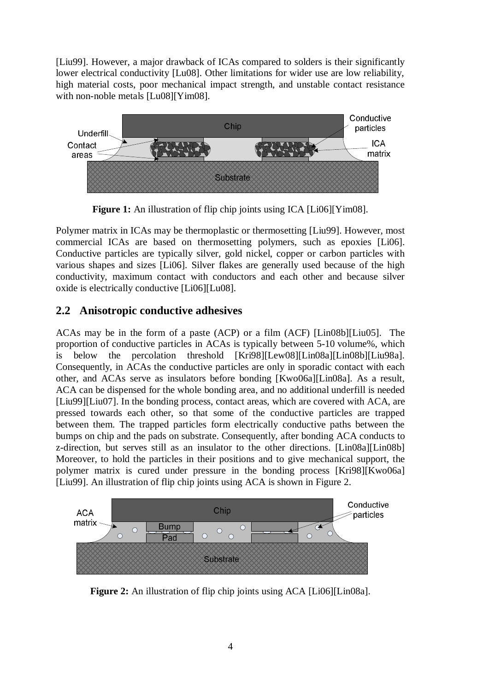[Liu99]. However, a major drawback of ICAs compared to solders is their significantly lower electrical conductivity [Lu08]. Other limitations for wider use are low reliability, high material costs, poor mechanical impact strength, and unstable contact resistance with non-noble metals [Lu08][Yim08].



**Figure 1:** An illustration of flip chip joints using ICA [Li06][Yim08].

Polymer matrix in ICAs may be thermoplastic or thermosetting [Liu99]. However, most commercial ICAs are based on thermosetting polymers, such as epoxies [Li06]. Conductive particles are typically silver, gold nickel, copper or carbon particles with various shapes and sizes [Li06]. Silver flakes are generally used because of the high conductivity, maximum contact with conductors and each other and because silver oxide is electrically conductive [Li06][Lu08].

# **2.2 Anisotropic conductive adhesives**

ACAs may be in the form of a paste (ACP) or a film (ACF) [Lin08b][Liu05]. The proportion of conductive particles in ACAs is typically between 5-10 volume%, which is below the percolation threshold [Kri98][Lew08][Lin08a][Lin08b][Liu98a]. Consequently, in ACAs the conductive particles are only in sporadic contact with each other, and ACAs serve as insulators before bonding [Kwo06a][Lin08a]. As a result, ACA can be dispensed for the whole bonding area, and no additional underfill is needed [Liu99][Liu07]. In the bonding process, contact areas, which are covered with ACA, are pressed towards each other, so that some of the conductive particles are trapped between them. The trapped particles form electrically conductive paths between the bumps on chip and the pads on substrate. Consequently, after bonding ACA conducts to z-direction, but serves still as an insulator to the other directions. [Lin08a][Lin08b] Moreover, to hold the particles in their positions and to give mechanical support, the polymer matrix is cured under pressure in the bonding process [Kri98][Kwo06a] [Liu99]. An illustration of flip chip joints using ACA is shown in Figure 2.



**Figure 2:** An illustration of flip chip joints using ACA [Li06][Lin08a].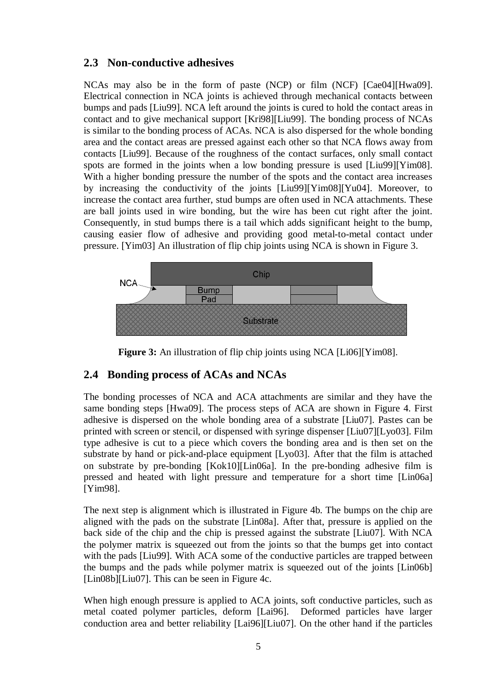## **2.3 Non-conductive adhesives**

NCAs may also be in the form of paste (NCP) or film (NCF) [Cae04][Hwa09]. Electrical connection in NCA joints is achieved through mechanical contacts between bumps and pads [Liu99]. NCA left around the joints is cured to hold the contact areas in contact and to give mechanical support [Kri98][Liu99]. The bonding process of NCAs is similar to the bonding process of ACAs. NCA is also dispersed for the whole bonding area and the contact areas are pressed against each other so that NCA flows away from contacts [Liu99]. Because of the roughness of the contact surfaces, only small contact spots are formed in the joints when a low bonding pressure is used [Liu99][Yim08]. With a higher bonding pressure the number of the spots and the contact area increases by increasing the conductivity of the joints [Liu99][Yim08][Yu04]. Moreover, to increase the contact area further, stud bumps are often used in NCA attachments. These are ball joints used in wire bonding, but the wire has been cut right after the joint. Consequently, in stud bumps there is a tail which adds significant height to the bump, causing easier flow of adhesive and providing good metal-to-metal contact under pressure. [Yim03] An illustration of flip chip joints using NCA is shown in Figure 3.



**Figure 3:** An illustration of flip chip joints using NCA [Li06][Yim08].

## **2.4 Bonding process of ACAs and NCAs**

The bonding processes of NCA and ACA attachments are similar and they have the same bonding steps [Hwa09]. The process steps of ACA are shown in Figure 4. First adhesive is dispersed on the whole bonding area of a substrate [Liu07]. Pastes can be printed with screen or stencil, or dispensed with syringe dispenser [Liu07][Lyo03]. Film type adhesive is cut to a piece which covers the bonding area and is then set on the substrate by hand or pick-and-place equipment [Lyo03]. After that the film is attached on substrate by pre-bonding [Kok10][Lin06a]. In the pre-bonding adhesive film is pressed and heated with light pressure and temperature for a short time [Lin06a] [Yim98].

The next step is alignment which is illustrated in Figure 4b. The bumps on the chip are aligned with the pads on the substrate [Lin08a]. After that, pressure is applied on the back side of the chip and the chip is pressed against the substrate [Liu07]. With NCA the polymer matrix is squeezed out from the joints so that the bumps get into contact with the pads [Liu99]. With ACA some of the conductive particles are trapped between the bumps and the pads while polymer matrix is squeezed out of the joints [Lin06b]  $[Lin08b][Liu07]$ . This can be seen in Figure 4c.

When high enough pressure is applied to ACA joints, soft conductive particles, such as metal coated polymer particles, deform [Lai96]. Deformed particles have larger conduction area and better reliability [Lai96][Liu07]. On the other hand if the particles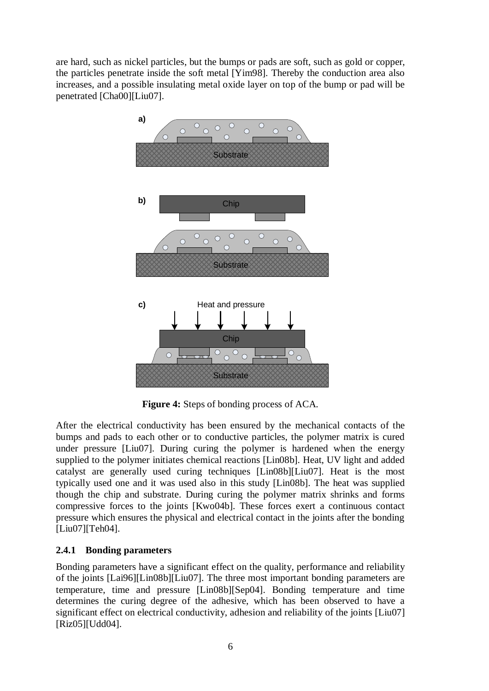are hard, such as nickel particles, but the bumps or pads are soft, such as gold or copper, the particles penetrate inside the soft metal [Yim98]. Thereby the conduction area also increases, and a possible insulating metal oxide layer on top of the bump or pad will be penetrated [Cha00][Liu07].



**Figure 4:** Steps of bonding process of ACA.

After the electrical conductivity has been ensured by the mechanical contacts of the bumps and pads to each other or to conductive particles, the polymer matrix is cured under pressure [Liu07]. During curing the polymer is hardened when the energy supplied to the polymer initiates chemical reactions [Lin08b]. Heat, UV light and added catalyst are generally used curing techniques [Lin08b][Liu07]. Heat is the most typically used one and it was used also in this study [Lin08b]. The heat was supplied though the chip and substrate. During curing the polymer matrix shrinks and forms compressive forces to the joints [Kwo04b]. These forces exert a continuous contact pressure which ensures the physical and electrical contact in the joints after the bonding [Liu07][Teh04].

## **2.4.1 Bonding parameters**

Bonding parameters have a significant effect on the quality, performance and reliability of the joints [Lai96][Lin08b][Liu07]. The three most important bonding parameters are temperature, time and pressure [Lin08b][Sep04]. Bonding temperature and time determines the curing degree of the adhesive, which has been observed to have a significant effect on electrical conductivity, adhesion and reliability of the joints [Liu07] [Riz05][Udd04].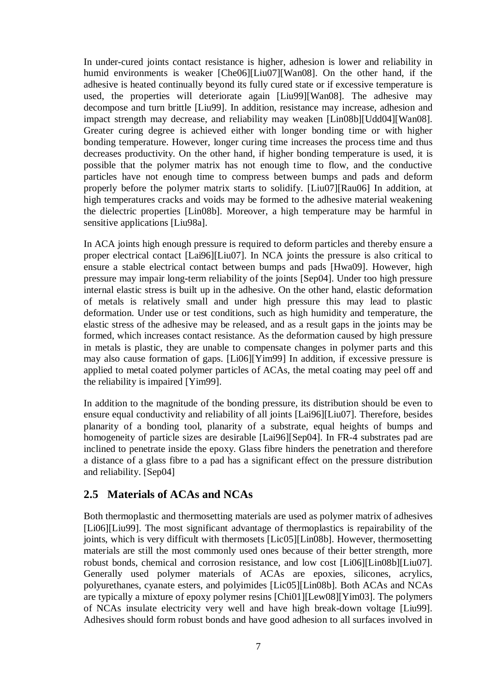In under-cured joints contact resistance is higher, adhesion is lower and reliability in humid environments is weaker [Che06][Liu07][Wan08]. On the other hand, if the adhesive is heated continually beyond its fully cured state or if excessive temperature is used, the properties will deteriorate again [Liu99][Wan08]. The adhesive may decompose and turn brittle [Liu99]. In addition, resistance may increase, adhesion and impact strength may decrease, and reliability may weaken [Lin08b][Udd04][Wan08]. Greater curing degree is achieved either with longer bonding time or with higher bonding temperature. However, longer curing time increases the process time and thus decreases productivity. On the other hand, if higher bonding temperature is used, it is possible that the polymer matrix has not enough time to flow, and the conductive particles have not enough time to compress between bumps and pads and deform properly before the polymer matrix starts to solidify. [Liu07][Rau06] In addition, at high temperatures cracks and voids may be formed to the adhesive material weakening the dielectric properties [Lin08b]. Moreover, a high temperature may be harmful in sensitive applications [Liu98a].

In ACA joints high enough pressure is required to deform particles and thereby ensure a proper electrical contact [Lai96][Liu07]. In NCA joints the pressure is also critical to ensure a stable electrical contact between bumps and pads [Hwa09]. However, high pressure may impair long-term reliability of the joints [Sep04]. Under too high pressure internal elastic stress is built up in the adhesive. On the other hand, elastic deformation of metals is relatively small and under high pressure this may lead to plastic deformation. Under use or test conditions, such as high humidity and temperature, the elastic stress of the adhesive may be released, and as a result gaps in the joints may be formed, which increases contact resistance. As the deformation caused by high pressure in metals is plastic, they are unable to compensate changes in polymer parts and this may also cause formation of gaps. [Li06][Yim99] In addition, if excessive pressure is applied to metal coated polymer particles of ACAs, the metal coating may peel off and the reliability is impaired [Yim99].

In addition to the magnitude of the bonding pressure, its distribution should be even to ensure equal conductivity and reliability of all joints [Lai96][Liu07]. Therefore, besides planarity of a bonding tool, planarity of a substrate, equal heights of bumps and homogeneity of particle sizes are desirable [Lai96][Sep04]. In FR-4 substrates pad are inclined to penetrate inside the epoxy. Glass fibre hinders the penetration and therefore a distance of a glass fibre to a pad has a significant effect on the pressure distribution and reliability. [Sep04]

## **2.5 Materials of ACAs and NCAs**

Both thermoplastic and thermosetting materials are used as polymer matrix of adhesives [Li06][Liu99]. The most significant advantage of thermoplastics is repairability of the joints, which is very difficult with thermosets [Lic05][Lin08b]. However, thermosetting materials are still the most commonly used ones because of their better strength, more robust bonds, chemical and corrosion resistance, and low cost [Li06][Lin08b][Liu07]. Generally used polymer materials of ACAs are epoxies, silicones, acrylics, polyurethanes, cyanate esters, and polyimides [Lic05][Lin08b]. Both ACAs and NCAs are typically a mixture of epoxy polymer resins [Chi01][Lew08][Yim03]. The polymers of NCAs insulate electricity very well and have high break-down voltage [Liu99]. Adhesives should form robust bonds and have good adhesion to all surfaces involved in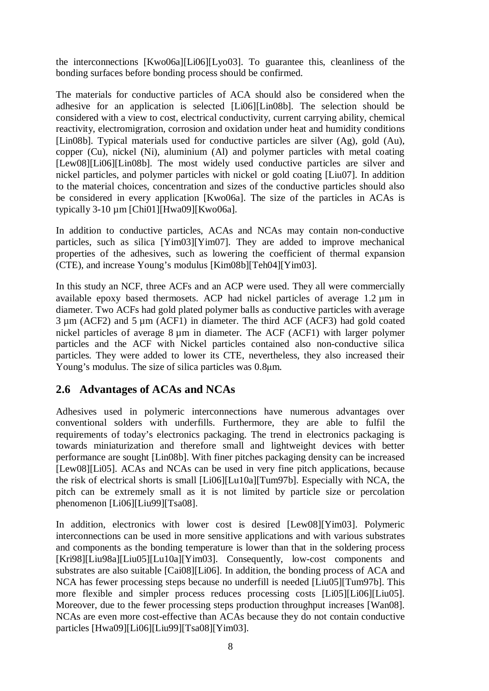the interconnections [Kwo06a][Li06][Lyo03]. To guarantee this, cleanliness of the bonding surfaces before bonding process should be confirmed.

The materials for conductive particles of ACA should also be considered when the adhesive for an application is selected [Li06][Lin08b]. The selection should be considered with a view to cost, electrical conductivity, current carrying ability, chemical reactivity, electromigration, corrosion and oxidation under heat and humidity conditions [Lin08b]. Typical materials used for conductive particles are silver (Ag), gold (Au), copper (Cu), nickel (Ni), aluminium (Al) and polymer particles with metal coating [Lew08][Li06][Lin08b]. The most widely used conductive particles are silver and nickel particles, and polymer particles with nickel or gold coating [Liu07]. In addition to the material choices, concentration and sizes of the conductive particles should also be considered in every application [Kwo06a]. The size of the particles in ACAs is typically 3-10 µm [Chi01][Hwa09][Kwo06a].

In addition to conductive particles, ACAs and NCAs may contain non-conductive particles, such as silica [Yim03][Yim07]. They are added to improve mechanical properties of the adhesives, such as lowering the coefficient of thermal expansion (CTE), and increase Young's modulus [Kim08b][Teh04][Yim03].

In this study an NCF, three ACFs and an ACP were used. They all were commercially available epoxy based thermosets. ACP had nickel particles of average 1.2 µm in diameter. Two ACFs had gold plated polymer balls as conductive particles with average 3 µm (ACF2) and 5 µm (ACF1) in diameter. The third ACF (ACF3) had gold coated nickel particles of average 8 µm in diameter. The ACF (ACF1) with larger polymer particles and the ACF with Nickel particles contained also non-conductive silica particles. They were added to lower its CTE, nevertheless, they also increased their Young's modulus. The size of silica particles was 0.8 $\mu$ m.

## **2.6 Advantages of ACAs and NCAs**

Adhesives used in polymeric interconnections have numerous advantages over conventional solders with underfills. Furthermore, they are able to fulfil the requirements of today's electronics packaging. The trend in electronics packaging is towards miniaturization and therefore small and lightweight devices with better performance are sought [Lin08b]. With finer pitches packaging density can be increased [Lew08][Li05]. ACAs and NCAs can be used in very fine pitch applications, because the risk of electrical shorts is small [Li06][Lu10a][Tum97b]. Especially with NCA, the pitch can be extremely small as it is not limited by particle size or percolation phenomenon [Li06][Liu99][Tsa08].

In addition, electronics with lower cost is desired [Lew08][Yim03]. Polymeric interconnections can be used in more sensitive applications and with various substrates and components as the bonding temperature is lower than that in the soldering process [Kri98][Liu98a][Liu05][Lu10a][Yim03]. Consequently, low-cost components and substrates are also suitable [Cai08][Li06]. In addition, the bonding process of ACA and NCA has fewer processing steps because no underfill is needed [Liu05][Tum97b]. This more flexible and simpler process reduces processing costs [Li05][Li06][Liu05]. Moreover, due to the fewer processing steps production throughput increases [Wan08]. NCAs are even more cost-effective than ACAs because they do not contain conductive particles [Hwa09][Li06][Liu99][Tsa08][Yim03].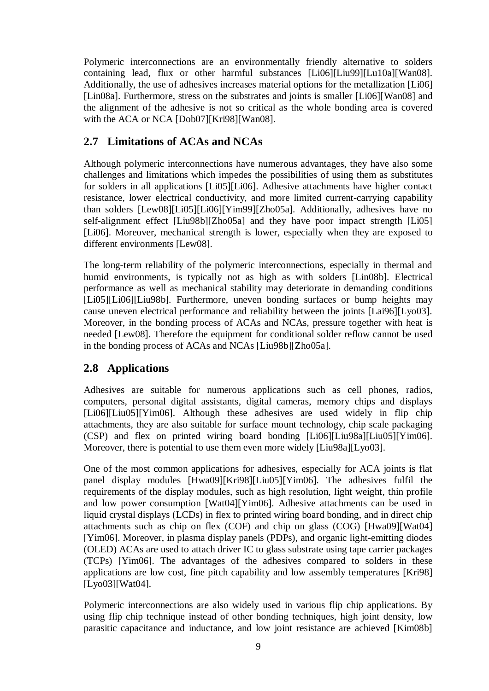Polymeric interconnections are an environmentally friendly alternative to solders containing lead, flux or other harmful substances [Li06][Liu99][Lu10a][Wan08]. Additionally, the use of adhesives increases material options for the metallization [Li06] [Lin08a]. Furthermore, stress on the substrates and joints is smaller [Li06][Wan08] and the alignment of the adhesive is not so critical as the whole bonding area is covered with the ACA or NCA [Dob07][Kri98][Wan08].

# **2.7 Limitations of ACAs and NCAs**

Although polymeric interconnections have numerous advantages, they have also some challenges and limitations which impedes the possibilities of using them as substitutes for solders in all applications [Li05][Li06]. Adhesive attachments have higher contact resistance, lower electrical conductivity, and more limited current-carrying capability than solders [Lew08][Li05][Li06][Yim99][Zho05a]. Additionally, adhesives have no self-alignment effect [Liu98b][Zho05a] and they have poor impact strength [Li05] [Li06]. Moreover, mechanical strength is lower, especially when they are exposed to different environments [Lew08].

The long-term reliability of the polymeric interconnections, especially in thermal and humid environments, is typically not as high as with solders [Lin08b]. Electrical performance as well as mechanical stability may deteriorate in demanding conditions [Li05][Li06][Liu98b]. Furthermore, uneven bonding surfaces or bump heights may cause uneven electrical performance and reliability between the joints [Lai96][Lyo03]. Moreover, in the bonding process of ACAs and NCAs, pressure together with heat is needed [Lew08]. Therefore the equipment for conditional solder reflow cannot be used in the bonding process of ACAs and NCAs [Liu98b][Zho05a].

# **2.8 Applications**

Adhesives are suitable for numerous applications such as cell phones, radios, computers, personal digital assistants, digital cameras, memory chips and displays [Li06][Liu05][Yim06]. Although these adhesives are used widely in flip chip attachments, they are also suitable for surface mount technology, chip scale packaging (CSP) and flex on printed wiring board bonding [Li06][Liu98a][Liu05][Yim06]. Moreover, there is potential to use them even more widely [Liu98a][Lyo03].

One of the most common applications for adhesives, especially for ACA joints is flat panel display modules [Hwa09][Kri98][Liu05][Yim06]. The adhesives fulfil the requirements of the display modules, such as high resolution, light weight, thin profile and low power consumption [Wat04][Yim06]. Adhesive attachments can be used in liquid crystal displays (LCDs) in flex to printed wiring board bonding, and in direct chip attachments such as chip on flex (COF) and chip on glass (COG) [Hwa09][Wat04] [Yim06]. Moreover, in plasma display panels (PDPs), and organic light-emitting diodes (OLED) ACAs are used to attach driver IC to glass substrate using tape carrier packages (TCPs) [Yim06]. The advantages of the adhesives compared to solders in these applications are low cost, fine pitch capability and low assembly temperatures [Kri98] [Lyo03][Wat04].

Polymeric interconnections are also widely used in various flip chip applications. By using flip chip technique instead of other bonding techniques, high joint density, low parasitic capacitance and inductance, and low joint resistance are achieved [Kim08b]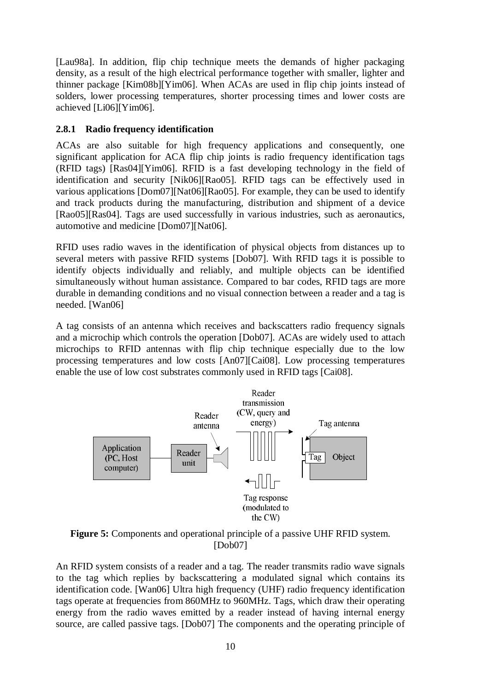[Lau98a]. In addition, flip chip technique meets the demands of higher packaging density, as a result of the high electrical performance together with smaller, lighter and thinner package [Kim08b][Yim06]. When ACAs are used in flip chip joints instead of solders, lower processing temperatures, shorter processing times and lower costs are achieved [Li06][Yim06].

### **2.8.1 Radio frequency identification**

ACAs are also suitable for high frequency applications and consequently, one significant application for ACA flip chip joints is radio frequency identification tags (RFID tags) [Ras04][Yim06]. RFID is a fast developing technology in the field of identification and security [Nik06][Rao05]. RFID tags can be effectively used in various applications [Dom07][Nat06][Rao05]. For example, they can be used to identify and track products during the manufacturing, distribution and shipment of a device [Rao05][Ras04]. Tags are used successfully in various industries, such as aeronautics, automotive and medicine [Dom07][Nat06].

RFID uses radio waves in the identification of physical objects from distances up to several meters with passive RFID systems [Dob07]. With RFID tags it is possible to identify objects individually and reliably, and multiple objects can be identified simultaneously without human assistance. Compared to bar codes, RFID tags are more durable in demanding conditions and no visual connection between a reader and a tag is needed. [Wan06]

A tag consists of an antenna which receives and backscatters radio frequency signals and a microchip which controls the operation [Dob07]. ACAs are widely used to attach microchips to RFID antennas with flip chip technique especially due to the low processing temperatures and low costs [An07][Cai08]. Low processing temperatures enable the use of low cost substrates commonly used in RFID tags [Cai08].



**Figure 5:** Components and operational principle of a passive UHF RFID system. [Dob07]

An RFID system consists of a reader and a tag. The reader transmits radio wave signals to the tag which replies by backscattering a modulated signal which contains its identification code. [Wan06] Ultra high frequency (UHF) radio frequency identification tags operate at frequencies from 860MHz to 960MHz. Tags, which draw their operating energy from the radio waves emitted by a reader instead of having internal energy source, are called passive tags. [Dob07] The components and the operating principle of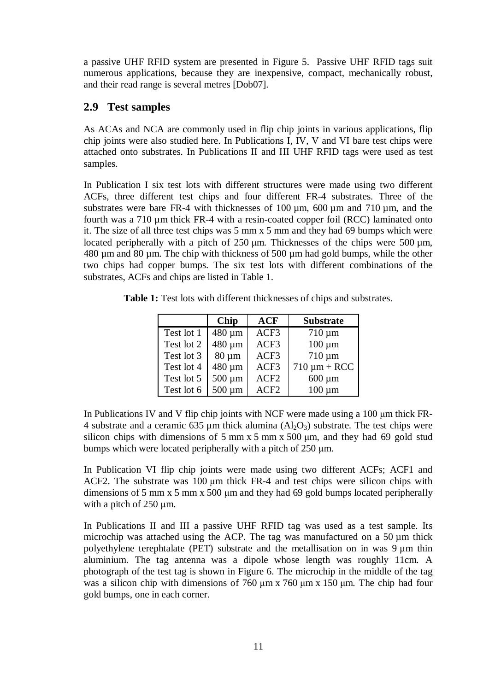a passive UHF RFID system are presented in Figure 5. Passive UHF RFID tags suit numerous applications, because they are inexpensive, compact, mechanically robust, and their read range is several metres [Dob07].

## **2.9 Test samples**

As ACAs and NCA are commonly used in flip chip joints in various applications, flip chip joints were also studied here. In Publications I, IV, V and VI bare test chips were attached onto substrates. In Publications II and III UHF RFID tags were used as test samples.

In Publication I six test lots with different structures were made using two different ACFs, three different test chips and four different FR-4 substrates. Three of the substrates were bare FR-4 with thicknesses of  $100 \mu m$ ,  $600 \mu m$  and  $710 \mu m$ , and the fourth was a 710 µm thick FR-4 with a resin-coated copper foil (RCC) laminated onto it. The size of all three test chips was 5 mm x 5 mm and they had 69 bumps which were located peripherally with a pitch of  $250 \mu m$ . Thicknesses of the chips were  $500 \mu m$ , 480 µm and 80 µm. The chip with thickness of 500 µm had gold bumps, while the other two chips had copper bumps. The six test lots with different combinations of the substrates, ACFs and chips are listed in Table 1.

**Table 1:** Test lots with different thicknesses of chips and substrates.

|            | Chip        | <b>ACF</b>       | <b>Substrate</b>  |
|------------|-------------|------------------|-------------------|
| Test lot 1 | 480 µm      | ACF3             | $710 \mu m$       |
| Test lot 2 | 480 µm      | ACF3             | $100 \mu m$       |
| Test lot 3 | $80 \mu m$  | ACF3             | $710 \mu m$       |
| Test lot 4 | 480 µm      | ACF3             | $710 \mu m + RCC$ |
| Test lot 5 | $500 \mu m$ | ACF <sub>2</sub> | $600 \mu m$       |
| Test lot 6 | 500 µm      | ACF <sub>2</sub> | $100 \mu m$       |

In Publications IV and V flip chip joints with NCF were made using a  $100 \mu m$  thick FR-4 substrate and a ceramic 635 µm thick alumina  $(A<sub>2</sub>O<sub>3</sub>)$  substrate. The test chips were silicon chips with dimensions of 5 mm x 5 mm x 500  $\mu$ m, and they had 69 gold stud bumps which were located peripherally with a pitch of  $250 \mu m$ .

In Publication VI flip chip joints were made using two different ACFs; ACF1 and ACF2. The substrate was  $100 \mu m$  thick FR-4 and test chips were silicon chips with dimensions of 5 mm  $x$  5 mm  $x$  500  $\mu$ m and they had 69 gold bumps located peripherally with a pitch of  $250 \mu m$ .

In Publications II and III a passive UHF RFID tag was used as a test sample. Its microchip was attached using the ACP. The tag was manufactured on a  $50 \mu m$  thick polyethylene terephtalate (PET) substrate and the metallisation on in was  $9 \mu m$  thin aluminium. The tag antenna was a dipole whose length was roughly 11cm. A photograph of the test tag is shown in Figure 6. The microchip in the middle of the tag was a silicon chip with dimensions of  $760 \mu m \times 760 \mu m \times 150 \mu m$ . The chip had four gold bumps, one in each corner.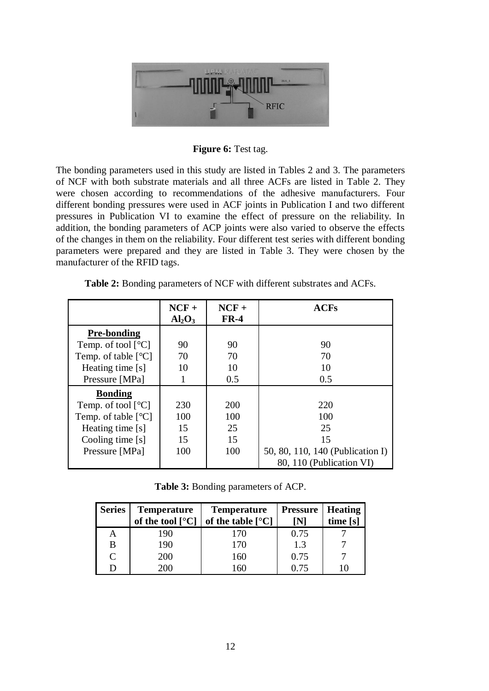

**Figure 6:** Test tag.

The bonding parameters used in this study are listed in Tables 2 and 3. The parameters of NCF with both substrate materials and all three ACFs are listed in Table 2. They were chosen according to recommendations of the adhesive manufacturers. Four different bonding pressures were used in ACF joints in Publication I and two different pressures in Publication VI to examine the effect of pressure on the reliability. In addition, the bonding parameters of ACP joints were also varied to observe the effects of the changes in them on the reliability. Four different test series with different bonding parameters were prepared and they are listed in Table 3. They were chosen by the manufacturer of the RFID tags.

| <b>Table 2:</b> Bonding parameters of NCF with different substrates and ACFs. |
|-------------------------------------------------------------------------------|
|-------------------------------------------------------------------------------|

|                                           | $NCF +$<br>Al <sub>2</sub> O <sub>3</sub> | $NCF +$<br>$FR-4$ | <b>ACFs</b>                      |
|-------------------------------------------|-------------------------------------------|-------------------|----------------------------------|
| <b>Pre-bonding</b>                        |                                           |                   |                                  |
| Temp. of tool $\lceil {^{\circ}C} \rceil$ | 90                                        | 90                | 90                               |
| Temp. of table $[^{\circ}C]$              | 70                                        | 70                | 70                               |
| Heating time [s]                          | 10                                        | 10                | 10                               |
| Pressure [MPa]                            |                                           | 0.5               | 0.5                              |
| <b>Bonding</b>                            |                                           |                   |                                  |
| Temp. of tool $[^{\circ}C]$               | 230                                       | <b>200</b>        | 220                              |
| Temp. of table $[^{\circ}C]$              | 100                                       | 100               | 100                              |
| Heating time [s]                          | 15                                        | 25                | 25                               |
| Cooling time [s]                          | 15                                        | 15                | 15                               |
| Pressure [MPa]                            | 100                                       | 100               | 50, 80, 110, 140 (Publication I) |
|                                           |                                           |                   | 80, 110 (Publication VI)         |

**Table 3:** Bonding parameters of ACP.

| <b>Series</b> | <b>Temperature</b><br>of the tool $\lceil \degree C \rceil$ | <b>Temperature</b><br>of the table $[°C]$ | <b>Pressure</b><br>ſΝ | Heating<br>time [s] |
|---------------|-------------------------------------------------------------|-------------------------------------------|-----------------------|---------------------|
|               | 190                                                         | 170                                       | 0.75                  |                     |
| В             | 190                                                         | 170                                       | 1.3                   |                     |
| C             | 200                                                         | 160                                       | 0.75                  |                     |
|               | 200                                                         | 60                                        | 0.75                  |                     |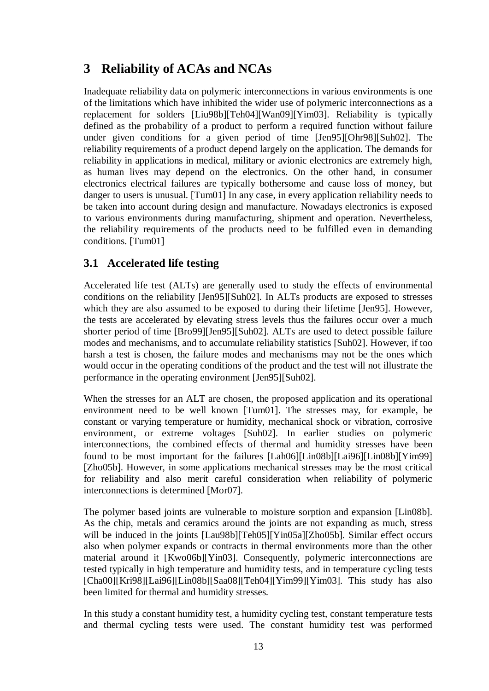# **3 Reliability of ACAs and NCAs**

Inadequate reliability data on polymeric interconnections in various environments is one of the limitations which have inhibited the wider use of polymeric interconnections as a replacement for solders [Liu98b][Teh04][Wan09][Yim03]. Reliability is typically defined as the probability of a product to perform a required function without failure under given conditions for a given period of time [Jen95][Ohr98][Suh02]. The reliability requirements of a product depend largely on the application. The demands for reliability in applications in medical, military or avionic electronics are extremely high, as human lives may depend on the electronics. On the other hand, in consumer electronics electrical failures are typically bothersome and cause loss of money, but danger to users is unusual. [Tum01] In any case, in every application reliability needs to be taken into account during design and manufacture. Nowadays electronics is exposed to various environments during manufacturing, shipment and operation. Nevertheless, the reliability requirements of the products need to be fulfilled even in demanding conditions. [Tum01]

# **3.1 Accelerated life testing**

Accelerated life test (ALTs) are generally used to study the effects of environmental conditions on the reliability [Jen95][Suh02]. In ALTs products are exposed to stresses which they are also assumed to be exposed to during their lifetime [Jen95]. However, the tests are accelerated by elevating stress levels thus the failures occur over a much shorter period of time [Bro99][Jen95][Suh02]. ALTs are used to detect possible failure modes and mechanisms, and to accumulate reliability statistics [Suh02]. However, if too harsh a test is chosen, the failure modes and mechanisms may not be the ones which would occur in the operating conditions of the product and the test will not illustrate the performance in the operating environment [Jen95][Suh02].

When the stresses for an ALT are chosen, the proposed application and its operational environment need to be well known [Tum01]. The stresses may, for example, be constant or varying temperature or humidity, mechanical shock or vibration, corrosive environment, or extreme voltages [Suh02]. In earlier studies on polymeric interconnections, the combined effects of thermal and humidity stresses have been found to be most important for the failures [Lah06][Lin08b][Lai96][Lin08b][Yim99] [Zho05b]. However, in some applications mechanical stresses may be the most critical for reliability and also merit careful consideration when reliability of polymeric interconnections is determined [Mor07].

The polymer based joints are vulnerable to moisture sorption and expansion [Lin08b]. As the chip, metals and ceramics around the joints are not expanding as much, stress will be induced in the joints [Lau98b][Teh05][Yin05a][Zho05b]. Similar effect occurs also when polymer expands or contracts in thermal environments more than the other material around it [Kwo06b][Yin03]. Consequently, polymeric interconnections are tested typically in high temperature and humidity tests, and in temperature cycling tests [Cha00][Kri98][Lai96][Lin08b][Saa08][Teh04][Yim99][Yim03]. This study has also been limited for thermal and humidity stresses.

In this study a constant humidity test, a humidity cycling test, constant temperature tests and thermal cycling tests were used. The constant humidity test was performed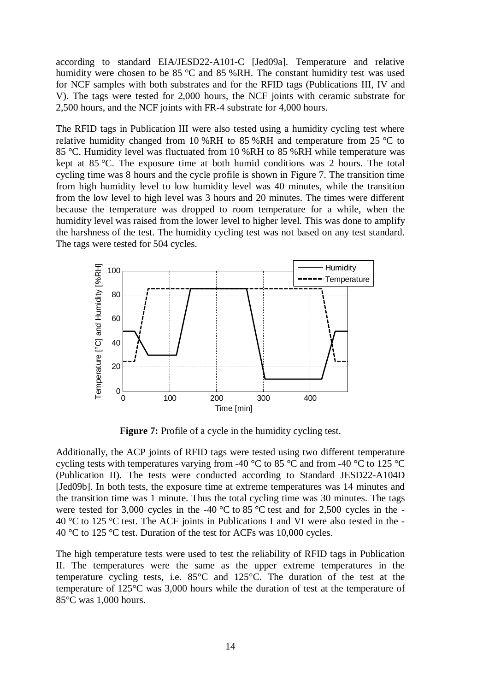according to standard EIA/JESD22-A101-C [Jed09a]. Temperature and relative humidity were chosen to be 85 °C and 85 %RH. The constant humidity test was used for NCF samples with both substrates and for the RFID tags (Publications III, IV and V). The tags were tested for 2,000 hours, the NCF joints with ceramic substrate for 2,500 hours, and the NCF joints with FR-4 substrate for 4,000 hours.

The RFID tags in Publication III were also tested using a humidity cycling test where relative humidity changed from 10 %RH to 85 %RH and temperature from 25  $\degree$ C to 85 °C. Humidity level was fluctuated from 10 %RH to 85 %RH while temperature was kept at 85 °C. The exposure time at both humid conditions was 2 hours. The total cycling time was 8 hours and the cycle profile is shown in Figure 7. The transition time from high humidity level to low humidity level was 40 minutes, while the transition from the low level to high level was 3 hours and 20 minutes. The times were different because the temperature was dropped to room temperature for a while, when the humidity level was raised from the lower level to higher level. This was done to amplify the harshness of the test. The humidity cycling test was not based on any test standard. The tags were tested for 504 cycles.



**Figure 7:** Profile of a cycle in the humidity cycling test.

Additionally, the ACP joints of RFID tags were tested using two different temperature cycling tests with temperatures varying from -40  $^{\circ}$ C to 85  $^{\circ}$ C and from -40  $^{\circ}$ C to 125  $^{\circ}$ C (Publication II). The tests were conducted according to Standard JESD22-A104D [Jed09b]. In both tests, the exposure time at extreme temperatures was 14 minutes and the transition time was 1 minute. Thus the total cycling time was 30 minutes. The tags were tested for 3,000 cycles in the -40  $\degree$ C to 85  $\degree$ C test and for 2,500 cycles in the -40 °C to 125 °C test. The ACF joints in Publications I and VI were also tested in the - 40 °C to 125 °C test. Duration of the test for ACFs was 10,000 cycles.

The high temperature tests were used to test the reliability of RFID tags in Publication II. The temperatures were the same as the upper extreme temperatures in the temperature cycling tests, i.e. 85°C and 125°C. The duration of the test at the temperature of 125°C was 3,000 hours while the duration of test at the temperature of 85°C was 1,000 hours.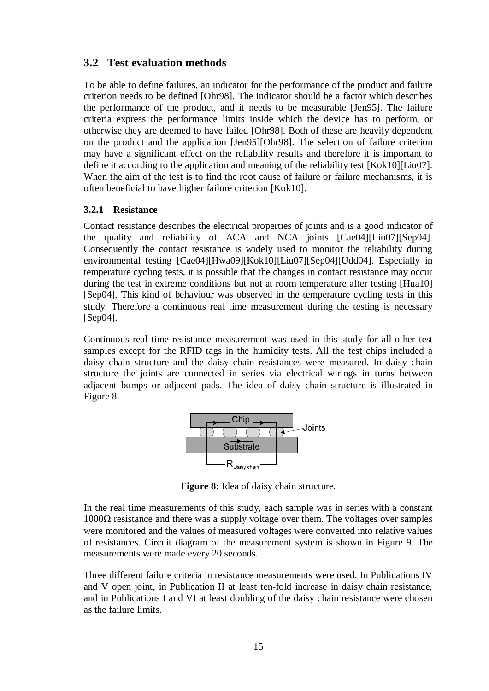## **3.2 Test evaluation methods**

To be able to define failures, an indicator for the performance of the product and failure criterion needs to be defined [Ohr98]. The indicator should be a factor which describes the performance of the product, and it needs to be measurable [Jen95]. The failure criteria express the performance limits inside which the device has to perform, or otherwise they are deemed to have failed [Ohr98]. Both of these are heavily dependent on the product and the application [Jen95][Ohr98]. The selection of failure criterion may have a significant effect on the reliability results and therefore it is important to define it according to the application and meaning of the reliability test [Kok10][Liu07]. When the aim of the test is to find the root cause of failure or failure mechanisms, it is often beneficial to have higher failure criterion [Kok10].

### **3.2.1 Resistance**

Contact resistance describes the electrical properties of joints and is a good indicator of the quality and reliability of ACA and NCA joints [Cae04][Liu07][Sep04]. Consequently the contact resistance is widely used to monitor the reliability during environmental testing [Cae04][Hwa09][Kok10][Liu07][Sep04][Udd04]. Especially in temperature cycling tests, it is possible that the changes in contact resistance may occur during the test in extreme conditions but not at room temperature after testing [Hua10] [Sep04]. This kind of behaviour was observed in the temperature cycling tests in this study. Therefore a continuous real time measurement during the testing is necessary [Sep04].

Continuous real time resistance measurement was used in this study for all other test samples except for the RFID tags in the humidity tests. All the test chips included a daisy chain structure and the daisy chain resistances were measured. In daisy chain structure the joints are connected in series via electrical wirings in turns between adjacent bumps or adjacent pads. The idea of daisy chain structure is illustrated in Figure 8.



**Figure 8:** Idea of daisy chain structure.

In the real time measurements of this study, each sample was in series with a constant  $1000\Omega$  resistance and there was a supply voltage over them. The voltages over samples were monitored and the values of measured voltages were converted into relative values of resistances. Circuit diagram of the measurement system is shown in Figure 9. The measurements were made every 20 seconds.

Three different failure criteria in resistance measurements were used. In Publications IV and V open joint, in Publication II at least ten-fold increase in daisy chain resistance, and in Publications I and VI at least doubling of the daisy chain resistance were chosen as the failure limits.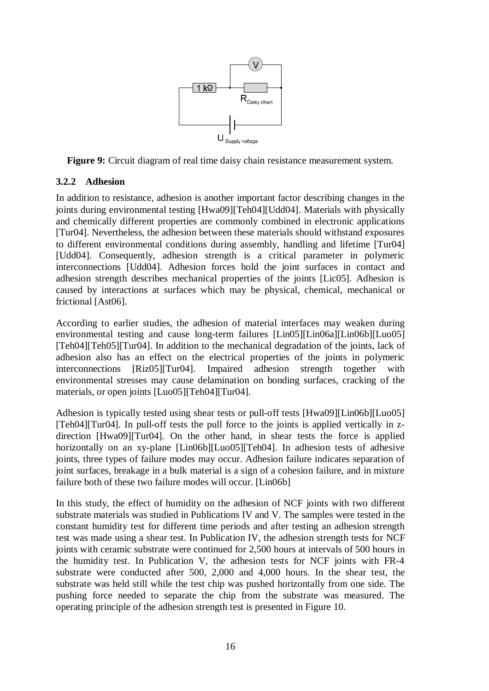

**Figure 9:** Circuit diagram of real time daisy chain resistance measurement system.

### **3.2.2 Adhesion**

In addition to resistance, adhesion is another important factor describing changes in the joints during environmental testing [Hwa09][Teh04][Udd04]. Materials with physically and chemically different properties are commonly combined in electronic applications [Tur04]. Nevertheless, the adhesion between these materials should withstand exposures to different environmental conditions during assembly, handling and lifetime [Tur04] [Udd04]. Consequently, adhesion strength is a critical parameter in polymeric interconnections [Udd04]. Adhesion forces hold the joint surfaces in contact and adhesion strength describes mechanical properties of the joints [Lic05]. Adhesion is caused by interactions at surfaces which may be physical, chemical, mechanical or frictional [Ast06].

According to earlier studies, the adhesion of material interfaces may weaken during environmental testing and cause long-term failures [Lin05][Lin06a][Lin06b][Luo05] [Teh04][Teh05][Tur04]. In addition to the mechanical degradation of the joints, lack of adhesion also has an effect on the electrical properties of the joints in polymeric interconnections [Riz05][Tur04]. Impaired adhesion strength together with environmental stresses may cause delamination on bonding surfaces, cracking of the materials, or open joints [Luo05][Teh04][Tur04].

Adhesion is typically tested using shear tests or pull-off tests [Hwa09][Lin06b][Luo05] [Teh04][Tur04]. In pull-off tests the pull force to the joints is applied vertically in zdirection [Hwa09][Tur04]. On the other hand, in shear tests the force is applied horizontally on an xy-plane [Lin06b][Luo05][Teh04]. In adhesion tests of adhesive joints, three types of failure modes may occur. Adhesion failure indicates separation of joint surfaces, breakage in a bulk material is a sign of a cohesion failure, and in mixture failure both of these two failure modes will occur. [Lin06b]

In this study, the effect of humidity on the adhesion of NCF joints with two different substrate materials was studied in Publications IV and V. The samples were tested in the constant humidity test for different time periods and after testing an adhesion strength test was made using a shear test. In Publication IV, the adhesion strength tests for NCF joints with ceramic substrate were continued for 2,500 hours at intervals of 500 hours in the humidity test. In Publication V, the adhesion tests for NCF joints with FR-4 substrate were conducted after 500, 2,000 and 4,000 hours. In the shear test, the substrate was held still while the test chip was pushed horizontally from one side. The pushing force needed to separate the chip from the substrate was measured. The operating principle of the adhesion strength test is presented in Figure 10.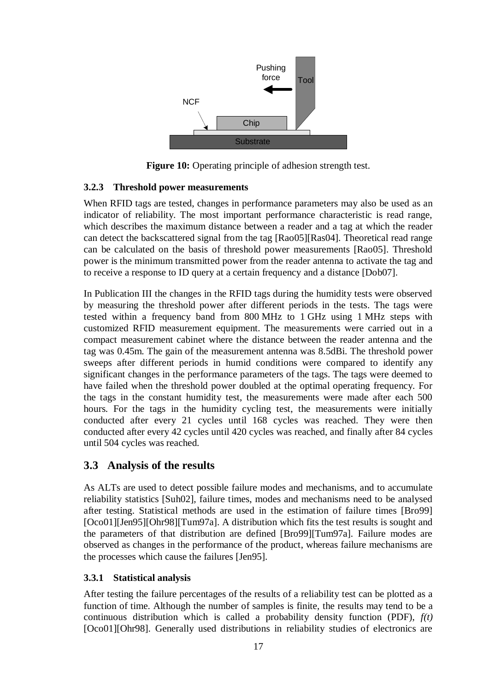

**Figure 10:** Operating principle of adhesion strength test.

### **3.2.3 Threshold power measurements**

When RFID tags are tested, changes in performance parameters may also be used as an indicator of reliability. The most important performance characteristic is read range, which describes the maximum distance between a reader and a tag at which the reader can detect the backscattered signal from the tag [Rao05][Ras04]. Theoretical read range can be calculated on the basis of threshold power measurements [Rao05]. Threshold power is the minimum transmitted power from the reader antenna to activate the tag and to receive a response to ID query at a certain frequency and a distance [Dob07].

In Publication III the changes in the RFID tags during the humidity tests were observed by measuring the threshold power after different periods in the tests. The tags were tested within a frequency band from 800 MHz to 1 GHz using 1 MHz steps with customized RFID measurement equipment. The measurements were carried out in a compact measurement cabinet where the distance between the reader antenna and the tag was 0.45m. The gain of the measurement antenna was 8.5dBi. The threshold power sweeps after different periods in humid conditions were compared to identify any significant changes in the performance parameters of the tags. The tags were deemed to have failed when the threshold power doubled at the optimal operating frequency. For the tags in the constant humidity test, the measurements were made after each 500 hours. For the tags in the humidity cycling test, the measurements were initially conducted after every 21 cycles until 168 cycles was reached. They were then conducted after every 42 cycles until 420 cycles was reached, and finally after 84 cycles until 504 cycles was reached.

# **3.3 Analysis of the results**

As ALTs are used to detect possible failure modes and mechanisms, and to accumulate reliability statistics [Suh02], failure times, modes and mechanisms need to be analysed after testing. Statistical methods are used in the estimation of failure times [Bro99] [Oco01][Jen95][Ohr98][Tum97a]. A distribution which fits the test results is sought and the parameters of that distribution are defined [Bro99][Tum97a]. Failure modes are observed as changes in the performance of the product, whereas failure mechanisms are the processes which cause the failures [Jen95].

## **3.3.1 Statistical analysis**

After testing the failure percentages of the results of a reliability test can be plotted as a function of time. Although the number of samples is finite, the results may tend to be a continuous distribution which is called a probability density function (PDF), *f(t)* [Oco01][Ohr98]. Generally used distributions in reliability studies of electronics are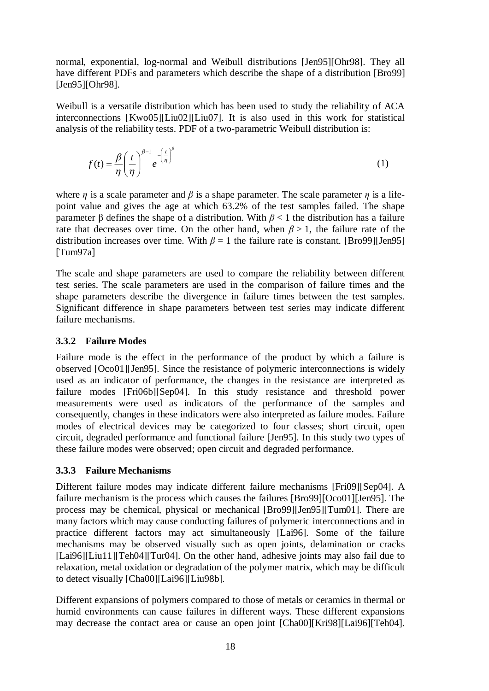normal, exponential, log-normal and Weibull distributions [Jen95][Ohr98]. They all have different PDFs and parameters which describe the shape of a distribution [Bro99] [Jen95][Ohr98].

Weibull is a versatile distribution which has been used to study the reliability of ACA interconnections [Kwo05][Liu02][Liu07]. It is also used in this work for statistical analysis of the reliability tests. PDF of a two-parametric Weibull distribution is:

$$
f(t) = \frac{\beta}{\eta} \left(\frac{t}{\eta}\right)^{\beta - 1} e^{-\left(\frac{t}{\eta}\right)^{\beta}}
$$
 (1)

where  $\eta$  is a scale parameter and  $\beta$  is a shape parameter. The scale parameter  $\eta$  is a lifepoint value and gives the age at which 63.2% of the test samples failed. The shape parameter  $\beta$  defines the shape of a distribution. With  $\beta$  < 1 the distribution has a failure rate that decreases over time. On the other hand, when  $\beta > 1$ , the failure rate of the distribution increases over time. With  $\beta = 1$  the failure rate is constant. [Bro99][Jen95] [Tum97a]

The scale and shape parameters are used to compare the reliability between different test series. The scale parameters are used in the comparison of failure times and the shape parameters describe the divergence in failure times between the test samples. Significant difference in shape parameters between test series may indicate different failure mechanisms.

### **3.3.2 Failure Modes**

Failure mode is the effect in the performance of the product by which a failure is observed [Oco01][Jen95]. Since the resistance of polymeric interconnections is widely used as an indicator of performance, the changes in the resistance are interpreted as failure modes [Fri06b][Sep04]. In this study resistance and threshold power measurements were used as indicators of the performance of the samples and consequently, changes in these indicators were also interpreted as failure modes. Failure modes of electrical devices may be categorized to four classes; short circuit, open circuit, degraded performance and functional failure [Jen95]. In this study two types of these failure modes were observed; open circuit and degraded performance.

### **3.3.3 Failure Mechanisms**

Different failure modes may indicate different failure mechanisms [Fri09][Sep04]. A failure mechanism is the process which causes the failures [Bro99][Oco01][Jen95]. The process may be chemical, physical or mechanical [Bro99][Jen95][Tum01]. There are many factors which may cause conducting failures of polymeric interconnections and in practice different factors may act simultaneously [Lai96]. Some of the failure mechanisms may be observed visually such as open joints, delamination or cracks [Lai96][Liu11][Teh04][Tur04]. On the other hand, adhesive joints may also fail due to relaxation, metal oxidation or degradation of the polymer matrix, which may be difficult to detect visually [Cha00][Lai96][Liu98b].

Different expansions of polymers compared to those of metals or ceramics in thermal or humid environments can cause failures in different ways. These different expansions may decrease the contact area or cause an open joint [Cha00][Kri98][Lai96][Teh04].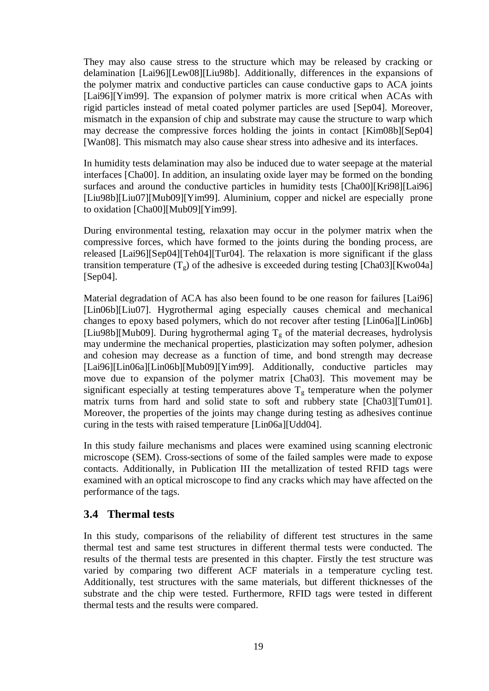They may also cause stress to the structure which may be released by cracking or delamination [Lai96][Lew08][Liu98b]. Additionally, differences in the expansions of the polymer matrix and conductive particles can cause conductive gaps to ACA joints [Lai96][Yim99]. The expansion of polymer matrix is more critical when ACAs with rigid particles instead of metal coated polymer particles are used [Sep04]. Moreover, mismatch in the expansion of chip and substrate may cause the structure to warp which may decrease the compressive forces holding the joints in contact [Kim08b][Sep04] [Wan08]. This mismatch may also cause shear stress into adhesive and its interfaces.

In humidity tests delamination may also be induced due to water seepage at the material interfaces [Cha00]. In addition, an insulating oxide layer may be formed on the bonding surfaces and around the conductive particles in humidity tests [Cha00][Kri98][Lai96] [Liu98b][Liu07][Mub09][Yim99]. Aluminium, copper and nickel are especially prone to oxidation [Cha00][Mub09][Yim99].

During environmental testing, relaxation may occur in the polymer matrix when the compressive forces, which have formed to the joints during the bonding process, are released [Lai96][Sep04][Teh04][Tur04]. The relaxation is more significant if the glass transition temperature  $(T<sub>g</sub>)$  of the adhesive is exceeded during testing [Cha03][Kwo04a] [Sep04].

Material degradation of ACA has also been found to be one reason for failures [Lai96] [Lin06b][Liu07]. Hygrothermal aging especially causes chemical and mechanical changes to epoxy based polymers, which do not recover after testing [Lin06a][Lin06b] [Liu98b][Mub09]. During hygrothermal aging  $T<sub>g</sub>$  of the material decreases, hydrolysis may undermine the mechanical properties, plasticization may soften polymer, adhesion and cohesion may decrease as a function of time, and bond strength may decrease [Lai96][Lin06a][Lin06b][Mub09][Yim99]. Additionally, conductive particles may move due to expansion of the polymer matrix [Cha03]. This movement may be significant especially at testing temperatures above  $T_g$  temperature when the polymer matrix turns from hard and solid state to soft and rubbery state [Cha03][Tum01]. Moreover, the properties of the joints may change during testing as adhesives continue curing in the tests with raised temperature [Lin06a][Udd04].

In this study failure mechanisms and places were examined using scanning electronic microscope (SEM). Cross-sections of some of the failed samples were made to expose contacts. Additionally, in Publication III the metallization of tested RFID tags were examined with an optical microscope to find any cracks which may have affected on the performance of the tags.

## **3.4 Thermal tests**

In this study, comparisons of the reliability of different test structures in the same thermal test and same test structures in different thermal tests were conducted. The results of the thermal tests are presented in this chapter. Firstly the test structure was varied by comparing two different ACF materials in a temperature cycling test. Additionally, test structures with the same materials, but different thicknesses of the substrate and the chip were tested. Furthermore, RFID tags were tested in different thermal tests and the results were compared.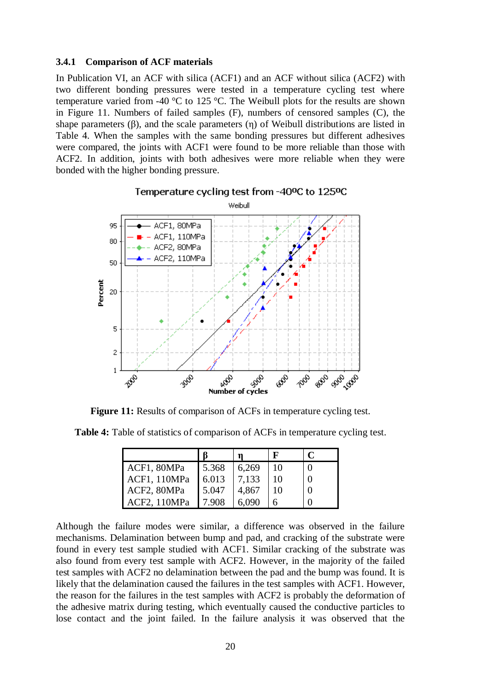#### **3.4.1 Comparison of ACF materials**

In Publication VI, an ACF with silica (ACF1) and an ACF without silica (ACF2) with two different bonding pressures were tested in a temperature cycling test where temperature varied from -40 °C to 125 °C. The Weibull plots for the results are shown in Figure 11. Numbers of failed samples (F), numbers of censored samples (C), the shape parameters  $(\beta)$ , and the scale parameters  $(\eta)$  of Weibull distributions are listed in Table 4. When the samples with the same bonding pressures but different adhesives were compared, the joints with ACF1 were found to be more reliable than those with ACF2. In addition, joints with both adhesives were more reliable when they were bonded with the higher bonding pressure.



#### Temperature cycling test from -40ºC to 125ºC

**Figure 11:** Results of comparison of ACFs in temperature cycling test.

**Table 4:** Table of statistics of comparison of ACFs in temperature cycling test.

|              |       |                |    | C |
|--------------|-------|----------------|----|---|
| ACF1, 80MPa  | 5.368 | 6,269          | 10 |   |
| ACF1, 110MPa | 6.013 | 7,133<br>4,867 | 10 |   |
| ACF2, 80MPa  | 5.047 |                | 10 |   |
| ACF2, 110MPa | 7908  | 6.090          |    |   |

Although the failure modes were similar, a difference was observed in the failure mechanisms. Delamination between bump and pad, and cracking of the substrate were found in every test sample studied with ACF1. Similar cracking of the substrate was also found from every test sample with ACF2. However, in the majority of the failed test samples with ACF2 no delamination between the pad and the bump was found. It is likely that the delamination caused the failures in the test samples with ACF1. However, the reason for the failures in the test samples with ACF2 is probably the deformation of the adhesive matrix during testing, which eventually caused the conductive particles to lose contact and the joint failed. In the failure analysis it was observed that the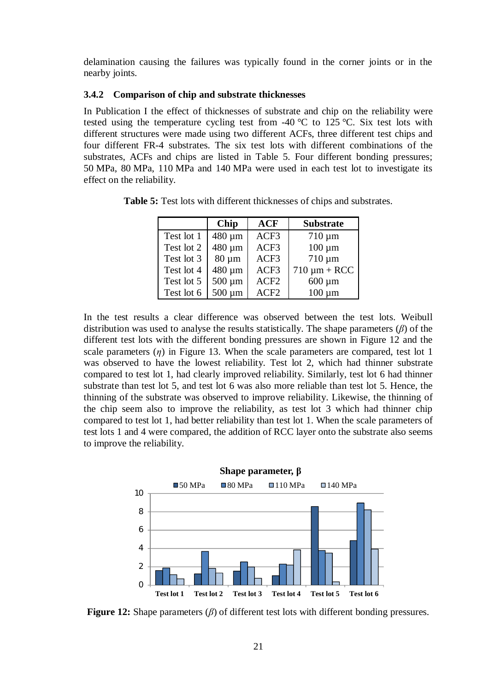delamination causing the failures was typically found in the corner joints or in the nearby joints.

### **3.4.2 Comparison of chip and substrate thicknesses**

In Publication I the effect of thicknesses of substrate and chip on the reliability were tested using the temperature cycling test from -40  $\degree$ C to 125  $\degree$ C. Six test lots with different structures were made using two different ACFs, three different test chips and four different FR-4 substrates. The six test lots with different combinations of the substrates, ACFs and chips are listed in Table 5. Four different bonding pressures; 50 MPa, 80 MPa, 110 MPa and 140 MPa were used in each test lot to investigate its effect on the reliability.

|            | <b>Chip</b> | <b>ACF</b>       | <b>Substrate</b>  |
|------------|-------------|------------------|-------------------|
| Test lot 1 | 480 µm      | ACF3             | $710 \mu m$       |
| Test lot 2 | 480 µm      | ACF3             | $100 \mu m$       |
| Test lot 3 | $80 \mu m$  | ACF3             | $710 \mu m$       |
| Test lot 4 | 480 µm      | ACF3             | $710 \mu m + RCC$ |
| Test lot 5 | $500 \mu m$ | ACF <sub>2</sub> | $600 \mu m$       |
| Test lot 6 | $500 \mu m$ | ACF <sub>2</sub> | $100 \mu m$       |

**Table 5:** Test lots with different thicknesses of chips and substrates.

In the test results a clear difference was observed between the test lots. Weibull distribution was used to analyse the results statistically. The shape parameters  $(\beta)$  of the different test lots with the different bonding pressures are shown in Figure 12 and the scale parameters  $(\eta)$  in Figure 13. When the scale parameters are compared, test lot 1 was observed to have the lowest reliability. Test lot 2, which had thinner substrate compared to test lot 1, had clearly improved reliability. Similarly, test lot 6 had thinner substrate than test lot 5, and test lot 6 was also more reliable than test lot 5. Hence, the thinning of the substrate was observed to improve reliability. Likewise, the thinning of the chip seem also to improve the reliability, as test lot 3 which had thinner chip compared to test lot 1, had better reliability than test lot 1. When the scale parameters of test lots 1 and 4 were compared, the addition of RCC layer onto the substrate also seems to improve the reliability.



**Figure 12:** Shape parameters (*ȕ*) of different test lots with different bonding pressures.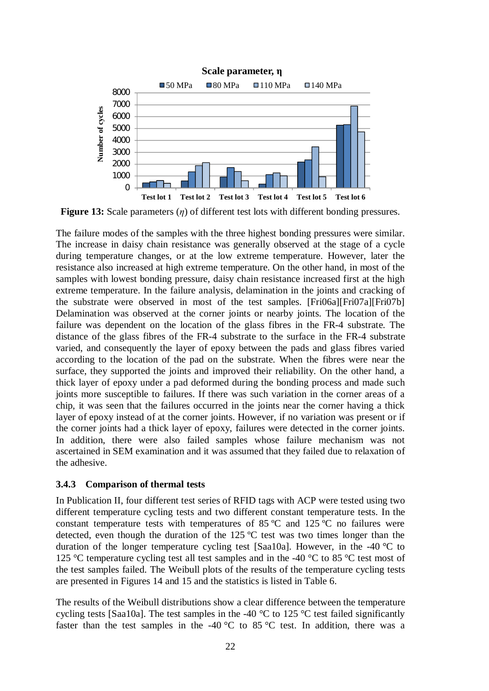

**Figure 13:** Scale parameters (*n*) of different test lots with different bonding pressures.

The failure modes of the samples with the three highest bonding pressures were similar. The increase in daisy chain resistance was generally observed at the stage of a cycle during temperature changes, or at the low extreme temperature. However, later the resistance also increased at high extreme temperature. On the other hand, in most of the samples with lowest bonding pressure, daisy chain resistance increased first at the high extreme temperature. In the failure analysis, delamination in the joints and cracking of the substrate were observed in most of the test samples. [Fri06a][Fri07a][Fri07b] Delamination was observed at the corner joints or nearby joints. The location of the failure was dependent on the location of the glass fibres in the FR-4 substrate. The distance of the glass fibres of the FR-4 substrate to the surface in the FR-4 substrate varied, and consequently the layer of epoxy between the pads and glass fibres varied according to the location of the pad on the substrate. When the fibres were near the surface, they supported the joints and improved their reliability. On the other hand, a thick layer of epoxy under a pad deformed during the bonding process and made such joints more susceptible to failures. If there was such variation in the corner areas of a chip, it was seen that the failures occurred in the joints near the corner having a thick layer of epoxy instead of at the corner joints. However, if no variation was present or if the corner joints had a thick layer of epoxy, failures were detected in the corner joints. In addition, there were also failed samples whose failure mechanism was not ascertained in SEM examination and it was assumed that they failed due to relaxation of the adhesive.

#### **3.4.3 Comparison of thermal tests**

In Publication II, four different test series of RFID tags with ACP were tested using two different temperature cycling tests and two different constant temperature tests. In the constant temperature tests with temperatures of 85  $\degree$ C and 125  $\degree$ C no failures were detected, even though the duration of the 125 ºC test was two times longer than the duration of the longer temperature cycling test [Saa10a]. However, in the -40 °C to 125 °C temperature cycling test all test samples and in the -40 °C to 85 °C test most of the test samples failed. The Weibull plots of the results of the temperature cycling tests are presented in Figures 14 and 15 and the statistics is listed in Table 6.

The results of the Weibull distributions show a clear difference between the temperature cycling tests [Saa10a]. The test samples in the -40  $^{\circ}$ C to 125  $^{\circ}$ C test failed significantly faster than the test samples in the -40  $\degree$ C to 85  $\degree$ C test. In addition, there was a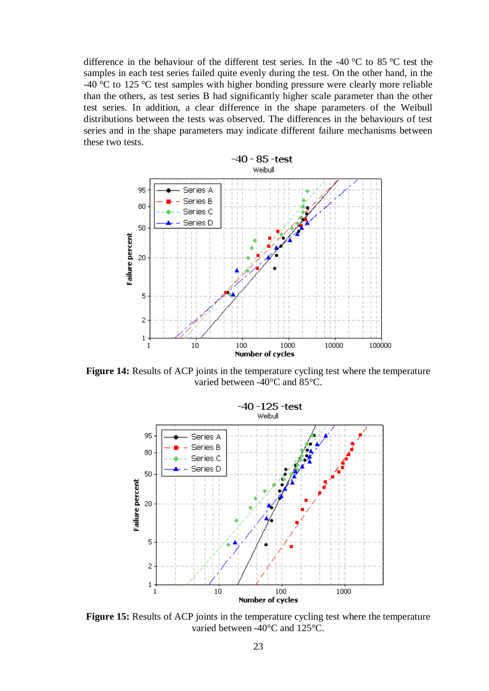difference in the behaviour of the different test series. In the -40 °C to 85 °C test the samples in each test series failed quite evenly during the test. On the other hand, in the -40 °C to 125 °C test samples with higher bonding pressure were clearly more reliable than the others, as test series B had significantly higher scale parameter than the other test series. In addition, a clear difference in the shape parameters of the Weibull distributions between the tests was observed. The differences in the behaviours of test series and in the shape parameters may indicate different failure mechanisms between these two tests.



**Figure 14:** Results of ACP joints in the temperature cycling test where the temperature varied between -40°C and 85°C.



**Figure 15:** Results of ACP joints in the temperature cycling test where the temperature varied between -40°C and 125°C.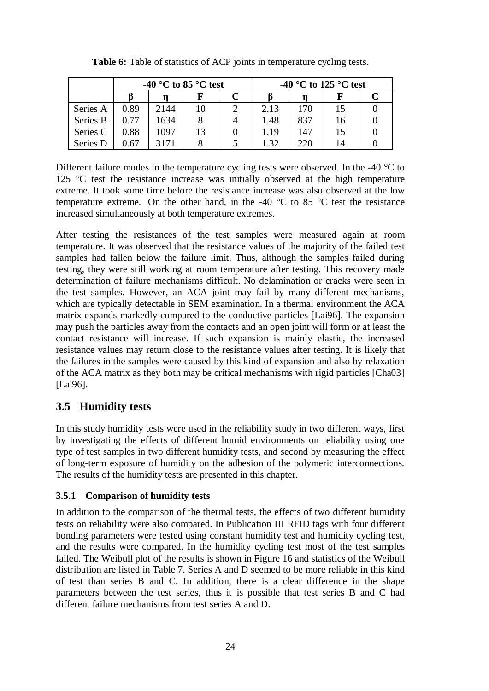|          | -40 °C to 85 °C test |      |    |  | -40 °C to 125 °C test |     |    |  |
|----------|----------------------|------|----|--|-----------------------|-----|----|--|
|          |                      |      |    |  |                       |     |    |  |
| Series A | 0.89                 | 2144 | 10 |  | 2.13                  | 170 |    |  |
| Series B | 0.77                 | 1634 |    |  | 1.48                  | 837 |    |  |
| Series C | 0.88                 | 1097 | 13 |  | 1.19                  | 147 |    |  |
| Series D | .67                  |      |    |  | l.32                  | 220 | 14 |  |

**Table 6:** Table of statistics of ACP joints in temperature cycling tests.

Different failure modes in the temperature cycling tests were observed. In the -40 °C to 125 °C test the resistance increase was initially observed at the high temperature extreme. It took some time before the resistance increase was also observed at the low temperature extreme. On the other hand, in the -40  $^{\circ}$ C to 85  $^{\circ}$ C test the resistance increased simultaneously at both temperature extremes.

After testing the resistances of the test samples were measured again at room temperature. It was observed that the resistance values of the majority of the failed test samples had fallen below the failure limit. Thus, although the samples failed during testing, they were still working at room temperature after testing. This recovery made determination of failure mechanisms difficult. No delamination or cracks were seen in the test samples. However, an ACA joint may fail by many different mechanisms, which are typically detectable in SEM examination. In a thermal environment the ACA matrix expands markedly compared to the conductive particles [Lai96]. The expansion may push the particles away from the contacts and an open joint will form or at least the contact resistance will increase. If such expansion is mainly elastic, the increased resistance values may return close to the resistance values after testing. It is likely that the failures in the samples were caused by this kind of expansion and also by relaxation of the ACA matrix as they both may be critical mechanisms with rigid particles [Cha03] [Lai96].

## **3.5 Humidity tests**

In this study humidity tests were used in the reliability study in two different ways, first by investigating the effects of different humid environments on reliability using one type of test samples in two different humidity tests, and second by measuring the effect of long-term exposure of humidity on the adhesion of the polymeric interconnections. The results of the humidity tests are presented in this chapter.

## **3.5.1 Comparison of humidity tests**

In addition to the comparison of the thermal tests, the effects of two different humidity tests on reliability were also compared. In Publication III RFID tags with four different bonding parameters were tested using constant humidity test and humidity cycling test, and the results were compared. In the humidity cycling test most of the test samples failed. The Weibull plot of the results is shown in Figure 16 and statistics of the Weibull distribution are listed in Table 7. Series A and D seemed to be more reliable in this kind of test than series B and C. In addition, there is a clear difference in the shape parameters between the test series, thus it is possible that test series B and C had different failure mechanisms from test series A and D.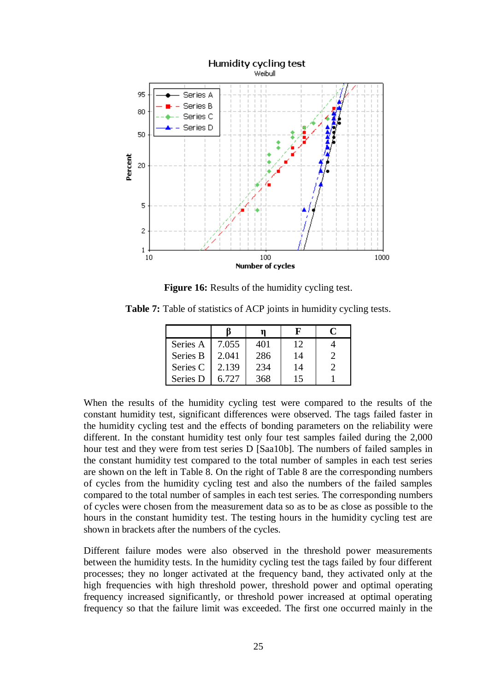

**Figure 16:** Results of the humidity cycling test.

**Table 7:** Table of statistics of ACP joints in humidity cycling tests.

|          |       |     |    | Ր |
|----------|-------|-----|----|---|
| Series A | 7.055 | 401 | 12 |   |
| Series B | 2.041 | 286 | 14 |   |
| Series C | 2.139 | 234 | 14 |   |
| Series D | 6.727 | 368 | 15 |   |

When the results of the humidity cycling test were compared to the results of the constant humidity test, significant differences were observed. The tags failed faster in the humidity cycling test and the effects of bonding parameters on the reliability were different. In the constant humidity test only four test samples failed during the 2,000 hour test and they were from test series D [Saa10b]. The numbers of failed samples in the constant humidity test compared to the total number of samples in each test series are shown on the left in Table 8. On the right of Table 8 are the corresponding numbers of cycles from the humidity cycling test and also the numbers of the failed samples compared to the total number of samples in each test series. The corresponding numbers of cycles were chosen from the measurement data so as to be as close as possible to the hours in the constant humidity test. The testing hours in the humidity cycling test are shown in brackets after the numbers of the cycles.

Different failure modes were also observed in the threshold power measurements between the humidity tests. In the humidity cycling test the tags failed by four different processes; they no longer activated at the frequency band, they activated only at the high frequencies with high threshold power, threshold power and optimal operating frequency increased significantly, or threshold power increased at optimal operating frequency so that the failure limit was exceeded. The first one occurred mainly in the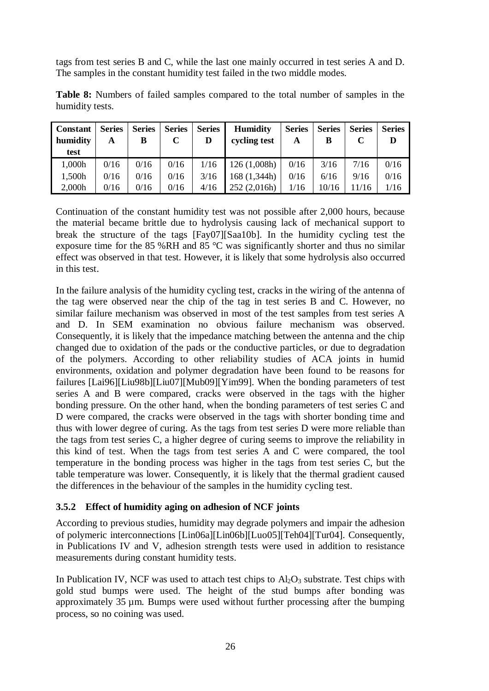tags from test series B and C, while the last one mainly occurred in test series A and D. The samples in the constant humidity test failed in the two middle modes.

| <b>Constant</b><br>humidity<br>test | <b>Series</b><br>A | <b>Series</b><br>В | <b>Series</b> | <b>Series</b><br>D | <b>Humidity</b><br>cycling test | <b>Series</b><br>A | <b>Series</b><br>В | <b>Series</b> | <b>Series</b><br>D |
|-------------------------------------|--------------------|--------------------|---------------|--------------------|---------------------------------|--------------------|--------------------|---------------|--------------------|
| 1,000h                              | 0/16               | 0/16               | 0/16          | 1/16               | 126 (1,008h)                    | 0/16               | 3/16               | 7/16          | 0/16               |
| 1,500h                              | 0/16               | 0/16               | 0/16          | 3/16               | 168 (1,344h)                    | 0/16               | 6/16               | 9/16          | 0/16               |
| 2,000h                              | 0/16               | 0/16               | 0/16          | 4/16               | 252(2,016h)                     | 1/16               | 10/16              | 11/16         | 1/16               |

**Table 8:** Numbers of failed samples compared to the total number of samples in the humidity tests.

Continuation of the constant humidity test was not possible after 2,000 hours, because the material became brittle due to hydrolysis causing lack of mechanical support to break the structure of the tags [Fay07][Saa10b]. In the humidity cycling test the exposure time for the 85 %RH and 85 °C was significantly shorter and thus no similar effect was observed in that test. However, it is likely that some hydrolysis also occurred in this test.

In the failure analysis of the humidity cycling test, cracks in the wiring of the antenna of the tag were observed near the chip of the tag in test series B and C. However, no similar failure mechanism was observed in most of the test samples from test series A and D. In SEM examination no obvious failure mechanism was observed. Consequently, it is likely that the impedance matching between the antenna and the chip changed due to oxidation of the pads or the conductive particles, or due to degradation of the polymers. According to other reliability studies of ACA joints in humid environments, oxidation and polymer degradation have been found to be reasons for failures [Lai96][Liu98b][Liu07][Mub09][Yim99]. When the bonding parameters of test series A and B were compared, cracks were observed in the tags with the higher bonding pressure. On the other hand, when the bonding parameters of test series C and D were compared, the cracks were observed in the tags with shorter bonding time and thus with lower degree of curing. As the tags from test series D were more reliable than the tags from test series C, a higher degree of curing seems to improve the reliability in this kind of test. When the tags from test series A and C were compared, the tool temperature in the bonding process was higher in the tags from test series C, but the table temperature was lower. Consequently, it is likely that the thermal gradient caused the differences in the behaviour of the samples in the humidity cycling test.

### **3.5.2 Effect of humidity aging on adhesion of NCF joints**

According to previous studies, humidity may degrade polymers and impair the adhesion of polymeric interconnections [Lin06a][Lin06b][Luo05][Teh04][Tur04]. Consequently, in Publications IV and V, adhesion strength tests were used in addition to resistance measurements during constant humidity tests.

In Publication IV, NCF was used to attach test chips to  $A<sub>12</sub>O<sub>3</sub>$  substrate. Test chips with gold stud bumps were used. The height of the stud bumps after bonding was approximately 35 µm. Bumps were used without further processing after the bumping process, so no coining was used.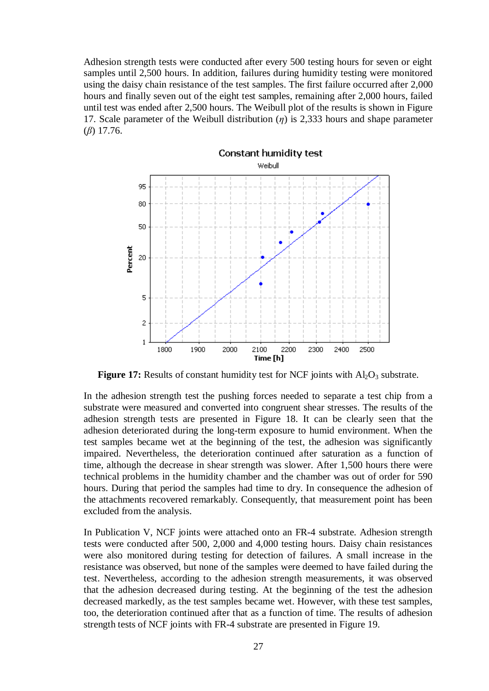Adhesion strength tests were conducted after every 500 testing hours for seven or eight samples until 2,500 hours. In addition, failures during humidity testing were monitored using the daisy chain resistance of the test samples. The first failure occurred after 2,000 hours and finally seven out of the eight test samples, remaining after 2,000 hours, failed until test was ended after 2,500 hours. The Weibull plot of the results is shown in Figure 17. Scale parameter of the Weibull distribution  $(\eta)$  is 2,333 hours and shape parameter  $(\beta)$  17.76.



**Figure 17:** Results of constant humidity test for NCF joints with  $Al_2O_3$  substrate.

In the adhesion strength test the pushing forces needed to separate a test chip from a substrate were measured and converted into congruent shear stresses. The results of the adhesion strength tests are presented in Figure 18. It can be clearly seen that the adhesion deteriorated during the long-term exposure to humid environment. When the test samples became wet at the beginning of the test, the adhesion was significantly impaired. Nevertheless, the deterioration continued after saturation as a function of time, although the decrease in shear strength was slower. After 1,500 hours there were technical problems in the humidity chamber and the chamber was out of order for 590 hours. During that period the samples had time to dry. In consequence the adhesion of the attachments recovered remarkably. Consequently, that measurement point has been excluded from the analysis.

In Publication V, NCF joints were attached onto an FR-4 substrate. Adhesion strength tests were conducted after 500, 2,000 and 4,000 testing hours. Daisy chain resistances were also monitored during testing for detection of failures. A small increase in the resistance was observed, but none of the samples were deemed to have failed during the test. Nevertheless, according to the adhesion strength measurements, it was observed that the adhesion decreased during testing. At the beginning of the test the adhesion decreased markedly, as the test samples became wet. However, with these test samples, too, the deterioration continued after that as a function of time. The results of adhesion strength tests of NCF joints with FR-4 substrate are presented in Figure 19.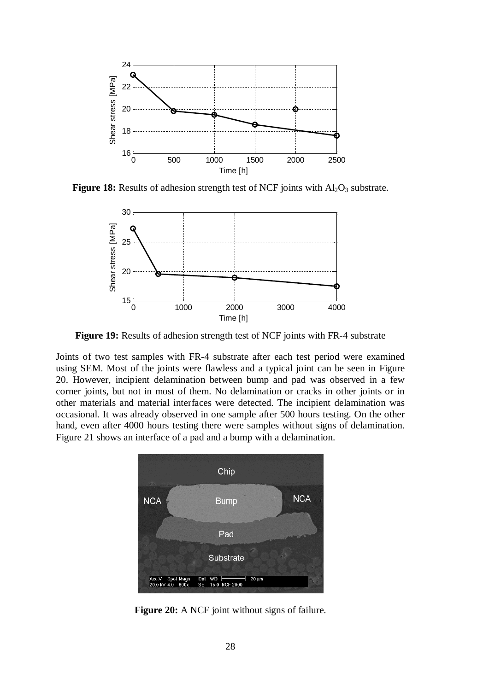

**Figure 18:** Results of adhesion strength test of NCF joints with  $Al_2O_3$  substrate.



**Figure 19:** Results of adhesion strength test of NCF joints with FR-4 substrate

Joints of two test samples with FR-4 substrate after each test period were examined using SEM. Most of the joints were flawless and a typical joint can be seen in Figure 20. However, incipient delamination between bump and pad was observed in a few corner joints, but not in most of them. No delamination or cracks in other joints or in other materials and material interfaces were detected. The incipient delamination was occasional. It was already observed in one sample after 500 hours testing. On the other hand, even after 4000 hours testing there were samples without signs of delamination. Figure 21 shows an interface of a pad and a bump with a delamination.



**Figure 20:** A NCF joint without signs of failure.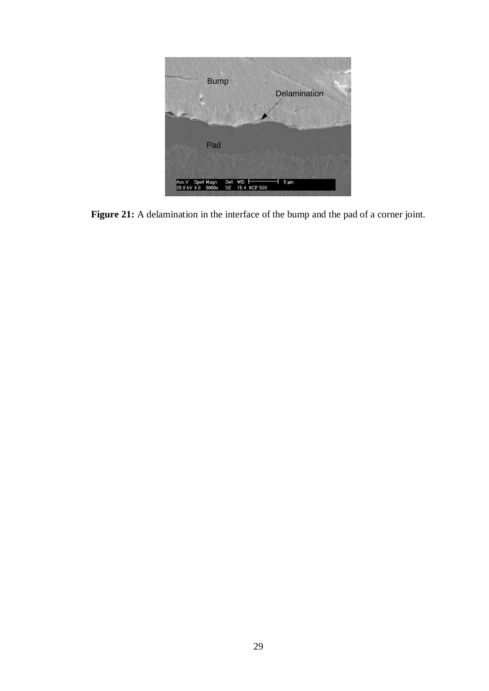

Figure 21: A delamination in the interface of the bump and the pad of a corner joint.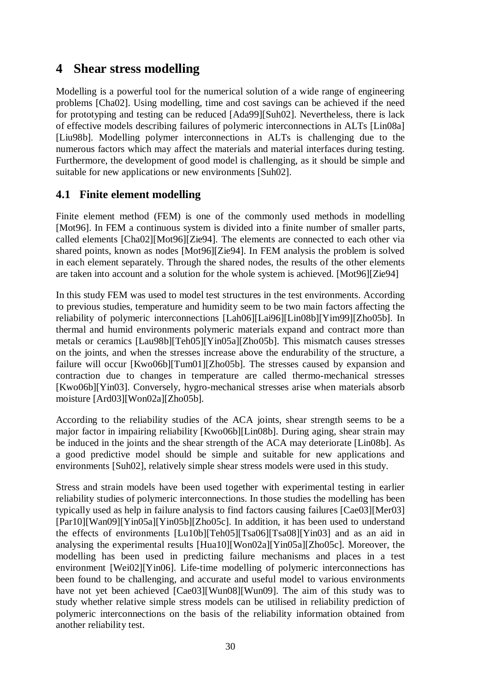# **4 Shear stress modelling**

Modelling is a powerful tool for the numerical solution of a wide range of engineering problems [Cha02]. Using modelling, time and cost savings can be achieved if the need for prototyping and testing can be reduced [Ada99][Suh02]. Nevertheless, there is lack of effective models describing failures of polymeric interconnections in ALTs [Lin08a] [Liu98b]. Modelling polymer interconnections in ALTs is challenging due to the numerous factors which may affect the materials and material interfaces during testing. Furthermore, the development of good model is challenging, as it should be simple and suitable for new applications or new environments [Suh02].

## **4.1 Finite element modelling**

Finite element method (FEM) is one of the commonly used methods in modelling [Mot96]. In FEM a continuous system is divided into a finite number of smaller parts, called elements [Cha02][Mot96][Zie94]. The elements are connected to each other via shared points, known as nodes [Mot96][Zie94]. In FEM analysis the problem is solved in each element separately. Through the shared nodes, the results of the other elements are taken into account and a solution for the whole system is achieved. [Mot96][Zie94]

In this study FEM was used to model test structures in the test environments. According to previous studies, temperature and humidity seem to be two main factors affecting the reliability of polymeric interconnections [Lah06][Lai96][Lin08b][Yim99][Zho05b]. In thermal and humid environments polymeric materials expand and contract more than metals or ceramics [Lau98b][Teh05][Yin05a][Zho05b]. This mismatch causes stresses on the joints, and when the stresses increase above the endurability of the structure, a failure will occur [Kwo06b][Tum01][Zho05b]. The stresses caused by expansion and contraction due to changes in temperature are called thermo-mechanical stresses [Kwo06b][Yin03]. Conversely, hygro-mechanical stresses arise when materials absorb moisture [Ard03][Won02a][Zho05b].

According to the reliability studies of the ACA joints, shear strength seems to be a major factor in impairing reliability [Kwo06b][Lin08b]. During aging, shear strain may be induced in the joints and the shear strength of the ACA may deteriorate [Lin08b]. As a good predictive model should be simple and suitable for new applications and environments [Suh02], relatively simple shear stress models were used in this study.

Stress and strain models have been used together with experimental testing in earlier reliability studies of polymeric interconnections. In those studies the modelling has been typically used as help in failure analysis to find factors causing failures [Cae03][Mer03] [Par10][Wan09][Yin05a][Yin05b][Zho05c]. In addition, it has been used to understand the effects of environments [Lu10b][Teh05][Tsa06][Tsa08][Yin03] and as an aid in analysing the experimental results [Hua10][Won02a][Yin05a][Zho05c]. Moreover, the modelling has been used in predicting failure mechanisms and places in a test environment [Wei02][Yin06]. Life-time modelling of polymeric interconnections has been found to be challenging, and accurate and useful model to various environments have not yet been achieved [Cae03][Wun08][Wun09]. The aim of this study was to study whether relative simple stress models can be utilised in reliability prediction of polymeric interconnections on the basis of the reliability information obtained from another reliability test.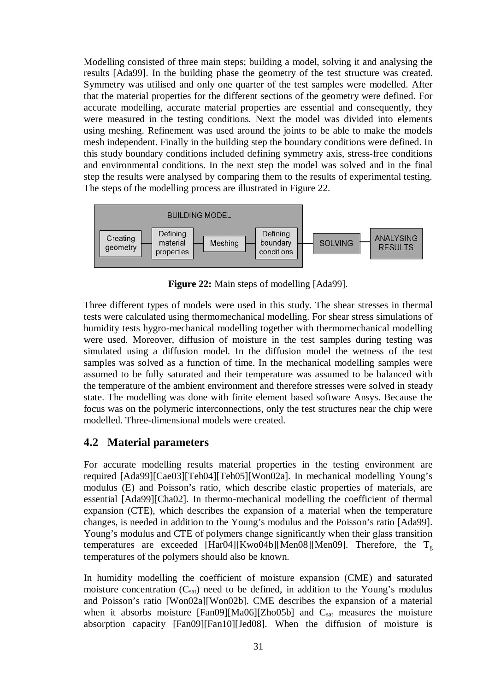Modelling consisted of three main steps; building a model, solving it and analysing the results [Ada99]. In the building phase the geometry of the test structure was created. Symmetry was utilised and only one quarter of the test samples were modelled. After that the material properties for the different sections of the geometry were defined. For accurate modelling, accurate material properties are essential and consequently, they were measured in the testing conditions. Next the model was divided into elements using meshing. Refinement was used around the joints to be able to make the models mesh independent. Finally in the building step the boundary conditions were defined. In this study boundary conditions included defining symmetry axis, stress-free conditions and environmental conditions. In the next step the model was solved and in the final step the results were analysed by comparing them to the results of experimental testing. The steps of the modelling process are illustrated in Figure 22.



**Figure 22:** Main steps of modelling [Ada99].

Three different types of models were used in this study. The shear stresses in thermal tests were calculated using thermomechanical modelling. For shear stress simulations of humidity tests hygro-mechanical modelling together with thermomechanical modelling were used. Moreover, diffusion of moisture in the test samples during testing was simulated using a diffusion model. In the diffusion model the wetness of the test samples was solved as a function of time. In the mechanical modelling samples were assumed to be fully saturated and their temperature was assumed to be balanced with the temperature of the ambient environment and therefore stresses were solved in steady state. The modelling was done with finite element based software Ansys. Because the focus was on the polymeric interconnections, only the test structures near the chip were modelled. Three-dimensional models were created.

## **4.2 Material parameters**

For accurate modelling results material properties in the testing environment are required [Ada99][Cae03][Teh04][Teh05][Won02a]. In mechanical modelling Young's modulus (E) and Poisson's ratio, which describe elastic properties of materials, are essential [Ada99][Cha02]. In thermo-mechanical modelling the coefficient of thermal expansion (CTE), which describes the expansion of a material when the temperature changes, is needed in addition to the Young's modulus and the Poisson's ratio [Ada99]. Young's modulus and CTE of polymers change significantly when their glass transition temperatures are exceeded [Har04][Kwo04b][Men08][Men09]. Therefore, the  $T_g$ temperatures of the polymers should also be known.

In humidity modelling the coefficient of moisture expansion (CME) and saturated moisture concentration  $(C_{sat})$  need to be defined, in addition to the Young's modulus and Poisson's ratio [Won02a][Won02b]. CME describes the expansion of a material when it absorbs moisture [Fan09][Ma06][Zho05b] and  $C_{sat}$  measures the moisture absorption capacity [Fan09][Fan10][Jed08]. When the diffusion of moisture is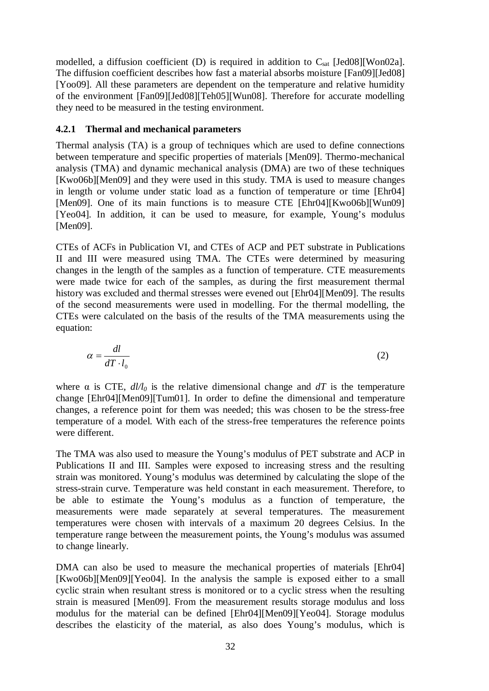modelled, a diffusion coefficient (D) is required in addition to  $C_{sat}$  [Jed08][Won02a]. The diffusion coefficient describes how fast a material absorbs moisture [Fan09][Jed08] [Yoo09]. All these parameters are dependent on the temperature and relative humidity of the environment [Fan09][Jed08][Teh05][Wun08]. Therefore for accurate modelling they need to be measured in the testing environment.

#### **4.2.1 Thermal and mechanical parameters**

Thermal analysis (TA) is a group of techniques which are used to define connections between temperature and specific properties of materials [Men09]. Thermo-mechanical analysis (TMA) and dynamic mechanical analysis (DMA) are two of these techniques [Kwo06b][Men09] and they were used in this study. TMA is used to measure changes in length or volume under static load as a function of temperature or time [Ehr04] [Men09]. One of its main functions is to measure CTE [Ehr04][Kwo06b][Wun09] [Yeo04]. In addition, it can be used to measure, for example, Young's modulus [Men09].

CTEs of ACFs in Publication VI, and CTEs of ACP and PET substrate in Publications II and III were measured using TMA. The CTEs were determined by measuring changes in the length of the samples as a function of temperature. CTE measurements were made twice for each of the samples, as during the first measurement thermal history was excluded and thermal stresses were evened out [Ehr04][Men09]. The results of the second measurements were used in modelling. For the thermal modelling, the CTEs were calculated on the basis of the results of the TMA measurements using the equation:

$$
\alpha = \frac{dl}{dT \cdot l_0} \tag{2}
$$

where  $\alpha$  is CTE,  $d/d\rho$  is the relative dimensional change and  $dT$  is the temperature change [Ehr04][Men09][Tum01]. In order to define the dimensional and temperature changes, a reference point for them was needed; this was chosen to be the stress-free temperature of a model. With each of the stress-free temperatures the reference points were different.

The TMA was also used to measure the Young's modulus of PET substrate and ACP in Publications II and III. Samples were exposed to increasing stress and the resulting strain was monitored. Young's modulus was determined by calculating the slope of the stress-strain curve. Temperature was held constant in each measurement. Therefore, to be able to estimate the Young's modulus as a function of temperature, the measurements were made separately at several temperatures. The measurement temperatures were chosen with intervals of a maximum 20 degrees Celsius. In the temperature range between the measurement points, the Young's modulus was assumed to change linearly.

DMA can also be used to measure the mechanical properties of materials [Ehr04] [Kwo06b][Men09][Yeo04]. In the analysis the sample is exposed either to a small cyclic strain when resultant stress is monitored or to a cyclic stress when the resulting strain is measured [Men09]. From the measurement results storage modulus and loss modulus for the material can be defined [Ehr04][Men09][Yeo04]. Storage modulus describes the elasticity of the material, as also does Young's modulus, which is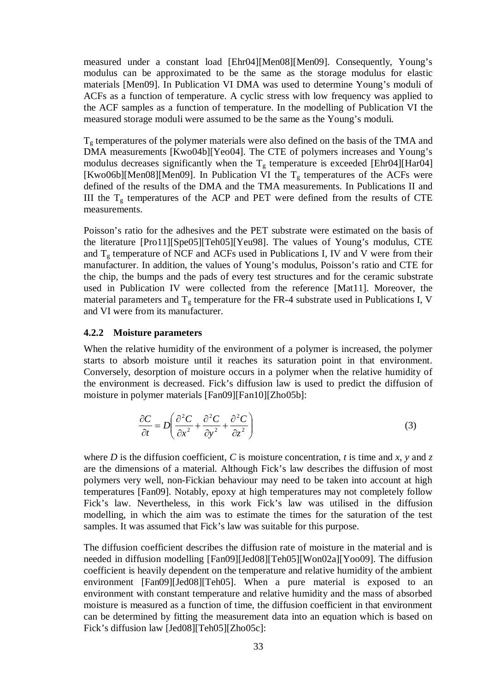measured under a constant load [Ehr04][Men08][Men09]. Consequently, Young's modulus can be approximated to be the same as the storage modulus for elastic materials [Men09]. In Publication VI DMA was used to determine Young's moduli of ACFs as a function of temperature. A cyclic stress with low frequency was applied to the ACF samples as a function of temperature. In the modelling of Publication VI the measured storage moduli were assumed to be the same as the Young's moduli.

 $T<sub>g</sub>$  temperatures of the polymer materials were also defined on the basis of the TMA and DMA measurements [Kwo04b][Yeo04]. The CTE of polymers increases and Young's modulus decreases significantly when the  $T<sub>g</sub>$  temperature is exceeded [Ehr04][Har04] [Kwo06b][Men08][Men09]. In Publication VI the  $T<sub>g</sub>$  temperatures of the ACFs were defined of the results of the DMA and the TMA measurements. In Publications II and III the  $T<sub>g</sub>$  temperatures of the ACP and PET were defined from the results of CTE measurements.

Poisson's ratio for the adhesives and the PET substrate were estimated on the basis of the literature [Pro11][Spe05][Teh05][Yeu98]. The values of Young's modulus, CTE and  $T_g$  temperature of NCF and ACFs used in Publications I, IV and V were from their manufacturer. In addition, the values of Young's modulus, Poisson's ratio and CTE for the chip, the bumps and the pads of every test structures and for the ceramic substrate used in Publication IV were collected from the reference [Mat11]. Moreover, the material parameters and  $T_g$  temperature for the FR-4 substrate used in Publications I, V and VI were from its manufacturer.

#### **4.2.2 Moisture parameters**

When the relative humidity of the environment of a polymer is increased, the polymer starts to absorb moisture until it reaches its saturation point in that environment. Conversely, desorption of moisture occurs in a polymer when the relative humidity of the environment is decreased. Fick's diffusion law is used to predict the diffusion of moisture in polymer materials [Fan09][Fan10][Zho05b]:

$$
\frac{\partial C}{\partial t} = D \left( \frac{\partial^2 C}{\partial x^2} + \frac{\partial^2 C}{\partial y^2} + \frac{\partial^2 C}{\partial z^2} \right)
$$
(3)

where *D* is the diffusion coefficient, *C* is moisture concentration, *t* is time and *x*, *y* and *z* are the dimensions of a material. Although Fick's law describes the diffusion of most polymers very well, non-Fickian behaviour may need to be taken into account at high temperatures [Fan09]. Notably, epoxy at high temperatures may not completely follow Fick's law. Nevertheless, in this work Fick's law was utilised in the diffusion modelling, in which the aim was to estimate the times for the saturation of the test samples. It was assumed that Fick's law was suitable for this purpose.

The diffusion coefficient describes the diffusion rate of moisture in the material and is needed in diffusion modelling [Fan09][Jed08][Teh05][Won02a][Yoo09]. The diffusion coefficient is heavily dependent on the temperature and relative humidity of the ambient environment [Fan09][Jed08][Teh05]. When a pure material is exposed to an environment with constant temperature and relative humidity and the mass of absorbed moisture is measured as a function of time, the diffusion coefficient in that environment can be determined by fitting the measurement data into an equation which is based on Fick's diffusion law [Jed08][Teh05][Zho05c]: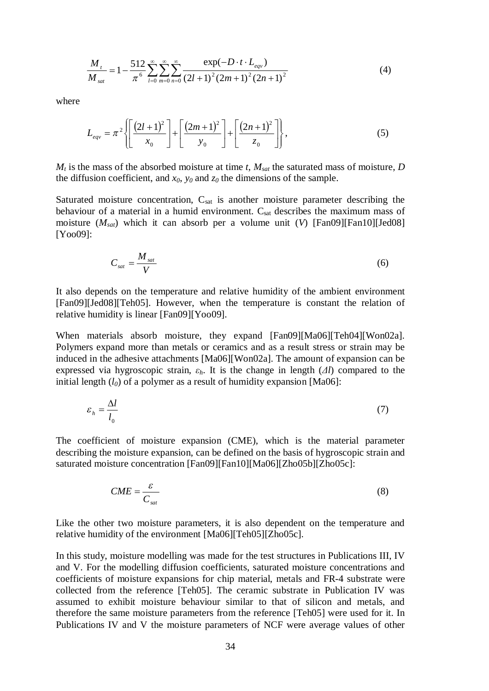$$
\frac{M_{t}}{M_{sat}} = 1 - \frac{512}{\pi^6} \sum_{l=0}^{\infty} \sum_{m=0}^{\infty} \sum_{n=0}^{\infty} \frac{\exp(-D \cdot t \cdot L_{eqv})}{(2l+1)^2 (2m+1)^2 (2n+1)^2}
$$
(4)

where

$$
L_{eqv} = \pi^2 \left\{ \left[ \frac{(2l+1)^2}{x_0} \right] + \left[ \frac{(2m+1)^2}{y_0} \right] + \left[ \frac{(2n+1)^2}{z_0} \right] \right\},
$$
 (5)

 $M_t$  is the mass of the absorbed moisture at time *t*,  $M_{sat}$  the saturated mass of moisture, *D* the diffusion coefficient, and  $x_0$ ,  $y_0$  and  $z_0$  the dimensions of the sample.

Saturated moisture concentration,  $C_{sat}$  is another moisture parameter describing the behaviour of a material in a humid environment. C<sub>sat</sub> describes the maximum mass of moisture (*Msat*) which it can absorb per a volume unit (*V*) [Fan09][Fan10][Jed08] [Yoo09]:

$$
C_{sat} = \frac{M_{sat}}{V} \tag{6}
$$

It also depends on the temperature and relative humidity of the ambient environment [Fan09][Jed08][Teh05]. However, when the temperature is constant the relation of relative humidity is linear [Fan09][Yoo09].

When materials absorb moisture, they expand [Fan09][Ma06][Teh04][Won02a]. Polymers expand more than metals or ceramics and as a result stress or strain may be induced in the adhesive attachments [Ma06][Won02a]. The amount of expansion can be expressed via hygroscopic strain,  $\varepsilon_h$ . It is the change in length ( $\Delta l$ ) compared to the initial length  $(l_0)$  of a polymer as a result of humidity expansion [Ma06]:

$$
\varepsilon_h = \frac{\Delta l}{l_0} \tag{7}
$$

The coefficient of moisture expansion (CME), which is the material parameter describing the moisture expansion, can be defined on the basis of hygroscopic strain and saturated moisture concentration [Fan09][Fan10][Ma06][Zho05b][Zho05c]:

$$
CME = \frac{\varepsilon}{C_{sat}}\tag{8}
$$

Like the other two moisture parameters, it is also dependent on the temperature and relative humidity of the environment [Ma06][Teh05][Zho05c].

In this study, moisture modelling was made for the test structures in Publications III, IV and V. For the modelling diffusion coefficients, saturated moisture concentrations and coefficients of moisture expansions for chip material, metals and FR-4 substrate were collected from the reference [Teh05]. The ceramic substrate in Publication IV was assumed to exhibit moisture behaviour similar to that of silicon and metals, and therefore the same moisture parameters from the reference [Teh05] were used for it. In Publications IV and V the moisture parameters of NCF were average values of other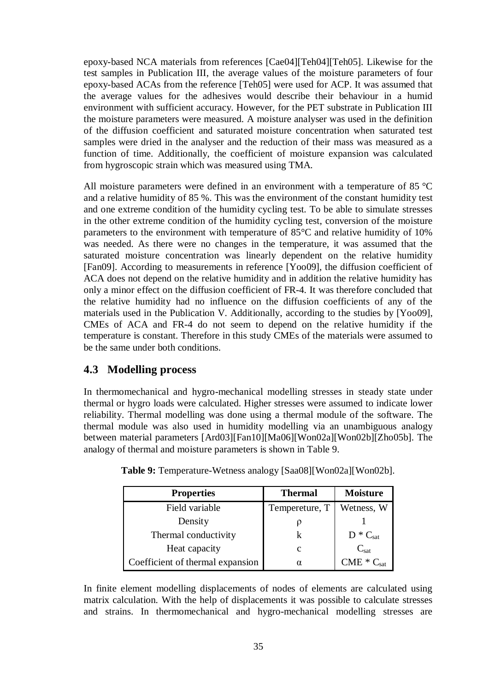epoxy-based NCA materials from references [Cae04][Teh04][Teh05]. Likewise for the test samples in Publication III, the average values of the moisture parameters of four epoxy-based ACAs from the reference [Teh05] were used for ACP. It was assumed that the average values for the adhesives would describe their behaviour in a humid environment with sufficient accuracy. However, for the PET substrate in Publication III the moisture parameters were measured. A moisture analyser was used in the definition of the diffusion coefficient and saturated moisture concentration when saturated test samples were dried in the analyser and the reduction of their mass was measured as a function of time. Additionally, the coefficient of moisture expansion was calculated from hygroscopic strain which was measured using TMA.

All moisture parameters were defined in an environment with a temperature of 85 °C and a relative humidity of 85 %. This was the environment of the constant humidity test and one extreme condition of the humidity cycling test. To be able to simulate stresses in the other extreme condition of the humidity cycling test, conversion of the moisture parameters to the environment with temperature of 85°C and relative humidity of 10% was needed. As there were no changes in the temperature, it was assumed that the saturated moisture concentration was linearly dependent on the relative humidity [Fan09]. According to measurements in reference [Yoo09], the diffusion coefficient of ACA does not depend on the relative humidity and in addition the relative humidity has only a minor effect on the diffusion coefficient of FR-4. It was therefore concluded that the relative humidity had no influence on the diffusion coefficients of any of the materials used in the Publication V. Additionally, according to the studies by [Yoo09], CMEs of ACA and FR-4 do not seem to depend on the relative humidity if the temperature is constant. Therefore in this study CMEs of the materials were assumed to be the same under both conditions.

## **4.3 Modelling process**

In thermomechanical and hygro-mechanical modelling stresses in steady state under thermal or hygro loads were calculated. Higher stresses were assumed to indicate lower reliability. Thermal modelling was done using a thermal module of the software. The thermal module was also used in humidity modelling via an unambiguous analogy between material parameters [Ard03][Fan10][Ma06][Won02a][Won02b][Zho05b]. The analogy of thermal and moisture parameters is shown in Table 9.

| <b>Properties</b>                | <b>Thermal</b> | <b>Moisture</b>  |
|----------------------------------|----------------|------------------|
| Field variable                   | Tempereture, T | Wetness, W       |
| Density                          |                |                  |
| Thermal conductivity             |                | $D * C_{sat}$    |
| Heat capacity                    | C              | $C_{\text{sat}}$ |
| Coefficient of thermal expansion | α              | $CME * Csat$     |

**Table 9:** Temperature-Wetness analogy [Saa08][Won02a][Won02b].

In finite element modelling displacements of nodes of elements are calculated using matrix calculation. With the help of displacements it was possible to calculate stresses and strains. In thermomechanical and hygro-mechanical modelling stresses are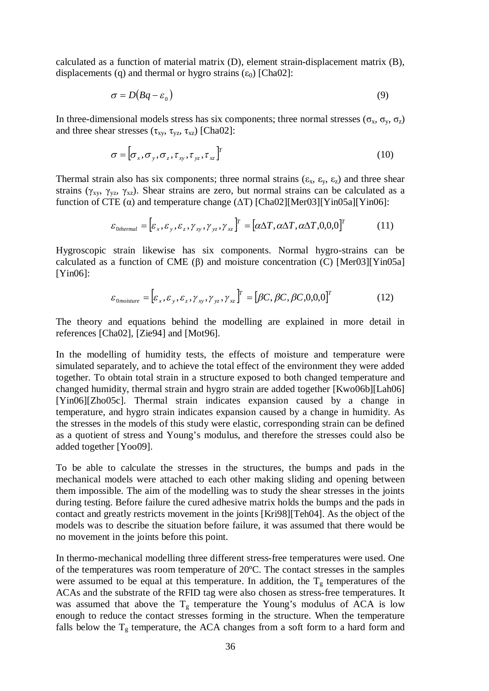calculated as a function of material matrix (D), element strain-displacement matrix (B), displacements (q) and thermal or hygro strains  $(\epsilon_0)$  [Cha02]:

$$
\sigma = D(Bq - \varepsilon_0) \tag{9}
$$

In three-dimensional models stress has six components; three normal stresses  $(\sigma_x, \sigma_y, \sigma_z)$ and three shear stresses  $(\tau_{xy}, \tau_{yz}, \tau_{xz})$  [Cha02]:

$$
\sigma = [\sigma_x, \sigma_y, \sigma_z, \tau_{xy}, \tau_{yz}, \tau_{xz}]^T
$$
\n(10)

Thermal strain also has six components; three normal strains  $(\varepsilon_x, \varepsilon_y, \varepsilon_z)$  and three shear strains ( $\gamma_{xy}$ ,  $\gamma_{yz}$ ,  $\gamma_{xz}$ ). Shear strains are zero, but normal strains can be calculated as a function of CTE  $\alpha$ ) and temperature change ( $\Delta T$ ) [Cha02][Mer03][Yin05a][Yin06]:

$$
\varepsilon_{0\text{thermal}} = [\varepsilon_x, \varepsilon_y, \varepsilon_z, \gamma_{xy}, \gamma_{yz}, \gamma_{xz}]^T = [\alpha \Delta T, \alpha \Delta T, \alpha \Delta T, 0, 0, 0]^T
$$
(11)

Hygroscopic strain likewise has six components. Normal hygro-strains can be calculated as a function of CME  $(\beta)$  and moisture concentration  $(C)$  [Mer03][Yin05a] [Yin06]:

$$
\varepsilon_{0moisture} = [\varepsilon_x, \varepsilon_y, \varepsilon_z, \gamma_{xy}, \gamma_{yz}, \gamma_{xz}]^T = [\beta C, \beta C, \beta C, 0.0, 0]^T
$$
(12)

The theory and equations behind the modelling are explained in more detail in references [Cha02], [Zie94] and [Mot96].

In the modelling of humidity tests, the effects of moisture and temperature were simulated separately, and to achieve the total effect of the environment they were added together. To obtain total strain in a structure exposed to both changed temperature and changed humidity, thermal strain and hygro strain are added together [Kwo06b][Lah06] [Yin06][Zho05c]. Thermal strain indicates expansion caused by a change in temperature, and hygro strain indicates expansion caused by a change in humidity. As the stresses in the models of this study were elastic, corresponding strain can be defined as a quotient of stress and Young's modulus, and therefore the stresses could also be added together [Yoo09].

To be able to calculate the stresses in the structures, the bumps and pads in the mechanical models were attached to each other making sliding and opening between them impossible. The aim of the modelling was to study the shear stresses in the joints during testing. Before failure the cured adhesive matrix holds the bumps and the pads in contact and greatly restricts movement in the joints [Kri98][Teh04]. As the object of the models was to describe the situation before failure, it was assumed that there would be no movement in the joints before this point.

In thermo-mechanical modelling three different stress-free temperatures were used. One of the temperatures was room temperature of 20ºC. The contact stresses in the samples were assumed to be equal at this temperature. In addition, the  $T<sub>g</sub>$  temperatures of the ACAs and the substrate of the RFID tag were also chosen as stress-free temperatures. It was assumed that above the  $T_g$  temperature the Young's modulus of ACA is low enough to reduce the contact stresses forming in the structure. When the temperature falls below the  $T_g$  temperature, the ACA changes from a soft form to a hard form and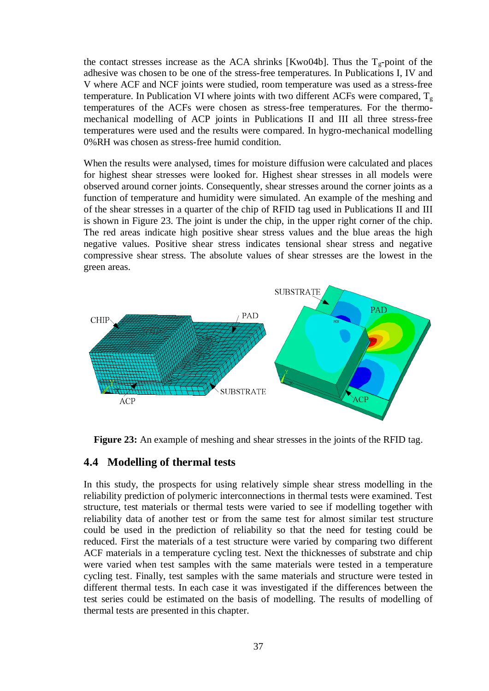the contact stresses increase as the ACA shrinks [Kwo04b]. Thus the  $T_g$ -point of the adhesive was chosen to be one of the stress-free temperatures. In Publications I, IV and V where ACF and NCF joints were studied, room temperature was used as a stress-free temperature. In Publication VI where joints with two different ACFs were compared,  $T_g$ temperatures of the ACFs were chosen as stress-free temperatures. For the thermomechanical modelling of ACP joints in Publications II and III all three stress-free temperatures were used and the results were compared. In hygro-mechanical modelling 0%RH was chosen as stress-free humid condition.

When the results were analysed, times for moisture diffusion were calculated and places for highest shear stresses were looked for. Highest shear stresses in all models were observed around corner joints. Consequently, shear stresses around the corner joints as a function of temperature and humidity were simulated. An example of the meshing and of the shear stresses in a quarter of the chip of RFID tag used in Publications II and III is shown in Figure 23. The joint is under the chip, in the upper right corner of the chip. The red areas indicate high positive shear stress values and the blue areas the high negative values. Positive shear stress indicates tensional shear stress and negative compressive shear stress. The absolute values of shear stresses are the lowest in the green areas.



**Figure 23:** An example of meshing and shear stresses in the joints of the RFID tag.

## **4.4 Modelling of thermal tests**

In this study, the prospects for using relatively simple shear stress modelling in the reliability prediction of polymeric interconnections in thermal tests were examined. Test structure, test materials or thermal tests were varied to see if modelling together with reliability data of another test or from the same test for almost similar test structure could be used in the prediction of reliability so that the need for testing could be reduced. First the materials of a test structure were varied by comparing two different ACF materials in a temperature cycling test. Next the thicknesses of substrate and chip were varied when test samples with the same materials were tested in a temperature cycling test. Finally, test samples with the same materials and structure were tested in different thermal tests. In each case it was investigated if the differences between the test series could be estimated on the basis of modelling. The results of modelling of thermal tests are presented in this chapter.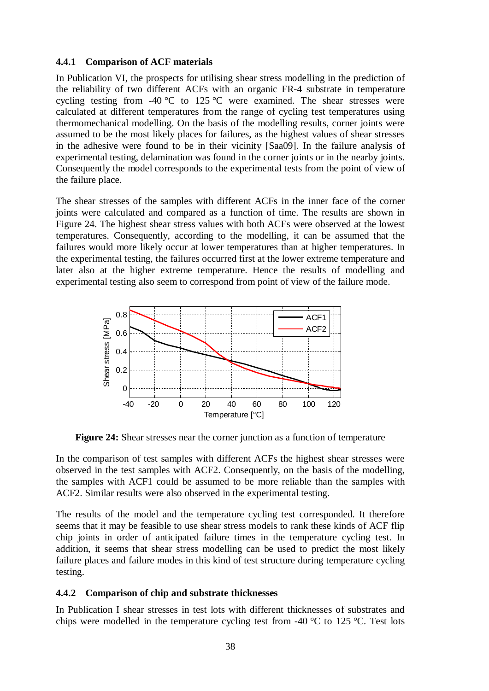### **4.4.1 Comparison of ACF materials**

In Publication VI, the prospects for utilising shear stress modelling in the prediction of the reliability of two different ACFs with an organic FR-4 substrate in temperature cycling testing from -40 °C to 125 °C were examined. The shear stresses were calculated at different temperatures from the range of cycling test temperatures using thermomechanical modelling. On the basis of the modelling results, corner joints were assumed to be the most likely places for failures, as the highest values of shear stresses in the adhesive were found to be in their vicinity [Saa09]. In the failure analysis of experimental testing, delamination was found in the corner joints or in the nearby joints. Consequently the model corresponds to the experimental tests from the point of view of the failure place.

The shear stresses of the samples with different ACFs in the inner face of the corner joints were calculated and compared as a function of time. The results are shown in Figure 24. The highest shear stress values with both ACFs were observed at the lowest temperatures. Consequently, according to the modelling, it can be assumed that the failures would more likely occur at lower temperatures than at higher temperatures. In the experimental testing, the failures occurred first at the lower extreme temperature and later also at the higher extreme temperature. Hence the results of modelling and experimental testing also seem to correspond from point of view of the failure mode.



**Figure 24:** Shear stresses near the corner junction as a function of temperature

In the comparison of test samples with different ACFs the highest shear stresses were observed in the test samples with ACF2. Consequently, on the basis of the modelling, the samples with ACF1 could be assumed to be more reliable than the samples with ACF2. Similar results were also observed in the experimental testing.

The results of the model and the temperature cycling test corresponded. It therefore seems that it may be feasible to use shear stress models to rank these kinds of ACF flip chip joints in order of anticipated failure times in the temperature cycling test. In addition, it seems that shear stress modelling can be used to predict the most likely failure places and failure modes in this kind of test structure during temperature cycling testing.

### **4.4.2 Comparison of chip and substrate thicknesses**

In Publication I shear stresses in test lots with different thicknesses of substrates and chips were modelled in the temperature cycling test from -40  $^{\circ}$ C to 125  $^{\circ}$ C. Test lots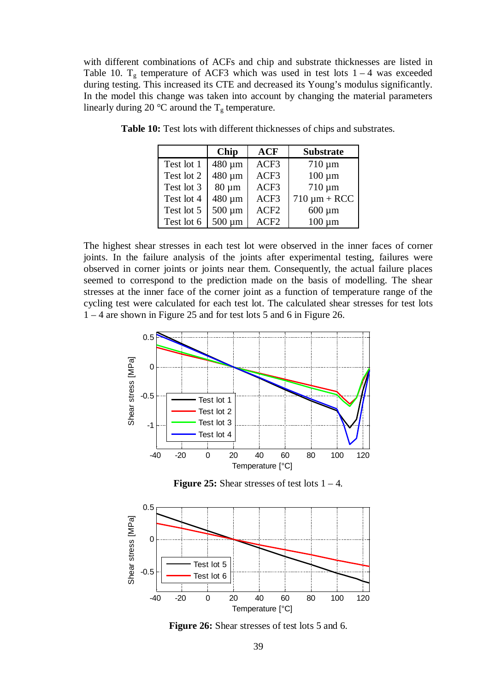with different combinations of ACFs and chip and substrate thicknesses are listed in Table 10.  $T_g$  temperature of ACF3 which was used in test lots  $1 - 4$  was exceeded during testing. This increased its CTE and decreased its Young's modulus significantly. In the model this change was taken into account by changing the material parameters linearly during 20 °C around the  $T_g$  temperature.

|            | <b>Chip</b> | <b>ACF</b>       | <b>Substrate</b>  |
|------------|-------------|------------------|-------------------|
| Test lot 1 | 480 µm      | ACF3             | $710 \mu m$       |
| Test lot 2 | 480 µm      | ACF3             | $100 \mu m$       |
| Test lot 3 | $80 \mu m$  | ACF3             | $710 \mu m$       |
| Test lot 4 | 480 µm      | ACF3             | $710 \mu m + RCC$ |
| Test lot 5 | $500 \mu m$ | ACF <sub>2</sub> | $600 \mu m$       |
| Test lot 6 | $500 \mu m$ | ACF2             | $100 \mu m$       |

**Table 10:** Test lots with different thicknesses of chips and substrates.

The highest shear stresses in each test lot were observed in the inner faces of corner joints. In the failure analysis of the joints after experimental testing, failures were observed in corner joints or joints near them. Consequently, the actual failure places seemed to correspond to the prediction made on the basis of modelling. The shear stresses at the inner face of the corner joint as a function of temperature range of the cycling test were calculated for each test lot. The calculated shear stresses for test lots 1 – 4 are shown in Figure 25 and for test lots 5 and 6 in Figure 26.



**Figure 25:** Shear stresses of test lots  $1 - 4$ .



**Figure 26:** Shear stresses of test lots 5 and 6.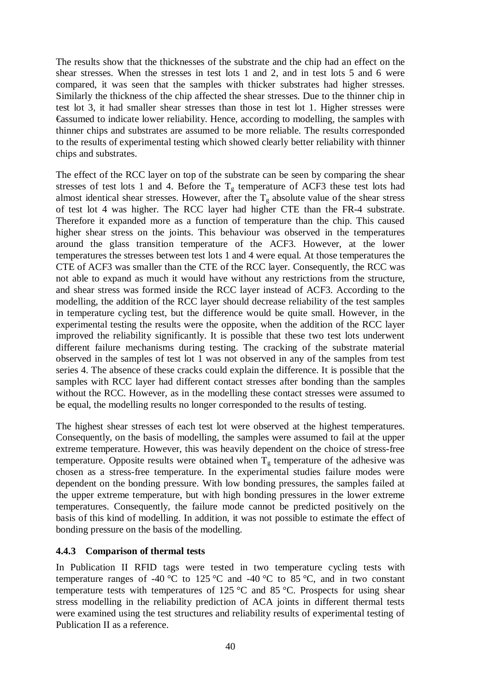The results show that the thicknesses of the substrate and the chip had an effect on the shear stresses. When the stresses in test lots 1 and 2, and in test lots 5 and 6 were compared, it was seen that the samples with thicker substrates had higher stresses. Similarly the thickness of the chip affected the shear stresses. Due to the thinner chip in test lot 3, it had smaller shear stresses than those in test lot 1. Higher stresses were €assumed to indicate lower reliability. Hence, according to modelling, the samples with thinner chips and substrates are assumed to be more reliable. The results corresponded to the results of experimental testing which showed clearly better reliability with thinner chips and substrates.

The effect of the RCC layer on top of the substrate can be seen by comparing the shear stresses of test lots 1 and 4. Before the  $T<sub>g</sub>$  temperature of ACF3 these test lots had almost identical shear stresses. However, after the  $T_g$  absolute value of the shear stress of test lot 4 was higher. The RCC layer had higher CTE than the FR-4 substrate. Therefore it expanded more as a function of temperature than the chip. This caused higher shear stress on the joints. This behaviour was observed in the temperatures around the glass transition temperature of the ACF3. However, at the lower temperatures the stresses between test lots 1 and 4 were equal. At those temperatures the CTE of ACF3 was smaller than the CTE of the RCC layer. Consequently, the RCC was not able to expand as much it would have without any restrictions from the structure, and shear stress was formed inside the RCC layer instead of ACF3. According to the modelling, the addition of the RCC layer should decrease reliability of the test samples in temperature cycling test, but the difference would be quite small. However, in the experimental testing the results were the opposite, when the addition of the RCC layer improved the reliability significantly. It is possible that these two test lots underwent different failure mechanisms during testing. The cracking of the substrate material observed in the samples of test lot 1 was not observed in any of the samples from test series 4. The absence of these cracks could explain the difference. It is possible that the samples with RCC layer had different contact stresses after bonding than the samples without the RCC. However, as in the modelling these contact stresses were assumed to be equal, the modelling results no longer corresponded to the results of testing.

The highest shear stresses of each test lot were observed at the highest temperatures. Consequently, on the basis of modelling, the samples were assumed to fail at the upper extreme temperature. However, this was heavily dependent on the choice of stress-free temperature. Opposite results were obtained when  $T_g$  temperature of the adhesive was chosen as a stress-free temperature. In the experimental studies failure modes were dependent on the bonding pressure. With low bonding pressures, the samples failed at the upper extreme temperature, but with high bonding pressures in the lower extreme temperatures. Consequently, the failure mode cannot be predicted positively on the basis of this kind of modelling. In addition, it was not possible to estimate the effect of bonding pressure on the basis of the modelling.

#### **4.4.3 Comparison of thermal tests**

In Publication II RFID tags were tested in two temperature cycling tests with temperature ranges of -40 °C to 125 °C and -40 °C to 85 °C, and in two constant temperature tests with temperatures of 125 °C and 85 °C. Prospects for using shear stress modelling in the reliability prediction of ACA joints in different thermal tests were examined using the test structures and reliability results of experimental testing of Publication II as a reference.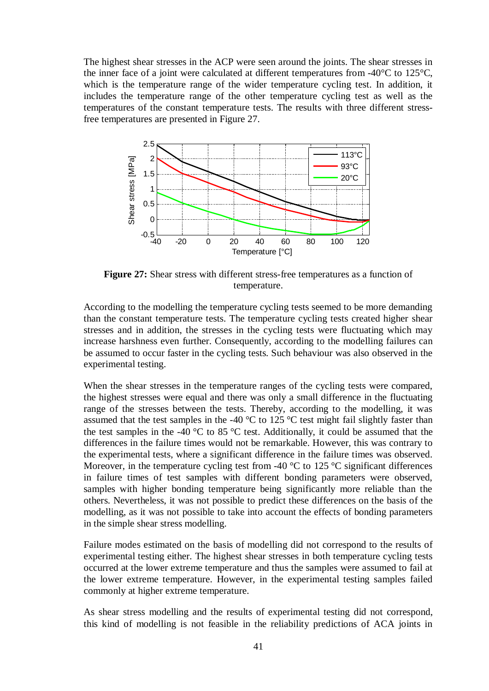The highest shear stresses in the ACP were seen around the joints. The shear stresses in the inner face of a joint were calculated at different temperatures from -40°C to 125°C, which is the temperature range of the wider temperature cycling test. In addition, it includes the temperature range of the other temperature cycling test as well as the temperatures of the constant temperature tests. The results with three different stressfree temperatures are presented in Figure 27.



**Figure 27:** Shear stress with different stress-free temperatures as a function of temperature.

According to the modelling the temperature cycling tests seemed to be more demanding than the constant temperature tests. The temperature cycling tests created higher shear stresses and in addition, the stresses in the cycling tests were fluctuating which may increase harshness even further. Consequently, according to the modelling failures can be assumed to occur faster in the cycling tests. Such behaviour was also observed in the experimental testing.

When the shear stresses in the temperature ranges of the cycling tests were compared, the highest stresses were equal and there was only a small difference in the fluctuating range of the stresses between the tests. Thereby, according to the modelling, it was assumed that the test samples in the -40  $\degree$ C to 125  $\degree$ C test might fail slightly faster than the test samples in the -40  $^{\circ}$ C to 85  $^{\circ}$ C test. Additionally, it could be assumed that the differences in the failure times would not be remarkable. However, this was contrary to the experimental tests, where a significant difference in the failure times was observed. Moreover, in the temperature cycling test from -40  $\degree$ C to 125  $\degree$ C significant differences in failure times of test samples with different bonding parameters were observed, samples with higher bonding temperature being significantly more reliable than the others. Nevertheless, it was not possible to predict these differences on the basis of the modelling, as it was not possible to take into account the effects of bonding parameters in the simple shear stress modelling.

Failure modes estimated on the basis of modelling did not correspond to the results of experimental testing either. The highest shear stresses in both temperature cycling tests occurred at the lower extreme temperature and thus the samples were assumed to fail at the lower extreme temperature. However, in the experimental testing samples failed commonly at higher extreme temperature.

As shear stress modelling and the results of experimental testing did not correspond, this kind of modelling is not feasible in the reliability predictions of ACA joints in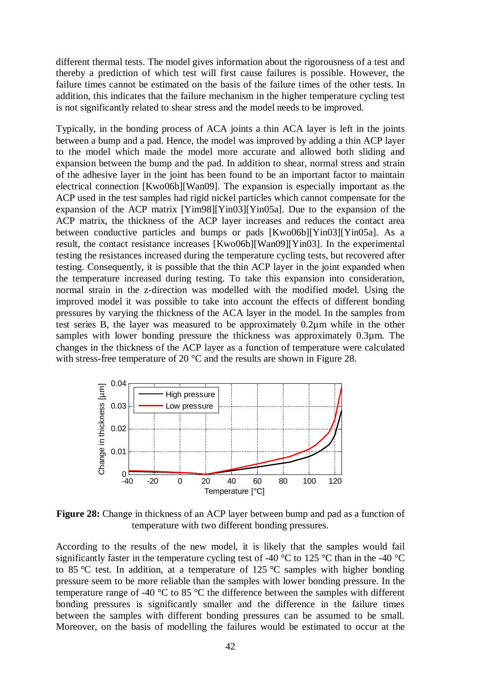different thermal tests. The model gives information about the rigorousness of a test and thereby a prediction of which test will first cause failures is possible. However, the failure times cannot be estimated on the basis of the failure times of the other tests. In addition, this indicates that the failure mechanism in the higher temperature cycling test is not significantly related to shear stress and the model needs to be improved.

Typically, in the bonding process of ACA joints a thin ACA layer is left in the joints between a bump and a pad. Hence, the model was improved by adding a thin ACP layer to the model which made the model more accurate and allowed both sliding and expansion between the bump and the pad. In addition to shear, normal stress and strain of the adhesive layer in the joint has been found to be an important factor to maintain electrical connection [Kwo06b][Wan09]. The expansion is especially important as the ACP used in the test samples had rigid nickel particles which cannot compensate for the expansion of the ACP matrix [Yim98][Yin03][Yin05a]. Due to the expansion of the ACP matrix, the thickness of the ACP layer increases and reduces the contact area between conductive particles and bumps or pads [Kwo06b][Yin03][Yin05a]. As a result, the contact resistance increases [Kwo06b][Wan09][Yin03]. In the experimental testing the resistances increased during the temperature cycling tests, but recovered after testing. Consequently, it is possible that the thin ACP layer in the joint expanded when the temperature increased during testing. To take this expansion into consideration, normal strain in the z-direction was modelled with the modified model. Using the improved model it was possible to take into account the effects of different bonding pressures by varying the thickness of the ACA layer in the model. In the samples from test series B, the layer was measured to be approximately 0.2µm while in the other samples with lower bonding pressure the thickness was approximately 0.3µm. The changes in the thickness of the ACP layer as a function of temperature were calculated with stress-free temperature of 20 °C and the results are shown in Figure 28.



**Figure 28:** Change in thickness of an ACP layer between bump and pad as a function of temperature with two different bonding pressures.

According to the results of the new model, it is likely that the samples would fail significantly faster in the temperature cycling test of -40  $^{\circ}$ C to 125  $^{\circ}$ C than in the -40  $^{\circ}$ C to 85 °C test. In addition, at a temperature of 125 °C samples with higher bonding pressure seem to be more reliable than the samples with lower bonding pressure. In the temperature range of -40 °C to 85 °C the difference between the samples with different bonding pressures is significantly smaller and the difference in the failure times between the samples with different bonding pressures can be assumed to be small. Moreover, on the basis of modelling the failures would be estimated to occur at the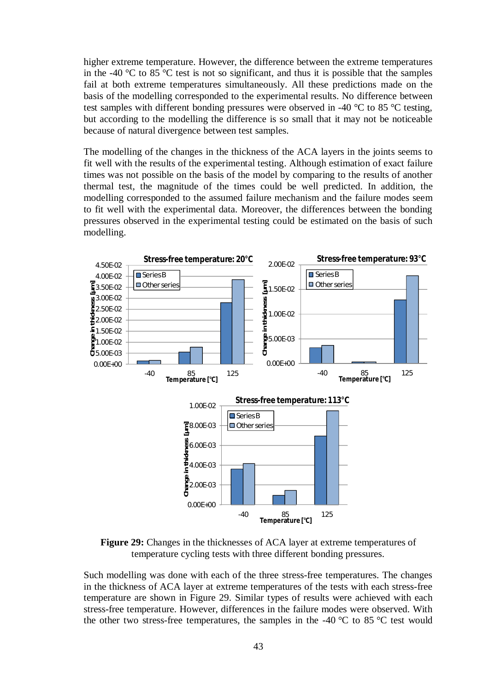higher extreme temperature. However, the difference between the extreme temperatures in the -40  $\degree$ C to 85  $\degree$ C test is not so significant, and thus it is possible that the samples fail at both extreme temperatures simultaneously. All these predictions made on the basis of the modelling corresponded to the experimental results. No difference between test samples with different bonding pressures were observed in -40 °C to 85 °C testing, but according to the modelling the difference is so small that it may not be noticeable because of natural divergence between test samples.

The modelling of the changes in the thickness of the ACA layers in the joints seems to fit well with the results of the experimental testing. Although estimation of exact failure times was not possible on the basis of the model by comparing to the results of another thermal test, the magnitude of the times could be well predicted. In addition, the modelling corresponded to the assumed failure mechanism and the failure modes seem to fit well with the experimental data. Moreover, the differences between the bonding pressures observed in the experimental testing could be estimated on the basis of such modelling.



**Figure 29:** Changes in the thicknesses of ACA layer at extreme temperatures of temperature cycling tests with three different bonding pressures.

Such modelling was done with each of the three stress-free temperatures. The changes in the thickness of ACA layer at extreme temperatures of the tests with each stress-free temperature are shown in Figure 29. Similar types of results were achieved with each stress-free temperature. However, differences in the failure modes were observed. With the other two stress-free temperatures, the samples in the -40  $\degree$ C to 85  $\degree$ C test would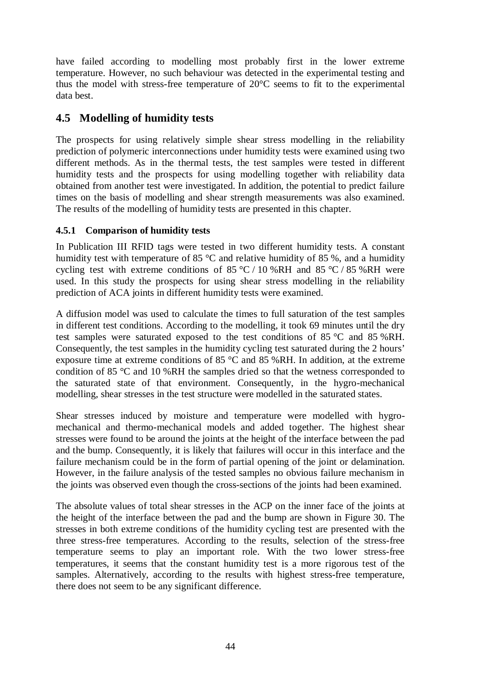have failed according to modelling most probably first in the lower extreme temperature. However, no such behaviour was detected in the experimental testing and thus the model with stress-free temperature of 20°C seems to fit to the experimental data best.

## **4.5 Modelling of humidity tests**

The prospects for using relatively simple shear stress modelling in the reliability prediction of polymeric interconnections under humidity tests were examined using two different methods. As in the thermal tests, the test samples were tested in different humidity tests and the prospects for using modelling together with reliability data obtained from another test were investigated. In addition, the potential to predict failure times on the basis of modelling and shear strength measurements was also examined. The results of the modelling of humidity tests are presented in this chapter.

### **4.5.1 Comparison of humidity tests**

In Publication III RFID tags were tested in two different humidity tests. A constant humidity test with temperature of 85 °C and relative humidity of 85 %, and a humidity cycling test with extreme conditions of 85 °C / 10 %RH and 85 °C / 85 %RH were used. In this study the prospects for using shear stress modelling in the reliability prediction of ACA joints in different humidity tests were examined.

A diffusion model was used to calculate the times to full saturation of the test samples in different test conditions. According to the modelling, it took 69 minutes until the dry test samples were saturated exposed to the test conditions of 85 °C and 85 %RH. Consequently, the test samples in the humidity cycling test saturated during the 2 hours' exposure time at extreme conditions of 85 °C and 85 %RH. In addition, at the extreme condition of 85 °C and 10 %RH the samples dried so that the wetness corresponded to the saturated state of that environment. Consequently, in the hygro-mechanical modelling, shear stresses in the test structure were modelled in the saturated states.

Shear stresses induced by moisture and temperature were modelled with hygromechanical and thermo-mechanical models and added together. The highest shear stresses were found to be around the joints at the height of the interface between the pad and the bump. Consequently, it is likely that failures will occur in this interface and the failure mechanism could be in the form of partial opening of the joint or delamination. However, in the failure analysis of the tested samples no obvious failure mechanism in the joints was observed even though the cross-sections of the joints had been examined.

The absolute values of total shear stresses in the ACP on the inner face of the joints at the height of the interface between the pad and the bump are shown in Figure 30. The stresses in both extreme conditions of the humidity cycling test are presented with the three stress-free temperatures. According to the results, selection of the stress-free temperature seems to play an important role. With the two lower stress-free temperatures, it seems that the constant humidity test is a more rigorous test of the samples. Alternatively, according to the results with highest stress-free temperature, there does not seem to be any significant difference.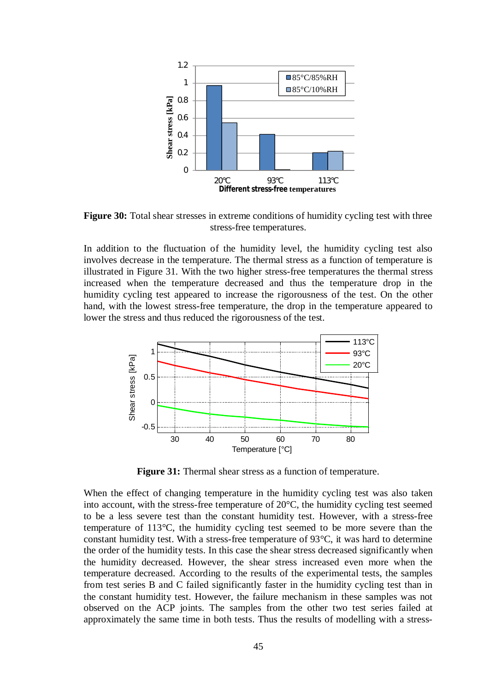

**Figure 30:** Total shear stresses in extreme conditions of humidity cycling test with three stress-free temperatures.

In addition to the fluctuation of the humidity level, the humidity cycling test also involves decrease in the temperature. The thermal stress as a function of temperature is illustrated in Figure 31. With the two higher stress-free temperatures the thermal stress increased when the temperature decreased and thus the temperature drop in the humidity cycling test appeared to increase the rigorousness of the test. On the other hand, with the lowest stress-free temperature, the drop in the temperature appeared to lower the stress and thus reduced the rigorousness of the test.



**Figure 31:** Thermal shear stress as a function of temperature.

When the effect of changing temperature in the humidity cycling test was also taken into account, with the stress-free temperature of 20°C, the humidity cycling test seemed to be a less severe test than the constant humidity test. However, with a stress-free temperature of 113°C, the humidity cycling test seemed to be more severe than the constant humidity test. With a stress-free temperature of 93°C, it was hard to determine the order of the humidity tests. In this case the shear stress decreased significantly when the humidity decreased. However, the shear stress increased even more when the temperature decreased. According to the results of the experimental tests, the samples from test series B and C failed significantly faster in the humidity cycling test than in the constant humidity test. However, the failure mechanism in these samples was not observed on the ACP joints. The samples from the other two test series failed at approximately the same time in both tests. Thus the results of modelling with a stress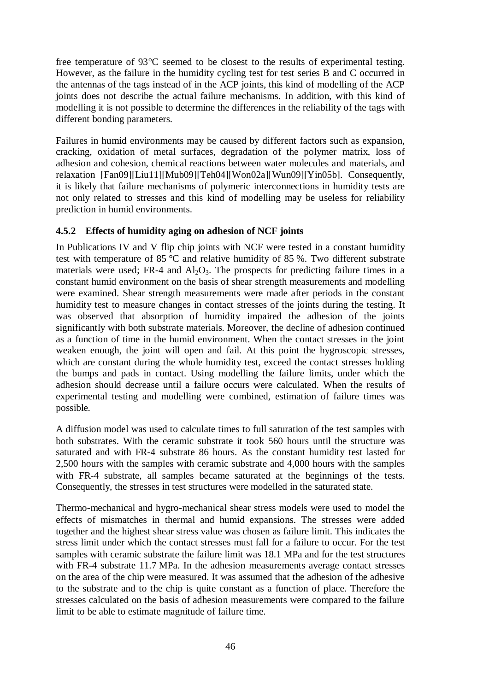free temperature of 93°C seemed to be closest to the results of experimental testing. However, as the failure in the humidity cycling test for test series B and C occurred in the antennas of the tags instead of in the ACP joints, this kind of modelling of the ACP joints does not describe the actual failure mechanisms. In addition, with this kind of modelling it is not possible to determine the differences in the reliability of the tags with different bonding parameters.

Failures in humid environments may be caused by different factors such as expansion, cracking, oxidation of metal surfaces, degradation of the polymer matrix, loss of adhesion and cohesion, chemical reactions between water molecules and materials, and relaxation [Fan09][Liu11][Mub09][Teh04][Won02a][Wun09][Yin05b]. Consequently, it is likely that failure mechanisms of polymeric interconnections in humidity tests are not only related to stresses and this kind of modelling may be useless for reliability prediction in humid environments.

### **4.5.2 Effects of humidity aging on adhesion of NCF joints**

In Publications IV and V flip chip joints with NCF were tested in a constant humidity test with temperature of 85 °C and relative humidity of 85 %. Two different substrate materials were used; FR-4 and  $Al_2O_3$ . The prospects for predicting failure times in a constant humid environment on the basis of shear strength measurements and modelling were examined. Shear strength measurements were made after periods in the constant humidity test to measure changes in contact stresses of the joints during the testing. It was observed that absorption of humidity impaired the adhesion of the joints significantly with both substrate materials. Moreover, the decline of adhesion continued as a function of time in the humid environment. When the contact stresses in the joint weaken enough, the joint will open and fail. At this point the hygroscopic stresses, which are constant during the whole humidity test, exceed the contact stresses holding the bumps and pads in contact. Using modelling the failure limits, under which the adhesion should decrease until a failure occurs were calculated. When the results of experimental testing and modelling were combined, estimation of failure times was possible.

A diffusion model was used to calculate times to full saturation of the test samples with both substrates. With the ceramic substrate it took 560 hours until the structure was saturated and with FR-4 substrate 86 hours. As the constant humidity test lasted for 2,500 hours with the samples with ceramic substrate and 4,000 hours with the samples with FR-4 substrate, all samples became saturated at the beginnings of the tests. Consequently, the stresses in test structures were modelled in the saturated state.

Thermo-mechanical and hygro-mechanical shear stress models were used to model the effects of mismatches in thermal and humid expansions. The stresses were added together and the highest shear stress value was chosen as failure limit. This indicates the stress limit under which the contact stresses must fall for a failure to occur. For the test samples with ceramic substrate the failure limit was 18.1 MPa and for the test structures with FR-4 substrate 11.7 MPa. In the adhesion measurements average contact stresses on the area of the chip were measured. It was assumed that the adhesion of the adhesive to the substrate and to the chip is quite constant as a function of place. Therefore the stresses calculated on the basis of adhesion measurements were compared to the failure limit to be able to estimate magnitude of failure time.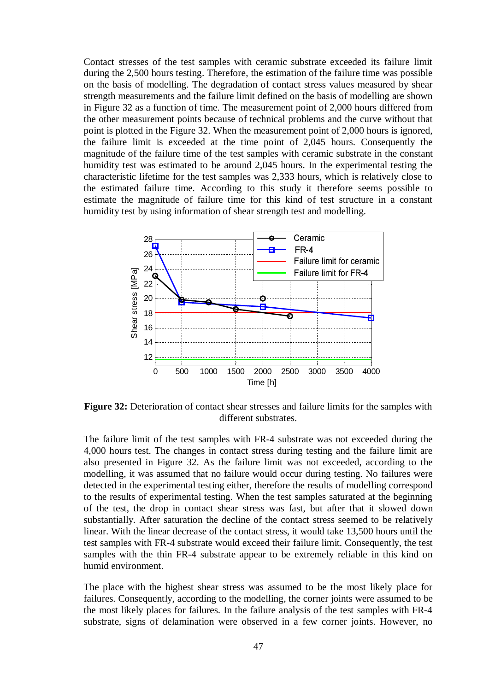Contact stresses of the test samples with ceramic substrate exceeded its failure limit during the 2,500 hours testing. Therefore, the estimation of the failure time was possible on the basis of modelling. The degradation of contact stress values measured by shear strength measurements and the failure limit defined on the basis of modelling are shown in Figure 32 as a function of time. The measurement point of 2,000 hours differed from the other measurement points because of technical problems and the curve without that point is plotted in the Figure 32. When the measurement point of 2,000 hours is ignored, the failure limit is exceeded at the time point of 2,045 hours. Consequently the magnitude of the failure time of the test samples with ceramic substrate in the constant humidity test was estimated to be around 2,045 hours. In the experimental testing the characteristic lifetime for the test samples was 2,333 hours, which is relatively close to the estimated failure time. According to this study it therefore seems possible to estimate the magnitude of failure time for this kind of test structure in a constant humidity test by using information of shear strength test and modelling.



**Figure 32:** Deterioration of contact shear stresses and failure limits for the samples with different substrates.

The failure limit of the test samples with FR-4 substrate was not exceeded during the 4,000 hours test. The changes in contact stress during testing and the failure limit are also presented in Figure 32. As the failure limit was not exceeded, according to the modelling, it was assumed that no failure would occur during testing. No failures were detected in the experimental testing either, therefore the results of modelling correspond to the results of experimental testing. When the test samples saturated at the beginning of the test, the drop in contact shear stress was fast, but after that it slowed down substantially. After saturation the decline of the contact stress seemed to be relatively linear. With the linear decrease of the contact stress, it would take 13,500 hours until the test samples with FR-4 substrate would exceed their failure limit. Consequently, the test samples with the thin FR-4 substrate appear to be extremely reliable in this kind on humid environment.

The place with the highest shear stress was assumed to be the most likely place for failures. Consequently, according to the modelling, the corner joints were assumed to be the most likely places for failures. In the failure analysis of the test samples with FR-4 substrate, signs of delamination were observed in a few corner joints. However, no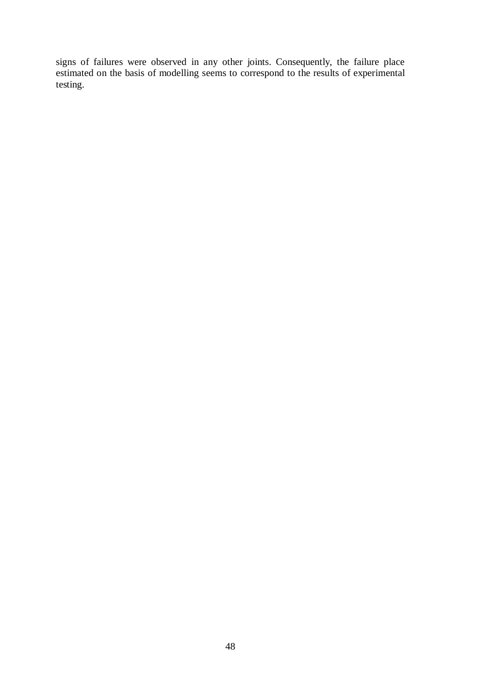signs of failures were observed in any other joints. Consequently, the failure place estimated on the basis of modelling seems to correspond to the results of experimental testing.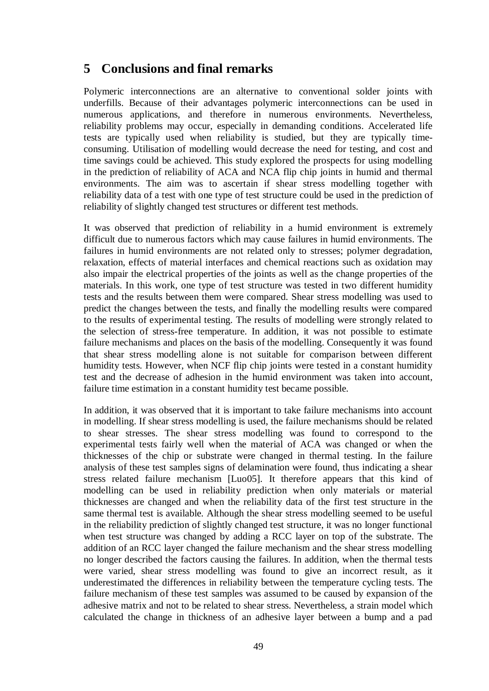# **5 Conclusions and final remarks**

Polymeric interconnections are an alternative to conventional solder joints with underfills. Because of their advantages polymeric interconnections can be used in numerous applications, and therefore in numerous environments. Nevertheless, reliability problems may occur, especially in demanding conditions. Accelerated life tests are typically used when reliability is studied, but they are typically timeconsuming. Utilisation of modelling would decrease the need for testing, and cost and time savings could be achieved. This study explored the prospects for using modelling in the prediction of reliability of ACA and NCA flip chip joints in humid and thermal environments. The aim was to ascertain if shear stress modelling together with reliability data of a test with one type of test structure could be used in the prediction of reliability of slightly changed test structures or different test methods.

It was observed that prediction of reliability in a humid environment is extremely difficult due to numerous factors which may cause failures in humid environments. The failures in humid environments are not related only to stresses; polymer degradation, relaxation, effects of material interfaces and chemical reactions such as oxidation may also impair the electrical properties of the joints as well as the change properties of the materials. In this work, one type of test structure was tested in two different humidity tests and the results between them were compared. Shear stress modelling was used to predict the changes between the tests, and finally the modelling results were compared to the results of experimental testing. The results of modelling were strongly related to the selection of stress-free temperature. In addition, it was not possible to estimate failure mechanisms and places on the basis of the modelling. Consequently it was found that shear stress modelling alone is not suitable for comparison between different humidity tests. However, when NCF flip chip joints were tested in a constant humidity test and the decrease of adhesion in the humid environment was taken into account, failure time estimation in a constant humidity test became possible.

In addition, it was observed that it is important to take failure mechanisms into account in modelling. If shear stress modelling is used, the failure mechanisms should be related to shear stresses. The shear stress modelling was found to correspond to the experimental tests fairly well when the material of ACA was changed or when the thicknesses of the chip or substrate were changed in thermal testing. In the failure analysis of these test samples signs of delamination were found, thus indicating a shear stress related failure mechanism [Luo05]. It therefore appears that this kind of modelling can be used in reliability prediction when only materials or material thicknesses are changed and when the reliability data of the first test structure in the same thermal test is available. Although the shear stress modelling seemed to be useful in the reliability prediction of slightly changed test structure, it was no longer functional when test structure was changed by adding a RCC layer on top of the substrate. The addition of an RCC layer changed the failure mechanism and the shear stress modelling no longer described the factors causing the failures. In addition, when the thermal tests were varied, shear stress modelling was found to give an incorrect result, as it underestimated the differences in reliability between the temperature cycling tests. The failure mechanism of these test samples was assumed to be caused by expansion of the adhesive matrix and not to be related to shear stress. Nevertheless, a strain model which calculated the change in thickness of an adhesive layer between a bump and a pad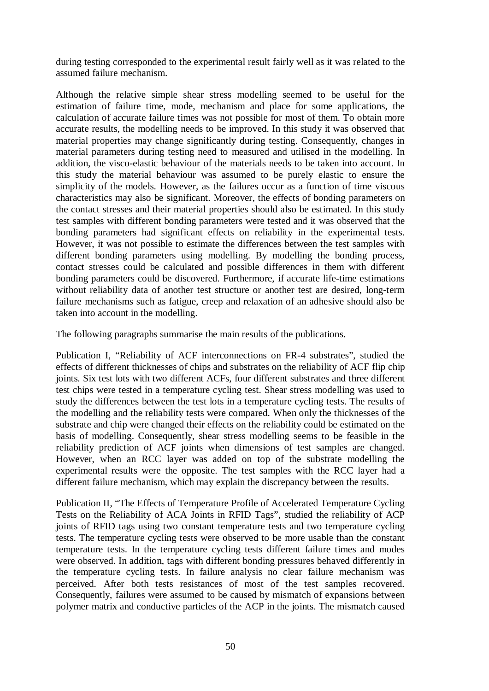during testing corresponded to the experimental result fairly well as it was related to the assumed failure mechanism.

Although the relative simple shear stress modelling seemed to be useful for the estimation of failure time, mode, mechanism and place for some applications, the calculation of accurate failure times was not possible for most of them. To obtain more accurate results, the modelling needs to be improved. In this study it was observed that material properties may change significantly during testing. Consequently, changes in material parameters during testing need to measured and utilised in the modelling. In addition, the visco-elastic behaviour of the materials needs to be taken into account. In this study the material behaviour was assumed to be purely elastic to ensure the simplicity of the models. However, as the failures occur as a function of time viscous characteristics may also be significant. Moreover, the effects of bonding parameters on the contact stresses and their material properties should also be estimated. In this study test samples with different bonding parameters were tested and it was observed that the bonding parameters had significant effects on reliability in the experimental tests. However, it was not possible to estimate the differences between the test samples with different bonding parameters using modelling. By modelling the bonding process, contact stresses could be calculated and possible differences in them with different bonding parameters could be discovered. Furthermore, if accurate life-time estimations without reliability data of another test structure or another test are desired, long-term failure mechanisms such as fatigue, creep and relaxation of an adhesive should also be taken into account in the modelling.

The following paragraphs summarise the main results of the publications.

Publication I, "Reliability of ACF interconnections on FR-4 substrates", studied the effects of different thicknesses of chips and substrates on the reliability of ACF flip chip joints. Six test lots with two different ACFs, four different substrates and three different test chips were tested in a temperature cycling test. Shear stress modelling was used to study the differences between the test lots in a temperature cycling tests. The results of the modelling and the reliability tests were compared. When only the thicknesses of the substrate and chip were changed their effects on the reliability could be estimated on the basis of modelling. Consequently, shear stress modelling seems to be feasible in the reliability prediction of ACF joints when dimensions of test samples are changed. However, when an RCC layer was added on top of the substrate modelling the experimental results were the opposite. The test samples with the RCC layer had a different failure mechanism, which may explain the discrepancy between the results.

Publication II, "The Effects of Temperature Profile of Accelerated Temperature Cycling Tests on the Reliability of ACA Joints in RFID Tags", studied the reliability of ACP joints of RFID tags using two constant temperature tests and two temperature cycling tests. The temperature cycling tests were observed to be more usable than the constant temperature tests. In the temperature cycling tests different failure times and modes were observed. In addition, tags with different bonding pressures behaved differently in the temperature cycling tests. In failure analysis no clear failure mechanism was perceived. After both tests resistances of most of the test samples recovered. Consequently, failures were assumed to be caused by mismatch of expansions between polymer matrix and conductive particles of the ACP in the joints. The mismatch caused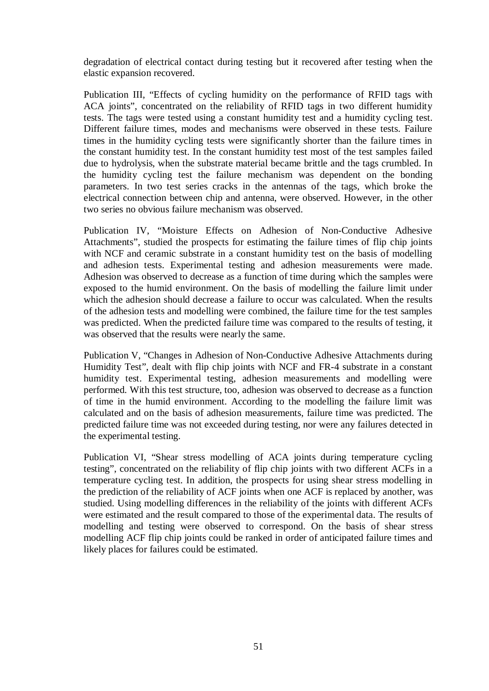degradation of electrical contact during testing but it recovered after testing when the elastic expansion recovered.

Publication III, "Effects of cycling humidity on the performance of RFID tags with ACA joints", concentrated on the reliability of RFID tags in two different humidity tests. The tags were tested using a constant humidity test and a humidity cycling test. Different failure times, modes and mechanisms were observed in these tests. Failure times in the humidity cycling tests were significantly shorter than the failure times in the constant humidity test. In the constant humidity test most of the test samples failed due to hydrolysis, when the substrate material became brittle and the tags crumbled. In the humidity cycling test the failure mechanism was dependent on the bonding parameters. In two test series cracks in the antennas of the tags, which broke the electrical connection between chip and antenna, were observed. However, in the other two series no obvious failure mechanism was observed.

Publication IV, "Moisture Effects on Adhesion of Non-Conductive Adhesive Attachments", studied the prospects for estimating the failure times of flip chip joints with NCF and ceramic substrate in a constant humidity test on the basis of modelling and adhesion tests. Experimental testing and adhesion measurements were made. Adhesion was observed to decrease as a function of time during which the samples were exposed to the humid environment. On the basis of modelling the failure limit under which the adhesion should decrease a failure to occur was calculated. When the results of the adhesion tests and modelling were combined, the failure time for the test samples was predicted. When the predicted failure time was compared to the results of testing, it was observed that the results were nearly the same.

Publication V, "Changes in Adhesion of Non-Conductive Adhesive Attachments during Humidity Test", dealt with flip chip joints with NCF and FR-4 substrate in a constant humidity test. Experimental testing, adhesion measurements and modelling were performed. With this test structure, too, adhesion was observed to decrease as a function of time in the humid environment. According to the modelling the failure limit was calculated and on the basis of adhesion measurements, failure time was predicted. The predicted failure time was not exceeded during testing, nor were any failures detected in the experimental testing.

Publication VI, "Shear stress modelling of ACA joints during temperature cycling testing", concentrated on the reliability of flip chip joints with two different ACFs in a temperature cycling test. In addition, the prospects for using shear stress modelling in the prediction of the reliability of ACF joints when one ACF is replaced by another, was studied. Using modelling differences in the reliability of the joints with different ACFs were estimated and the result compared to those of the experimental data. The results of modelling and testing were observed to correspond. On the basis of shear stress modelling ACF flip chip joints could be ranked in order of anticipated failure times and likely places for failures could be estimated.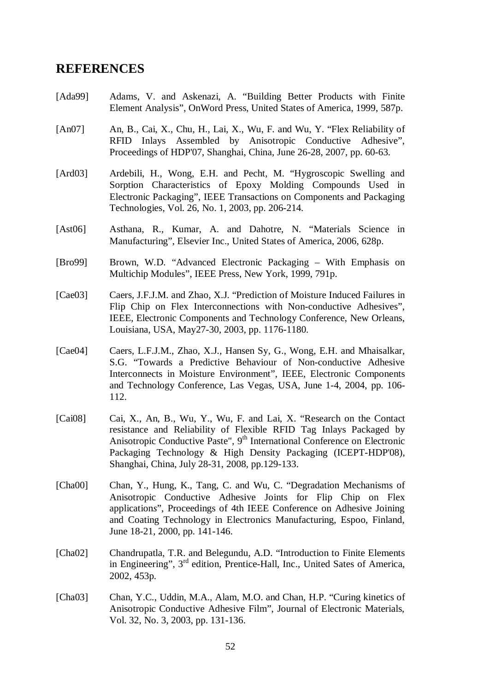## **REFERENCES**

- [Ada99] Adams, V. and Askenazi, A. "Building Better Products with Finite Element Analysis", OnWord Press, United States of America, 1999, 587p.
- [An07] An, B., Cai, X., Chu, H., Lai, X., Wu, F. and Wu, Y. "Flex Reliability of RFID Inlays Assembled by Anisotropic Conductive Adhesive", Proceedings of HDP'07, Shanghai, China, June 26-28, 2007, pp. 60-63.
- [Ard03] Ardebili, H., Wong, E.H. and Pecht, M. "Hygroscopic Swelling and Sorption Characteristics of Epoxy Molding Compounds Used in Electronic Packaging", IEEE Transactions on Components and Packaging Technologies, Vol. 26, No. 1, 2003, pp. 206-214.
- [Ast06] Asthana, R., Kumar, A. and Dahotre, N. "Materials Science in Manufacturing", Elsevier Inc., United States of America, 2006, 628p.
- [Bro99] Brown, W.D. "Advanced Electronic Packaging With Emphasis on Multichip Modules", IEEE Press, New York, 1999, 791p.
- [Cae03] Caers, J.F.J.M. and Zhao, X.J. "Prediction of Moisture Induced Failures in Flip Chip on Flex Interconnections with Non-conductive Adhesives", IEEE, Electronic Components and Technology Conference, New Orleans, Louisiana, USA, May27-30, 2003, pp. 1176-1180.
- [Cae04] Caers, L.F.J.M., Zhao, X.J., Hansen Sy, G., Wong, E.H. and Mhaisalkar, S.G. "Towards a Predictive Behaviour of Non-conductive Adhesive Interconnects in Moisture Environment", IEEE, Electronic Components and Technology Conference, Las Vegas, USA, June 1-4, 2004, pp. 106- 112.
- [Cai08] Cai, X., An, B., Wu, Y., Wu, F. and Lai, X. "Research on the Contact resistance and Reliability of Flexible RFID Tag Inlays Packaged by Anisotropic Conductive Paste",  $9<sup>th</sup>$  International Conference on Electronic Packaging Technology & High Density Packaging (ICEPT-HDP'08), Shanghai, China, July 28-31, 2008, pp.129-133.
- [Cha00] Chan, Y., Hung, K., Tang, C. and Wu, C. "Degradation Mechanisms of Anisotropic Conductive Adhesive Joints for Flip Chip on Flex application*s*", Proceedings of 4th IEEE Conference on Adhesive Joining and Coating Technology in Electronics Manufacturing, Espoo, Finland, June 18-21, 2000, pp. 141-146.
- [Cha02] Chandrupatla, T.R. and Belegundu, A.D. "Introduction to Finite Elements in Engineering", 3rd edition, Prentice-Hall, Inc., United Sates of America, 2002, 453p.
- [Cha03] Chan, Y.C., Uddin, M.A., Alam, M.O. and Chan, H.P. "Curing kinetics of Anisotropic Conductive Adhesive Film", Journal of Electronic Materials, Vol. 32, No. 3, 2003, pp. 131-136.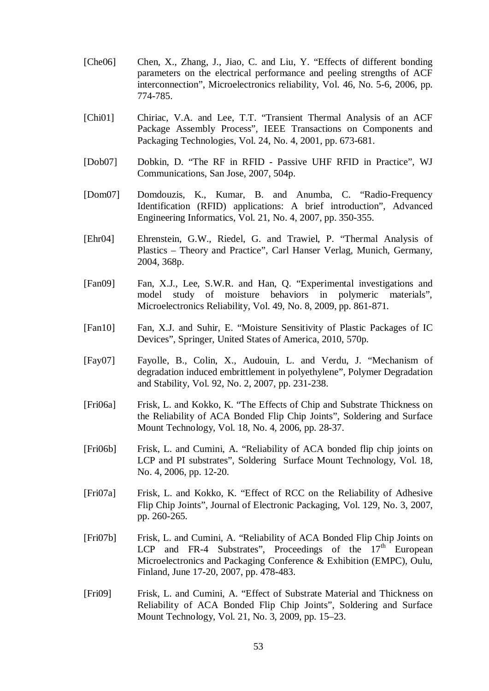- [Che06] Chen, X., Zhang, J., Jiao, C. and Liu, Y. "Effects of different bonding parameters on the electrical performance and peeling strengths of ACF interconnection", Microelectronics reliability, Vol. 46, No. 5-6, 2006, pp. 774-785.
- [Chi01] Chiriac, V.A. and Lee, T.T. "Transient Thermal Analysis of an ACF Package Assembly Process", IEEE Transactions on Components and Packaging Technologies, Vol. 24, No. 4, 2001, pp. 673-681.
- [Dob07] Dobkin, D. "The RF in RFID Passive UHF RFID in Practice", WJ Communications, San Jose, 2007, 504p.
- [Dom07] Domdouzis, K., Kumar, B. and Anumba, C. "Radio-Frequency Identification (RFID) applications: A brief introduction", Advanced Engineering Informatics, Vol. 21, No. 4, 2007, pp. 350-355.
- [Ehr04] Ehrenstein, G.W., Riedel, G. and Trawiel, P. "Thermal Analysis of Plastics – Theory and Practice", Carl Hanser Verlag, Munich, Germany, 2004, 368p.
- [Fan09] Fan, X.J., Lee, S.W.R. and Han, Q. "Experimental investigations and model study of moisture behaviors in polymeric materials", Microelectronics Reliability, Vol. 49, No. 8, 2009, pp. 861-871.
- [Fan10] Fan, X.J. and Suhir, E. "Moisture Sensitivity of Plastic Packages of IC Devices", Springer, United States of America, 2010, 570p.
- [Fay07] Fayolle, B., Colin, X., Audouin, L. and Verdu, J. "Mechanism of degradation induced embrittlement in polyethylene", Polymer Degradation and Stability, Vol. 92, No. 2, 2007, pp. 231-238.
- [Fri06a] Frisk, L. and Kokko, K. "The Effects of Chip and Substrate Thickness on the Reliability of ACA Bonded Flip Chip Joints", Soldering and Surface Mount Technology, Vol. 18, No. 4, 2006, pp. 28-37.
- [Fri06b] Frisk, L. and Cumini, A. "Reliability of ACA bonded flip chip joints on LCP and PI substrates", Soldering Surface Mount Technology, Vol. 18, No. 4, 2006, pp. 12-20.
- [Fri07a] Frisk, L. and Kokko, K. "Effect of RCC on the Reliability of Adhesive Flip Chip Joints", Journal of Electronic Packaging, Vol. 129, No. 3, 2007, pp. 260-265.
- [Fri07b] Frisk, L. and Cumini, A. "Reliability of ACA Bonded Flip Chip Joints on LCP and FR-4 Substrates", Proceedings of the  $17<sup>th</sup>$  European Microelectronics and Packaging Conference & Exhibition (EMPC), Oulu, Finland, June 17-20, 2007, pp. 478-483.
- [Fri09] Frisk, L. and Cumini, A. "Effect of Substrate Material and Thickness on Reliability of ACA Bonded Flip Chip Joints", Soldering and Surface Mount Technology, Vol. 21, No. 3, 2009, pp. 15–23.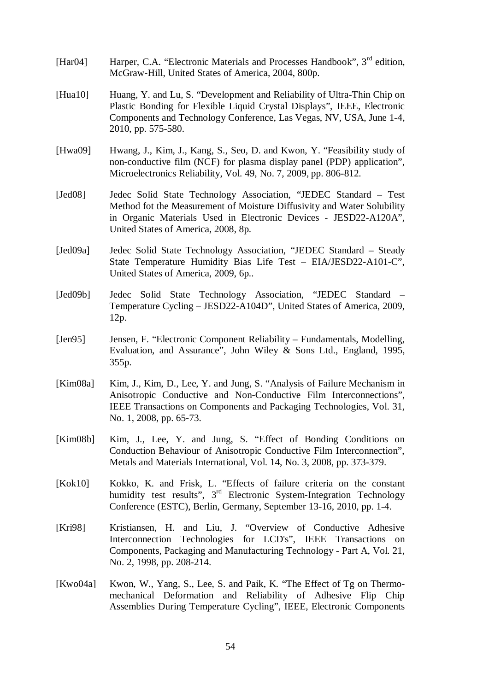- [Har04] Harper, C.A. "Electronic Materials and Processes Handbook", 3<sup>rd</sup> edition, McGraw-Hill, United States of America, 2004, 800p.
- [Hua10] Huang, Y. and Lu, S. "Development and Reliability of Ultra-Thin Chip on Plastic Bonding for Flexible Liquid Crystal Displays", IEEE, Electronic Components and Technology Conference, Las Vegas, NV, USA, June 1-4, 2010, pp. 575-580.
- [Hwa09] Hwang, J., Kim, J., Kang, S., Seo, D. and Kwon, Y. "Feasibility study of non-conductive film (NCF) for plasma display panel (PDP) application", Microelectronics Reliability, Vol. 49, No. 7, 2009, pp. 806-812.
- [Jed08] Jedec Solid State Technology Association, "JEDEC Standard Test Method fot the Measurement of Moisture Diffusivity and Water Solubility in Organic Materials Used in Electronic Devices - JESD22-A120A", United States of America, 2008, 8p.
- [Jed09a] Jedec Solid State Technology Association, "JEDEC Standard Steady State Temperature Humidity Bias Life Test – EIA/JESD22-A101-C", United States of America, 2009, 6p..
- [Jed09b] Jedec Solid State Technology Association, "JEDEC Standard Temperature Cycling – JESD22-A104D", United States of America, 2009, 12p.
- [Jen95] Jensen, F. "Electronic Component Reliability Fundamentals, Modelling, Evaluation, and Assurance", John Wiley & Sons Ltd., England, 1995, 355p.
- [Kim08a] Kim, J., Kim, D., Lee, Y. and Jung, S. "Analysis of Failure Mechanism in Anisotropic Conductive and Non-Conductive Film Interconnections", IEEE Transactions on Components and Packaging Technologies, Vol. 31, No. 1, 2008, pp. 65-73.
- [Kim08b] Kim, J., Lee, Y. and Jung, S. "Effect of Bonding Conditions on Conduction Behaviour of Anisotropic Conductive Film Interconnection", Metals and Materials International, Vol. 14, No. 3, 2008, pp. 373-379.
- [Kok10] Kokko, K. and Frisk, L. "Effects of failure criteria on the constant humidity test results",  $3<sup>rd</sup>$  Electronic System-Integration Technology Conference (ESTC), Berlin, Germany, September 13-16, 2010, pp. 1-4.
- [Kri98] Kristiansen, H. and Liu, J. "Overview of Conductive Adhesive Interconnection Technologies for LCD's", IEEE Transactions on Components, Packaging and Manufacturing Technology - Part A, Vol. 21, No. 2, 1998, pp. 208-214.
- [Kwo04a] Kwon, W., Yang, S., Lee, S. and Paik, K. "The Effect of Tg on Thermomechanical Deformation and Reliability of Adhesive Flip Chip Assemblies During Temperature Cycling", IEEE, Electronic Components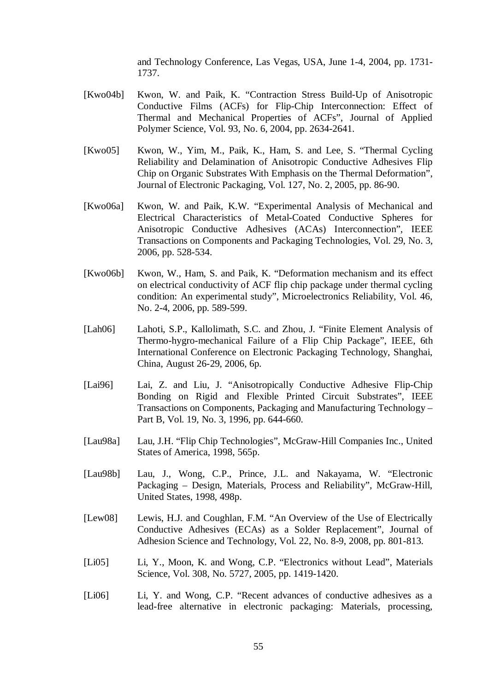and Technology Conference, Las Vegas, USA, June 1-4, 2004, pp. 1731- 1737.

- [Kwo04b] Kwon, W. and Paik, K. "Contraction Stress Build-Up of Anisotropic Conductive Films (ACFs) for Flip-Chip Interconnection: Effect of Thermal and Mechanical Properties of ACFs", Journal of Applied Polymer Science, Vol. 93, No. 6, 2004, pp. 2634-2641.
- [Kwo05] Kwon, W., Yim, M., Paik, K., Ham, S. and Lee, S. "Thermal Cycling Reliability and Delamination of Anisotropic Conductive Adhesives Flip Chip on Organic Substrates With Emphasis on the Thermal Deformation", Journal of Electronic Packaging, Vol. 127, No. 2, 2005, pp. 86-90.
- [Kwo06a] Kwon, W. and Paik, K.W. "Experimental Analysis of Mechanical and Electrical Characteristics of Metal-Coated Conductive Spheres for Anisotropic Conductive Adhesives (ACAs) Interconnection", IEEE Transactions on Components and Packaging Technologies, Vol. 29, No. 3, 2006, pp. 528-534.
- [Kwo06b] Kwon, W., Ham, S. and Paik, K. "Deformation mechanism and its effect on electrical conductivity of ACF flip chip package under thermal cycling condition: An experimental study", Microelectronics Reliability, Vol. 46, No. 2-4, 2006, pp. 589-599.
- [Lah06] Lahoti, S.P., Kallolimath, S.C. and Zhou, J. "Finite Element Analysis of Thermo-hygro-mechanical Failure of a Flip Chip Package", IEEE, 6th International Conference on Electronic Packaging Technology, Shanghai, China, August 26-29, 2006, 6p.
- [Lai96] Lai, Z. and Liu, J. "Anisotropically Conductive Adhesive Flip-Chip Bonding on Rigid and Flexible Printed Circuit Substrates", IEEE Transactions on Components, Packaging and Manufacturing Technology – Part B, Vol. 19, No. 3, 1996, pp. 644-660.
- [Lau98a] Lau, J.H. "Flip Chip Technologies", McGraw-Hill Companies Inc., United States of America, 1998, 565p.
- [Lau98b] Lau, J., Wong, C.P., Prince, J.L. and Nakayama, W. "Electronic Packaging – Design, Materials, Process and Reliability", McGraw-Hill, United States, 1998, 498p.
- [Lew08] Lewis, H.J. and Coughlan, F.M. "An Overview of the Use of Electrically Conductive Adhesives (ECAs) as a Solder Replacement", Journal of Adhesion Science and Technology, Vol. 22, No. 8-9, 2008, pp. 801-813.
- [Li05] Li, Y., Moon, K. and Wong, C.P. "Electronics without Lead", Materials Science, Vol. 308, No. 5727, 2005, pp. 1419-1420.
- [Li06] Li, Y. and Wong, C.P. "Recent advances of conductive adhesives as a lead-free alternative in electronic packaging: Materials, processing,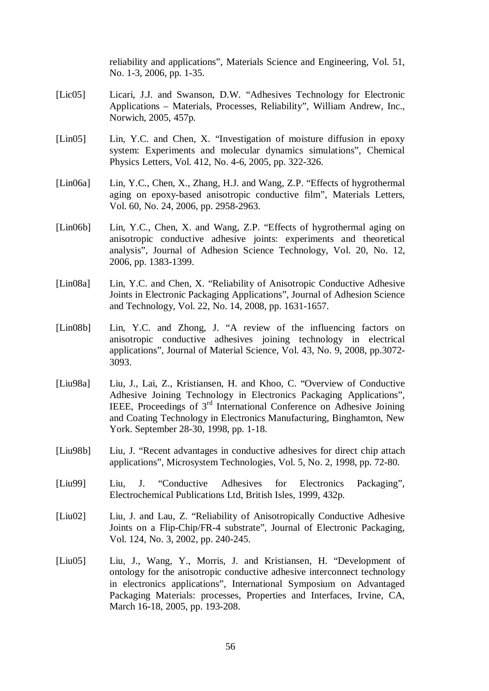reliability and applications", Materials Science and Engineering, Vol. 51, No. 1-3, 2006, pp. 1-35.

- [Lic05] Licari, J.J. and Swanson, D.W. "Adhesives Technology for Electronic Applications – Materials, Processes, Reliability", William Andrew, Inc., Norwich, 2005, 457p.
- [Lin05] Lin, Y.C. and Chen, X. "Investigation of moisture diffusion in epoxy system: Experiments and molecular dynamics simulations", Chemical Physics Letters, Vol. 412, No. 4-6, 2005, pp. 322-326.
- [Lin06a] Lin, Y.C., Chen, X., Zhang, H.J. and Wang, Z.P. "Effects of hygrothermal aging on epoxy-based anisotropic conductive film", Materials Letters, Vol. 60, No. 24, 2006, pp. 2958-2963.
- [Lin06b] Lin, Y.C., Chen, X. and Wang, Z.P. "Effects of hygrothermal aging on anisotropic conductive adhesive joints: experiments and theoretical analysis", Journal of Adhesion Science Technology, Vol. 20, No. 12, 2006, pp. 1383-1399.
- [Lin08a] Lin, Y.C. and Chen, X. "Reliability of Anisotropic Conductive Adhesive Joints in Electronic Packaging Applications", Journal of Adhesion Science and Technology, Vol. 22, No. 14, 2008, pp. 1631-1657.
- [Lin08b] Lin, Y.C. and Zhong, J. "A review of the influencing factors on anisotropic conductive adhesives joining technology in electrical applications", Journal of Material Science, Vol. 43, No. 9, 2008, pp.3072- 3093.
- [Liu98a] Liu, J., Lai, Z., Kristiansen, H. and Khoo, C. "Overview of Conductive Adhesive Joining Technology in Electronics Packaging Applications", IEEE, Proceedings of 3rd International Conference on Adhesive Joining and Coating Technology in Electronics Manufacturing, Binghamton, New York. September 28-30, 1998, pp. 1-18.
- [Liu98b] Liu, J. "Recent advantages in conductive adhesives for direct chip attach applications", Microsystem Technologies, Vol. 5, No. 2, 1998, pp. 72-80.
- [Liu99] Liu, J. "Conductive Adhesives for Electronics Packaging", Electrochemical Publications Ltd, British Isles, 1999, 432p.
- [Liu02] Liu, J. and Lau, Z. "Reliability of Anisotropically Conductive Adhesive Joints on a Flip-Chip/FR-4 substrate", Journal of Electronic Packaging, Vol. 124, No. 3, 2002, pp. 240-245.
- [Liu05] Liu, J., Wang, Y., Morris, J. and Kristiansen, H. "Development of ontology for the anisotropic conductive adhesive interconnect technology in electronics applications", International Symposium on Advantaged Packaging Materials: processes, Properties and Interfaces, Irvine, CA, March 16-18, 2005, pp. 193-208.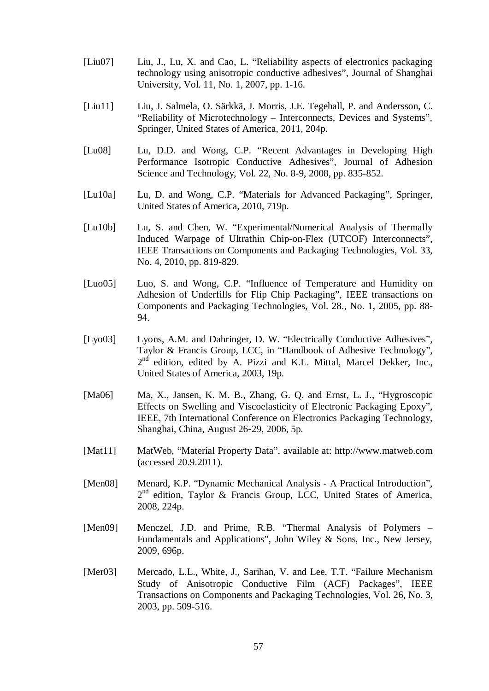- [Liu07] Liu, J., Lu, X. and Cao, L. "Reliability aspects of electronics packaging technology using anisotropic conductive adhesives", Journal of Shanghai University, Vol. 11, No. 1, 2007, pp. 1-16.
- [Liu11] Liu, J. Salmela, O. Särkkä, J. Morris, J.E. Tegehall, P. and Andersson, C. "Reliability of Microtechnology – Interconnects, Devices and Systems", Springer, United States of America, 2011, 204p.
- [Lu08] Lu, D.D. and Wong, C.P. "Recent Advantages in Developing High Performance Isotropic Conductive Adhesives", Journal of Adhesion Science and Technology, Vol. 22, No. 8-9, 2008, pp. 835-852.
- [Lu10a] Lu, D. and Wong, C.P. "Materials for Advanced Packaging", Springer, United States of America, 2010, 719p.
- [Lu10b] Lu, S. and Chen, W. "Experimental/Numerical Analysis of Thermally Induced Warpage of Ultrathin Chip-on-Flex (UTCOF) Interconnects", IEEE Transactions on Components and Packaging Technologies, Vol. 33, No. 4, 2010, pp. 819-829.
- [Luo05] Luo, S. and Wong, C.P. "Influence of Temperature and Humidity on Adhesion of Underfills for Flip Chip Packaging", IEEE transactions on Components and Packaging Technologies, Vol. 28., No. 1, 2005, pp. 88- 94.
- [Lyo03] Lyons, A.M. and Dahringer, D. W. "Electrically Conductive Adhesives", Taylor & Francis Group, LCC, in "Handbook of Adhesive Technology",  $2<sup>nd</sup>$  edition, edited by A. Pizzi and K.L. Mittal, Marcel Dekker, Inc., United States of America, 2003, 19p.
- [Ma06] Ma, X., Jansen, K. M. B., Zhang, G. Q. and Ernst, L. J., "Hygroscopic Effects on Swelling and Viscoelasticity of Electronic Packaging Epoxy", IEEE, 7th International Conference on Electronics Packaging Technology, Shanghai, China, August 26-29, 2006, 5p.
- [Mat11] MatWeb, "Material Property Data", available at: http://www.matweb.com (accessed 20.9.2011).
- [Men08] Menard, K.P. "Dynamic Mechanical Analysis A Practical Introduction", 2<sup>nd</sup> edition, Taylor & Francis Group, LCC, United States of America, 2008, 224p.
- [Men09] Menczel, J.D. and Prime, R.B. "Thermal Analysis of Polymers Fundamentals and Applications", John Wiley & Sons, Inc., New Jersey, 2009, 696p.
- [Mer03] Mercado, L.L., White, J., Sarihan, V. and Lee, T.T. "Failure Mechanism" Study of Anisotropic Conductive Film (ACF) Packages", IEEE Transactions on Components and Packaging Technologies, Vol. 26, No. 3, 2003, pp. 509-516.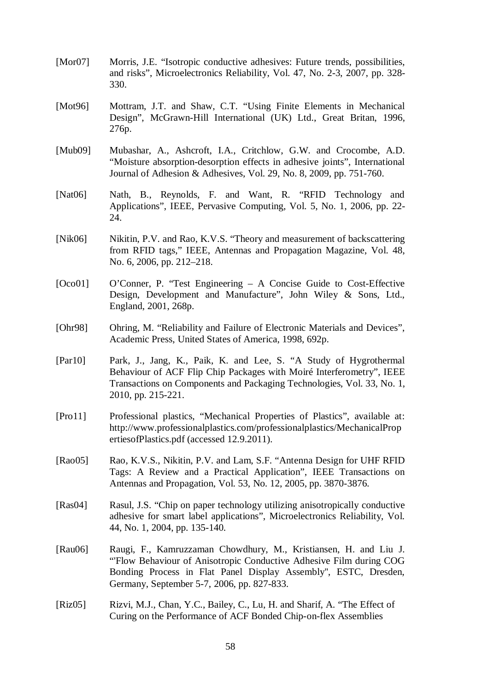| [Mor07]     | Morris, J.E. "Isotropic conductive adhesives: Future trends, possibilities,<br>and risks", Microelectronics Reliability, Vol. 47, No. 2-3, 2007, pp. 328-<br>330.                                                                                       |
|-------------|---------------------------------------------------------------------------------------------------------------------------------------------------------------------------------------------------------------------------------------------------------|
| [ $Mot96$ ] | Mottram, J.T. and Shaw, C.T. "Using Finite Elements in Mechanical<br>Design", McGrawn-Hill International (UK) Ltd., Great Britan, 1996,<br>276p.                                                                                                        |
| [Mub09]     | Mubashar, A., Ashcroft, I.A., Critchlow, G.W. and Crocombe, A.D.<br>"Moisture absorption-desorption effects in adhesive joints", International<br>Journal of Adhesion & Adhesives, Vol. 29, No. 8, 2009, pp. 751-760.                                   |
| [Nat $06$ ] | Nath, B., Reynolds, F. and Want, R. "RFID Technology and<br>Applications", IEEE, Pervasive Computing, Vol. 5, No. 1, 2006, pp. 22-<br>24.                                                                                                               |
| [ $Nik06$ ] | Nikitin, P.V. and Rao, K.V.S. "Theory and measurement of backscattering<br>from RFID tags," IEEE, Antennas and Propagation Magazine, Vol. 48,<br>No. 6, 2006, pp. 212–218.                                                                              |
| [Oco01]     | O'Conner, P. "Test Engineering – A Concise Guide to Cost-Effective<br>Design, Development and Manufacture", John Wiley & Sons, Ltd.,<br>England, 2001, 268p.                                                                                            |
| [Ohr98]     | Ohring, M. "Reliability and Failure of Electronic Materials and Devices",<br>Academic Press, United States of America, 1998, 692p.                                                                                                                      |
| [Par10]     | Park, J., Jang, K., Paik, K. and Lee, S. "A Study of Hygrothermal<br>Behaviour of ACF Flip Chip Packages with Moiré Interferometry", IEEE<br>Transactions on Components and Packaging Technologies, Vol. 33, No. 1,<br>2010, pp. 215-221.               |
| [Pro11]     | Professional plastics, "Mechanical Properties of Plastics", available at:<br>http://www.professionalplastics.com/professionalplastics/MechanicalProp<br>erties of Plastics.pdf (accessed 12.9.2011).                                                    |
| [Rao05]     | Rao, K.V.S., Nikitin, P.V. and Lam, S.F. "Antenna Design for UHF RFID<br>Tags: A Review and a Practical Application", IEEE Transactions on<br>Antennas and Propagation, Vol. 53, No. 12, 2005, pp. 3870-3876.                                           |
| [ $Ras04$ ] | Rasul, J.S. "Chip on paper technology utilizing anisotropically conductive<br>adhesive for smart label applications", Microelectronics Reliability, Vol.<br>44, No. 1, 2004, pp. 135-140.                                                               |
| [Rau06]     | Raugi, F., Kamruzzaman Chowdhury, M., Kristiansen, H. and Liu J.<br>"Flow Behaviour of Anisotropic Conductive Adhesive Film during COG<br>Bonding Process in Flat Panel Display Assembly", ESTC, Dresden,<br>Germany, September 5-7, 2006, pp. 827-833. |
| [Riz05]     | Rizvi, M.J., Chan, Y.C., Bailey, C., Lu, H. and Sharif, A. "The Effect of<br>Curing on the Performance of ACF Bonded Chip-on-flex Assemblies                                                                                                            |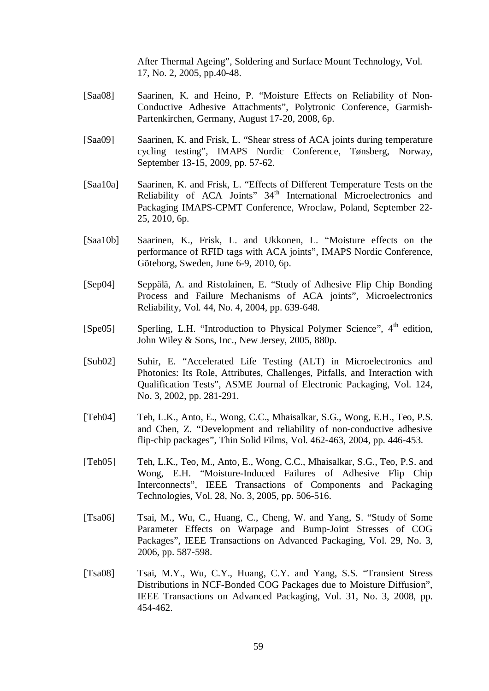After Thermal Ageing", Soldering and Surface Mount Technology, Vol. 17, No. 2, 2005, pp.40-48.

- [Saa08] Saarinen, K. and Heino, P. "Moisture Effects on Reliability of Non-Conductive Adhesive Attachments", Polytronic Conference, Garmish-Partenkirchen, Germany, August 17-20, 2008, 6p.
- [Saa09] Saarinen, K. and Frisk, L. "Shear stress of ACA joints during temperature cycling testing", IMAPS Nordic Conference, Tønsberg, Norway, September 13-15, 2009, pp. 57-62.
- [Saa10a] Saarinen, K. and Frisk, L. "Effects of Different Temperature Tests on the Reliability of ACA Joints" 34<sup>th</sup> International Microelectronics and Packaging IMAPS-CPMT Conference, Wroclaw, Poland, September 22- 25, 2010, 6p.
- [Saa10b] Saarinen, K., Frisk, L. and Ukkonen, L. "Moisture effects on the performance of RFID tags with ACA joints", IMAPS Nordic Conference, Göteborg, Sweden, June 6-9, 2010, 6p.
- [Sep04] Seppälä, A. and Ristolainen, E. "Study of Adhesive Flip Chip Bonding Process and Failure Mechanisms of ACA joints", Microelectronics Reliability, Vol. 44, No. 4, 2004, pp. 639-648.
- [Spe05] Sperling, L.H. "Introduction to Physical Polymer Science",  $4<sup>th</sup>$  edition, John Wiley & Sons, Inc., New Jersey, 2005, 880p.
- [Suh02] Suhir, E. "Accelerated Life Testing (ALT) in Microelectronics and Photonics: Its Role, Attributes, Challenges, Pitfalls, and Interaction with Qualification Tests", ASME Journal of Electronic Packaging, Vol. 124, No. 3, 2002, pp. 281-291.
- [Teh04] Teh, L.K., Anto, E., Wong, C.C., Mhaisalkar, S.G., Wong, E.H., Teo, P.S. and Chen, Z. "Development and reliability of non-conductive adhesive flip-chip packages", Thin Solid Films, Vol. 462-463, 2004, pp. 446-453.
- [Teh05] Teh, L.K., Teo, M., Anto, E., Wong, C.C., Mhaisalkar, S.G., Teo, P.S. and Wong, E.H. "Moisture-Induced Failures of Adhesive Flip Chip Interconnects", IEEE Transactions of Components and Packaging Technologies, Vol. 28, No. 3, 2005, pp. 506-516.
- [Tsa06] Tsai, M., Wu, C., Huang, C., Cheng, W. and Yang, S. "Study of Some Parameter Effects on Warpage and Bump-Joint Stresses of COG Packages", IEEE Transactions on Advanced Packaging, Vol. 29, No. 3, 2006, pp. 587-598.
- [Tsa08] Tsai, M.Y., Wu, C.Y., Huang, C.Y. and Yang, S.S. "Transient Stress Distributions in NCF-Bonded COG Packages due to Moisture Diffusion", IEEE Transactions on Advanced Packaging, Vol. 31, No. 3, 2008, pp. 454-462.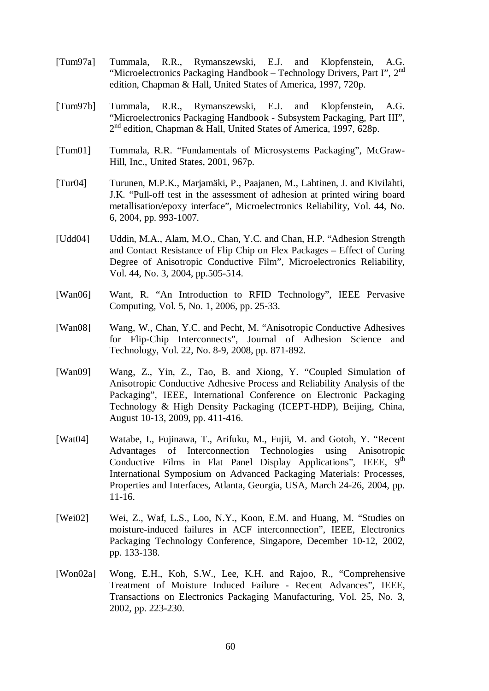- [Tum97a] Tummala, R.R., Rymanszewski, E.J. and Klopfenstein, A.G. "Microelectronics Packaging Handbook – Technology Drivers, Part I",  $2<sup>nd</sup>$ edition, Chapman & Hall, United States of America, 1997, 720p.
- [Tum97b] Tummala, R.R., Rymanszewski, E.J. and Klopfenstein, A.G. "Microelectronics Packaging Handbook - Subsystem Packaging, Part III", 2<sup>nd</sup> edition, Chapman & Hall, United States of America, 1997, 628p.
- [Tum01] Tummala, R.R. "Fundamentals of Microsystems Packaging", McGraw-Hill, Inc., United States, 2001, 967p.
- [Tur04] Turunen, M.P.K., Marjamäki, P., Paajanen, M., Lahtinen, J. and Kivilahti, J.K. "Pull-off test in the assessment of adhesion at printed wiring board metallisation/epoxy interface", Microelectronics Reliability, Vol. 44, No. 6, 2004, pp. 993-1007.
- [Udd04] Uddin, M.A., Alam, M.O., Chan, Y.C. and Chan, H.P. "Adhesion Strength" and Contact Resistance of Flip Chip on Flex Packages – Effect of Curing Degree of Anisotropic Conductive Film", Microelectronics Reliability, Vol. 44, No. 3, 2004, pp.505-514.
- [Wan06] Want, R. "An Introduction to RFID Technology", IEEE Pervasive Computing, Vol. 5, No. 1, 2006, pp. 25-33.
- [Wan08] Wang, W., Chan, Y.C. and Pecht, M. "Anisotropic Conductive Adhesives for Flip-Chip Interconnects", Journal of Adhesion Science and Technology, Vol. 22, No. 8-9, 2008, pp. 871-892.
- [Wan09] Wang, Z., Yin, Z., Tao, B. and Xiong, Y. "Coupled Simulation of Anisotropic Conductive Adhesive Process and Reliability Analysis of the Packaging", IEEE, International Conference on Electronic Packaging Technology & High Density Packaging (ICEPT-HDP), Beijing, China, August 10-13, 2009, pp. 411-416.
- [Wat04] Watabe, I., Fujinawa, T., Arifuku, M., Fujii, M. and Gotoh, Y. "Recent Advantages of Interconnection Technologies using Anisotropic Conductive Films in Flat Panel Display Applications", IEEE,  $9<sup>th</sup>$ International Symposium on Advanced Packaging Materials: Processes, Properties and Interfaces, Atlanta, Georgia, USA, March 24-26, 2004, pp. 11-16.
- [Wei02] Wei, Z., Waf, L.S., Loo, N.Y., Koon, E.M. and Huang, M. "Studies on moisture-induced failures in ACF interconnection", IEEE, Electronics Packaging Technology Conference, Singapore, December 10-12, 2002, pp. 133-138.
- [Won02a] Wong, E.H., Koh, S.W., Lee, K.H. and Rajoo, R., "Comprehensive Treatment of Moisture Induced Failure - Recent Advances", IEEE, Transactions on Electronics Packaging Manufacturing, Vol. 25, No. 3, 2002, pp. 223-230.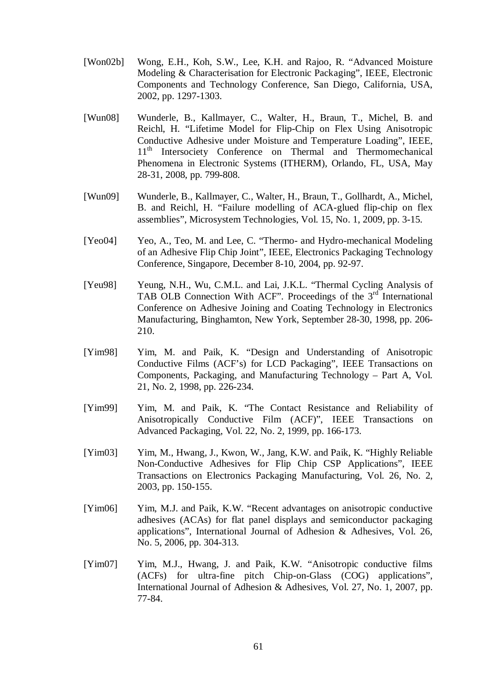- [Won02b] Wong, E.H., Koh, S.W., Lee, K.H. and Rajoo, R. "Advanced Moisture Modeling & Characterisation for Electronic Packaging", IEEE, Electronic Components and Technology Conference, San Diego, California, USA, 2002, pp. 1297-1303.
- [Wun08] Wunderle, B., Kallmayer, C., Walter, H., Braun, T., Michel, B. and Reichl, H. "Lifetime Model for Flip-Chip on Flex Using Anisotropic Conductive Adhesive under Moisture and Temperature Loading", IEEE, 11<sup>th</sup> Intersociety Conference on Thermal and Thermomechanical Phenomena in Electronic Systems (ITHERM), Orlando, FL, USA, May 28-31, 2008, pp. 799-808.
- [Wun09] Wunderle, B., Kallmayer, C., Walter, H., Braun, T., Gollhardt, A., Michel, B. and Reichl, H. "Failure modelling of ACA-glued flip-chip on flex assemblies", Microsystem Technologies, Vol. 15, No. 1, 2009, pp. 3-15.
- [Yeo04] Yeo, A., Teo, M. and Lee, C. "Thermo- and Hydro-mechanical Modeling of an Adhesive Flip Chip Joint", IEEE, Electronics Packaging Technology Conference, Singapore, December 8-10, 2004, pp. 92-97.
- [Yeu98] Yeung, N.H., Wu, C.M.L. and Lai, J.K.L. "Thermal Cycling Analysis of TAB OLB Connection With ACF". Proceedings of the  $3<sup>rd</sup>$  International Conference on Adhesive Joining and Coating Technology in Electronics Manufacturing, Binghamton, New York, September 28-30, 1998, pp. 206- 210.
- [Yim98] Yim, M. and Paik, K. "Design and Understanding of Anisotropic Conductive Films (ACF's) for LCD Packaging", IEEE Transactions on Components, Packaging, and Manufacturing Technology – Part A, Vol. 21, No. 2, 1998, pp. 226-234.
- [Yim99] Yim, M. and Paik, K. "The Contact Resistance and Reliability of Anisotropically Conductive Film (ACF)", IEEE Transactions on Advanced Packaging, Vol. 22, No. 2, 1999, pp. 166-173.
- [Yim03] Yim, M., Hwang, J., Kwon, W., Jang, K.W. and Paik, K. "Highly Reliable Non-Conductive Adhesives for Flip Chip CSP Applications", IEEE Transactions on Electronics Packaging Manufacturing, Vol. 26, No. 2, 2003, pp. 150-155.
- [Yim06] Yim, M.J. and Paik, K.W. "Recent advantages on anisotropic conductive adhesives (ACAs) for flat panel displays and semiconductor packaging applications", International Journal of Adhesion & Adhesives, Vol. 26, No. 5, 2006, pp. 304-313.
- [Yim07] Yim, M.J., Hwang, J. and Paik, K.W. "Anisotropic conductive films (ACFs) for ultra-fine pitch Chip-on-Glass (COG) applications", International Journal of Adhesion & Adhesives, Vol. 27, No. 1, 2007, pp. 77-84.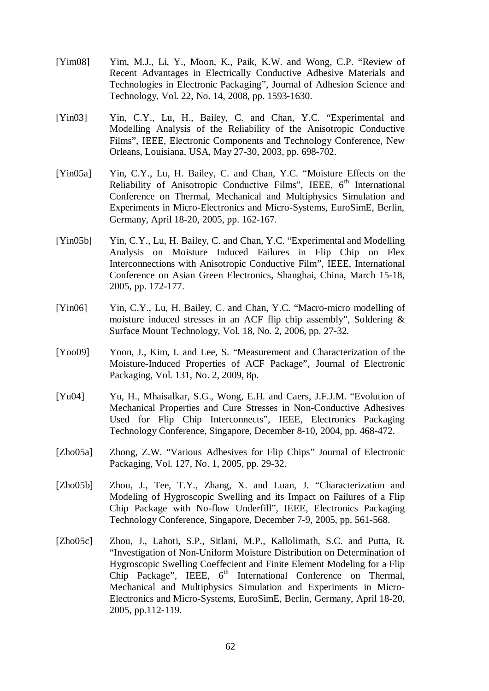- [Yim08] Yim, M.J., Li, Y., Moon, K., Paik, K.W. and Wong, C.P. "Review of Recent Advantages in Electrically Conductive Adhesive Materials and Technologies in Electronic Packaging", Journal of Adhesion Science and Technology, Vol. 22, No. 14, 2008, pp. 1593-1630.
- [Yin03] Yin, C.Y., Lu, H., Bailey, C. and Chan, Y.C. "Experimental and Modelling Analysis of the Reliability of the Anisotropic Conductive Films", IEEE, Electronic Components and Technology Conference, New Orleans, Louisiana, USA, May 27-30, 2003, pp. 698-702.
- [Yin05a] Yin, C.Y., Lu, H. Bailey, C. and Chan, Y.C. "Moisture Effects on the Reliability of Anisotropic Conductive Films", IEEE, 6<sup>th</sup> International Conference on Thermal, Mechanical and Multiphysics Simulation and Experiments in Micro-Electronics and Micro-Systems, EuroSimE, Berlin, Germany, April 18-20, 2005, pp. 162-167.
- [Yin05b] Yin, C.Y., Lu, H. Bailey, C. and Chan, Y.C. "Experimental and Modelling Analysis on Moisture Induced Failures in Flip Chip on Flex Interconnections with Anisotropic Conductive Film", IEEE, International Conference on Asian Green Electronics, Shanghai, China, March 15-18, 2005, pp. 172-177.
- [Yin06] Yin, C.Y., Lu, H. Bailey, C. and Chan, Y.C. "Macro-micro modelling of moisture induced stresses in an ACF flip chip assembly", Soldering & Surface Mount Technology, Vol. 18, No. 2, 2006, pp. 27-32.
- [Yoo09] Yoon, J., Kim, I. and Lee, S. "Measurement and Characterization of the Moisture-Induced Properties of ACF Package", Journal of Electronic Packaging, Vol. 131, No. 2, 2009, 8p.
- [Yu04] Yu, H., Mhaisalkar, S.G., Wong, E.H. and Caers, J.F.J.M. "Evolution of Mechanical Properties and Cure Stresses in Non-Conductive Adhesives Used for Flip Chip Interconnects", IEEE, Electronics Packaging Technology Conference, Singapore, December 8-10, 2004, pp. 468-472.
- [Zho05a] Zhong, Z.W. "Various Adhesives for Flip Chips" Journal of Electronic Packaging, Vol. 127, No. 1, 2005, pp. 29-32.
- [Zho05b] Zhou, J., Tee, T.Y., Zhang, X. and Luan, J. "Characterization and Modeling of Hygroscopic Swelling and its Impact on Failures of a Flip Chip Package with No-flow Underfill", IEEE, Electronics Packaging Technology Conference, Singapore, December 7-9, 2005, pp. 561-568.
- [Zho05c] Zhou, J., Lahoti, S.P., Sitlani, M.P., Kallolimath, S.C. and Putta, R. "Investigation of Non-Uniform Moisture Distribution on Determination of Hygroscopic Swelling Coeffecient and Finite Element Modeling for a Flip Chip Package", IEEE, 6<sup>th</sup> International Conference on Thermal, Mechanical and Multiphysics Simulation and Experiments in Micro-Electronics and Micro-Systems, EuroSimE, Berlin, Germany, April 18-20, 2005, pp.112-119.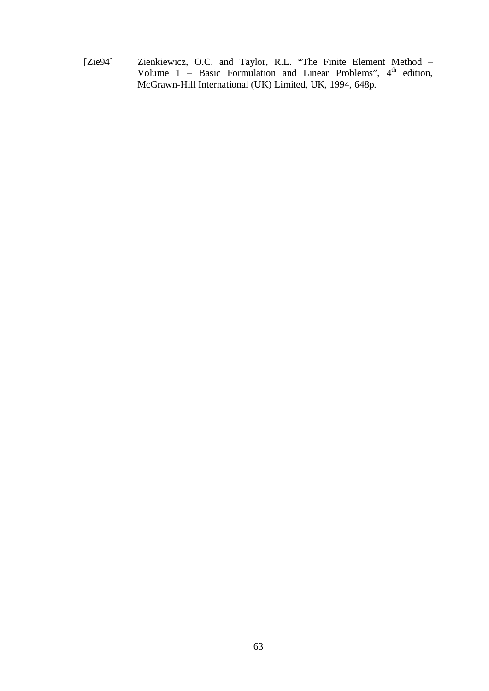[Zie94] Zienkiewicz, O.C. and Taylor, R.L. "The Finite Element Method – Volume  $1$  – Basic Formulation and Linear Problems",  $4<sup>th</sup>$  edition, McGrawn-Hill International (UK) Limited, UK, 1994, 648p.